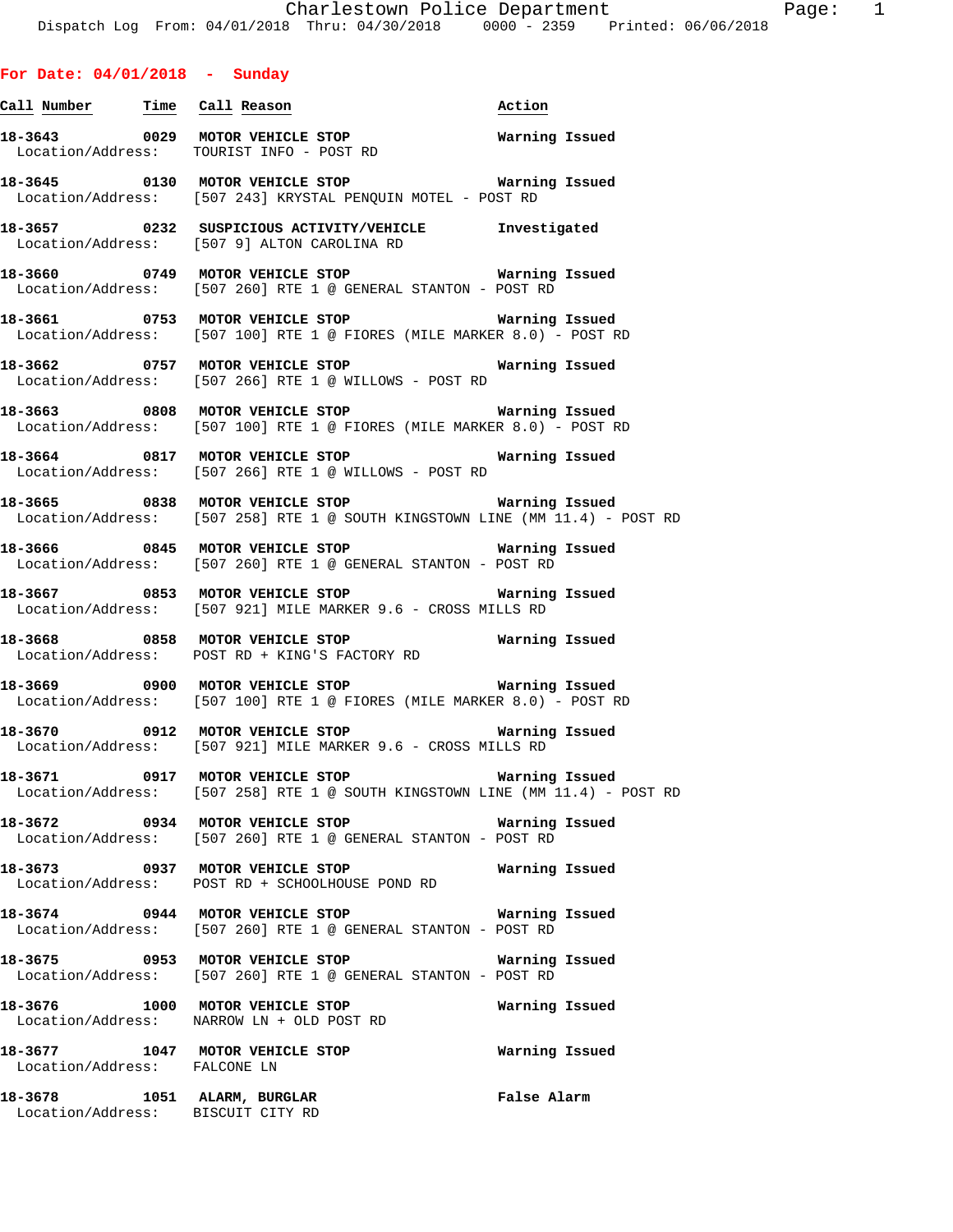**For Date: 04/01/2018 - Sunday**

Location/Address: TOURIST INFO - POST RD

Location/Address: BISCUIT CITY RD

**Call Number Time Call Reason Action** 

**18-3643 0029 MOTOR VEHICLE STOP Warning Issued** 

**18-3645 0130 MOTOR VEHICLE STOP Warning Issued**  Location/Address: [507 243] KRYSTAL PENQUIN MOTEL - POST RD **18-3657 0232 SUSPICIOUS ACTIVITY/VEHICLE Investigated**  Location/Address: [507 9] ALTON CAROLINA RD **18-3660 0749 MOTOR VEHICLE STOP Warning Issued**  Location/Address: [507 260] RTE 1 @ GENERAL STANTON - POST RD **18-3661 0753 MOTOR VEHICLE STOP Warning Issued**  Location/Address: [507 100] RTE 1 @ FIORES (MILE MARKER 8.0) - POST RD **18-3662 0757 MOTOR VEHICLE STOP Warning Issued**  Location/Address: [507 266] RTE 1 @ WILLOWS - POST RD **18-3663 0808 MOTOR VEHICLE STOP Warning Issued**  Location/Address: [507 100] RTE 1 @ FIORES (MILE MARKER 8.0) - POST RD **18-3664 0817 MOTOR VEHICLE STOP Warning Issued**  Location/Address: [507 266] RTE 1 @ WILLOWS - POST RD **18-3665 0838 MOTOR VEHICLE STOP Warning Issued**  Location/Address: [507 258] RTE 1 @ SOUTH KINGSTOWN LINE (MM 11.4) - POST RD **18-3666 0845 MOTOR VEHICLE STOP Warning Issued**  Location/Address: [507 260] RTE 1 @ GENERAL STANTON - POST RD **18-3667 0853 MOTOR VEHICLE STOP Warning Issued**  Location/Address: [507 921] MILE MARKER 9.6 - CROSS MILLS RD **18-3668 0858 MOTOR VEHICLE STOP Warning Issued**  Location/Address: POST RD + KING'S FACTORY RD **18-3669 0900 MOTOR VEHICLE STOP Warning Issued**  Location/Address: [507 100] RTE 1 @ FIORES (MILE MARKER 8.0) - POST RD **18-3670 0912 MOTOR VEHICLE STOP Warning Issued**  Location/Address: [507 921] MILE MARKER 9.6 - CROSS MILLS RD **18-3671 0917 MOTOR VEHICLE STOP Warning Issued**  Location/Address: [507 258] RTE 1 @ SOUTH KINGSTOWN LINE (MM 11.4) - POST RD **18-3672 0934 MOTOR VEHICLE STOP Warning Issued**  Location/Address: [507 260] RTE 1 @ GENERAL STANTON - POST RD **18-3673 0937 MOTOR VEHICLE STOP Warning Issued**  Location/Address: POST RD + SCHOOLHOUSE POND RD **18-3674 0944 MOTOR VEHICLE STOP Warning Issued**  Location/Address: [507 260] RTE 1 @ GENERAL STANTON - POST RD **18-3675 0953 MOTOR VEHICLE STOP Warning Issued**  Location/Address: [507 260] RTE 1 @ GENERAL STANTON - POST RD **18-3676 1000 MOTOR VEHICLE STOP Warning Issued**  Location/Address: NARROW LN + OLD POST RD **18-3677 1047 MOTOR VEHICLE STOP Warning Issued**  Location/Address: FALCONE LN **18-3678 1051 ALARM, BURGLAR False Alarm**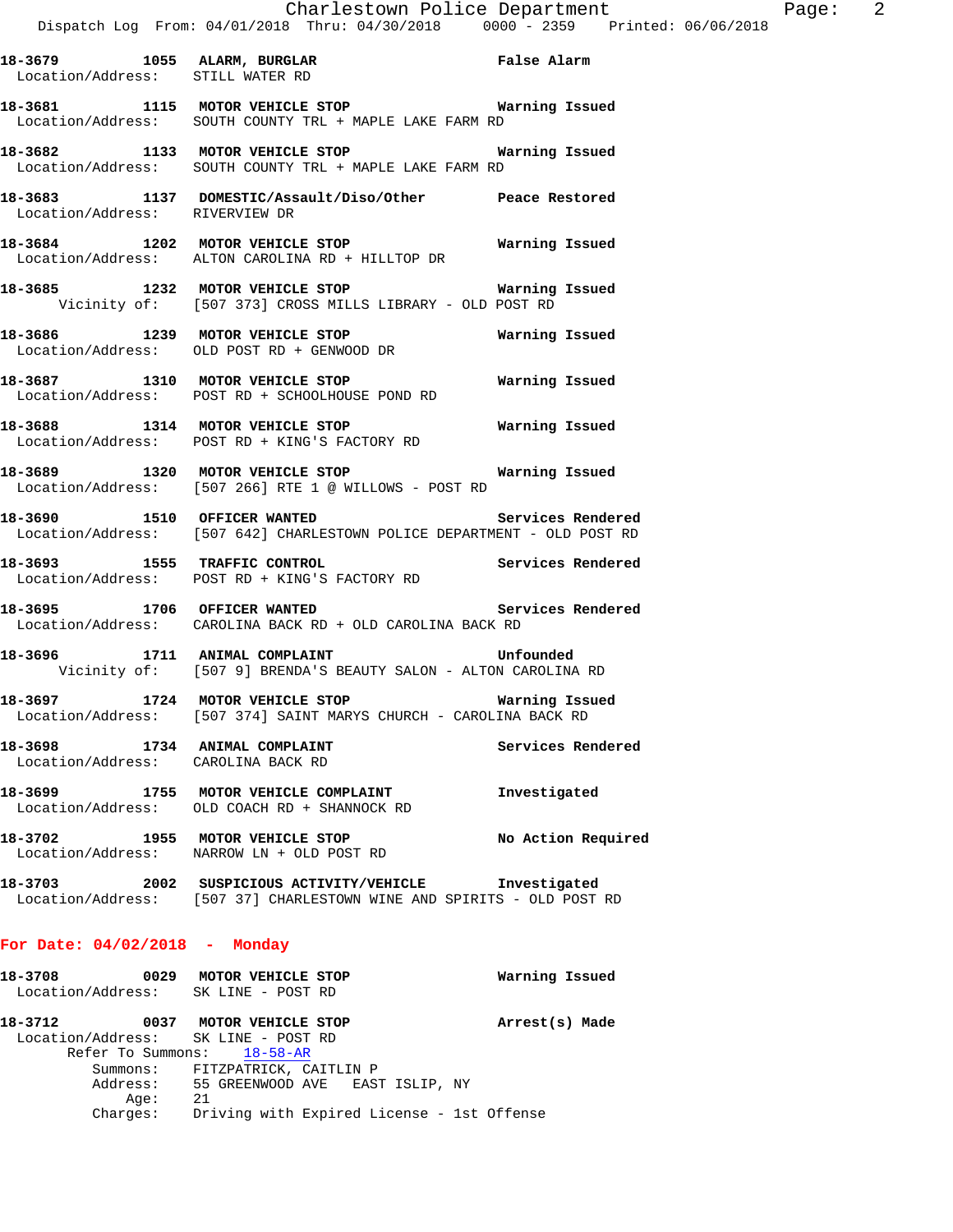| Location/Address: STILL WATER RD                                    | 18-3679 1055 ALARM, BURGLAR False Alarm                                                                                        |                    |
|---------------------------------------------------------------------|--------------------------------------------------------------------------------------------------------------------------------|--------------------|
|                                                                     | 18-3681 1115 MOTOR VEHICLE STOP Warning Issued<br>Location/Address: SOUTH COUNTY TRL + MAPLE LAKE FARM RD                      |                    |
|                                                                     | 18-3682 1133 MOTOR VEHICLE STOP Warning Issued<br>Location/Address: SOUTH COUNTY TRL + MAPLE LAKE FARM RD                      |                    |
|                                                                     | 18-3683   1137   DOMESTIC/Assault/Diso/Other   Peace Restored Location/Address:   RIVERVIEW DR                                 |                    |
|                                                                     | 18-3684 1202 MOTOR VEHICLE STOP<br>Location/Address: ALTON CAROLINA RD + HILLTOP DR                                            | Warning Issued     |
|                                                                     | 18-3685 1232 MOTOR VEHICLE STOP Warning Issued<br>Vicinity of: [507 373] CROSS MILLS LIBRARY - OLD POST RD                     |                    |
|                                                                     | 18-3686 1239 MOTOR VEHICLE STOP Warning Issued<br>Location/Address: OLD POST RD + GENWOOD DR                                   |                    |
|                                                                     | 18-3687 1310 MOTOR VEHICLE STOP 6 Warning Issued<br>Location/Address: POST RD + SCHOOLHOUSE POND RD                            |                    |
|                                                                     | 18-3688 1314 MOTOR VEHICLE STOP<br>Location/Address: POST RD + KING'S FACTORY RD                                               | Warning Issued     |
|                                                                     | 18-3689 1320 MOTOR VEHICLE STOP 6 Warning Issued<br>Location/Address: [507 266] RTE 1 @ WILLOWS - POST RD                      |                    |
| 18-3690 1510 OFFICER WANTED                                         | Location/Address: [507 642] CHARLESTOWN POLICE DEPARTMENT - OLD POST RD                                                        | Services Rendered  |
|                                                                     | 18-3693 1555 TRAFFIC CONTROL Services Rendered<br>Location/Address: POST RD + KING'S FACTORY RD                                |                    |
| 18-3695 1706 OFFICER WANTED                                         | Location/Address: CAROLINA BACK RD + OLD CAROLINA BACK RD                                                                      | Services Rendered  |
|                                                                     | 18-3696 1711 ANIMAL COMPLAINT Unfounded<br>Vicinity of: [507 9] BRENDA'S BEAUTY SALON - ALTON CAROLINA RD                      |                    |
|                                                                     | 18-3697 1724 MOTOR VEHICLE STOP <b>Marning Issued</b><br>Location/Address: [507 374] SAINT MARYS CHURCH - CAROLINA BACK RD     |                    |
| 18-3698 1734 ANIMAL COMPLAINT<br>Location/Address: CAROLINA BACK RD |                                                                                                                                | Services Rendered  |
|                                                                     | 18-3699 1755 MOTOR VEHICLE COMPLAINT<br>Location/Address: OLD COACH RD + SHANNOCK RD                                           | Investigated       |
| 18-3702 1955 MOTOR VEHICLE STOP                                     | Location/Address: NARROW LN + OLD POST RD                                                                                      | No Action Required |
|                                                                     | 18-3703 2002 SUSPICIOUS ACTIVITY/VEHICLE Investigated<br>Location/Address: [507 37] CHARLESTOWN WINE AND SPIRITS - OLD POST RD |                    |
| For Date: $04/02/2018$ - Monday                                     |                                                                                                                                |                    |

**18-3708 0029 MOTOR VEHICLE STOP Warning Issued**  Location/Address: SK LINE - POST RD **18-3712 0037 MOTOR VEHICLE STOP Arrest(s) Made**  Location/Address: SK LINE - POST RD Refer To Summons: 18-58-AR Summons: FITZPATRICK, CAITLIN P Address: 55 GREENWOOD AVE EAST ISLIP, NY Age: 21 Charges: Driving with Expired License - 1st Offense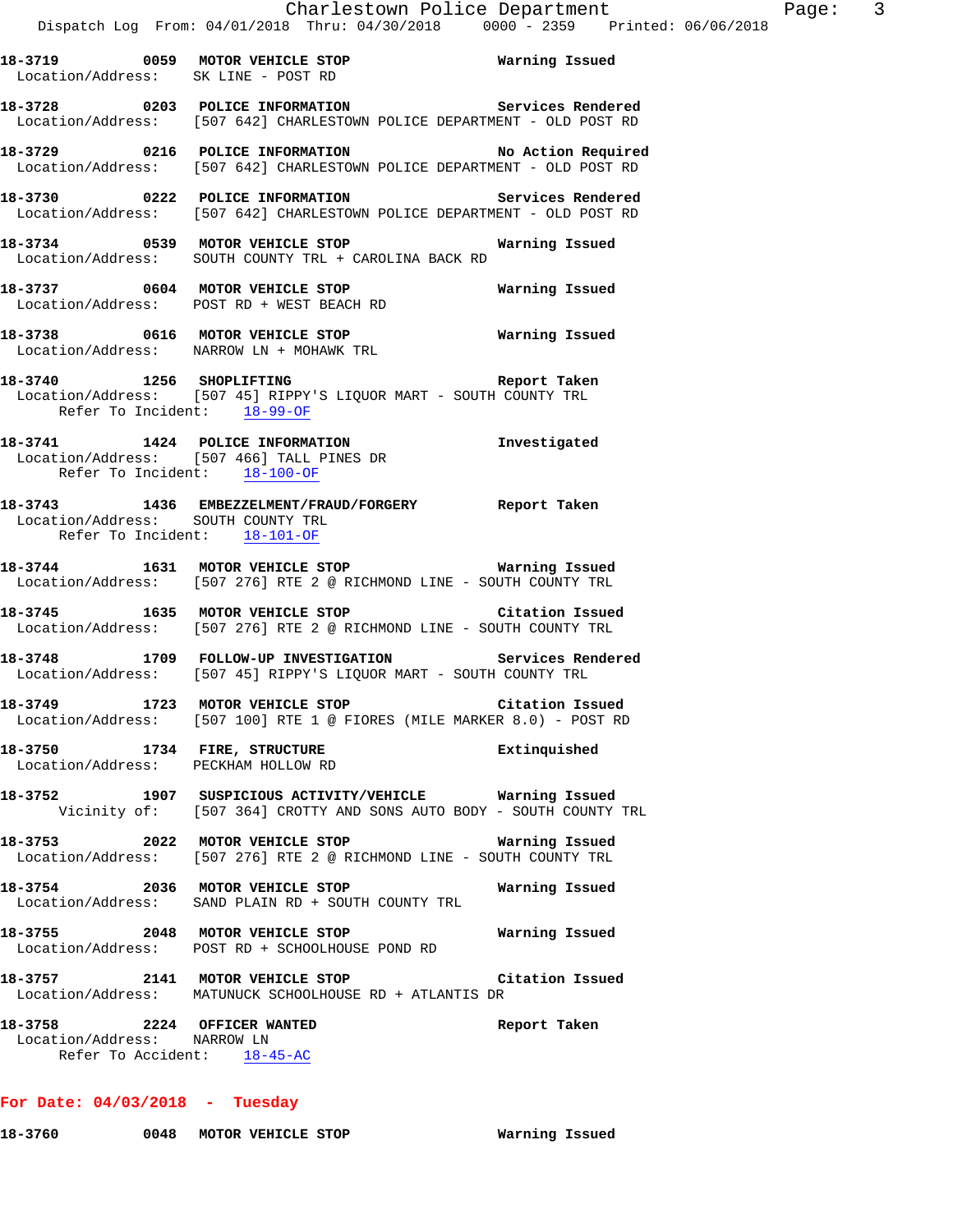**18-3719 0059 MOTOR VEHICLE STOP Warning Issued**  Location/Address: SK LINE - POST RD **18-3728 0203 POLICE INFORMATION Services Rendered**  Location/Address: [507 642] CHARLESTOWN POLICE DEPARTMENT - OLD POST RD **18-3729 0216 POLICE INFORMATION No Action Required**  Location/Address: [507 642] CHARLESTOWN POLICE DEPARTMENT - OLD POST RD **18-3730 0222 POLICE INFORMATION Services Rendered**  Location/Address: [507 642] CHARLESTOWN POLICE DEPARTMENT - OLD POST RD **18-3734 0539 MOTOR VEHICLE STOP Warning Issued**  Location/Address: SOUTH COUNTY TRL + CAROLINA BACK RD **18-3737 0604 MOTOR VEHICLE STOP Warning Issued**  Location/Address: POST RD + WEST BEACH RD **18-3738 0616 MOTOR VEHICLE STOP Warning Issued**  Location/Address: NARROW LN + MOHAWK TRL **18-3740 1256 SHOPLIFTING Report Taken**  Location/Address: [507 45] RIPPY'S LIQUOR MART - SOUTH COUNTY TRL Refer To Incident: 18-99-OF **18-3741 1424 POLICE INFORMATION Investigated**  Location/Address: [507 466] TALL PINES DR Refer To Incident: 18-100-OF **18-3743 1436 EMBEZZELMENT/FRAUD/FORGERY Report Taken**  Location/Address: SOUTH COUNTY TRL Refer To Incident: 18-101-OF **18-3744 1631 MOTOR VEHICLE STOP Warning Issued**  Location/Address: [507 276] RTE 2 @ RICHMOND LINE - SOUTH COUNTY TRL **18-3745 1635 MOTOR VEHICLE STOP Citation Issued**  Location/Address: [507 276] RTE 2 @ RICHMOND LINE - SOUTH COUNTY TRL **18-3748 1709 FOLLOW-UP INVESTIGATION Services Rendered**  Location/Address: [507 45] RIPPY'S LIQUOR MART - SOUTH COUNTY TRL **18-3749 1723 MOTOR VEHICLE STOP Citation Issued**  Location/Address: [507 100] RTE 1 @ FIORES (MILE MARKER 8.0) - POST RD **18-3750 1734 FIRE, STRUCTURE Extinquished**  Location/Address: PECKHAM HOLLOW RD **18-3752 1907 SUSPICIOUS ACTIVITY/VEHICLE Warning Issued**  Vicinity of: [507 364] CROTTY AND SONS AUTO BODY - SOUTH COUNTY TRL **18-3753 2022 MOTOR VEHICLE STOP Warning Issued**  Location/Address: [507 276] RTE 2 @ RICHMOND LINE - SOUTH COUNTY TRL **18-3754 2036 MOTOR VEHICLE STOP Warning Issued**  Location/Address: SAND PLAIN RD + SOUTH COUNTY TRL **18-3755 2048 MOTOR VEHICLE STOP Warning Issued**  Location/Address: POST RD + SCHOOLHOUSE POND RD **18-3757 2141 MOTOR VEHICLE STOP Citation Issued**  Location/Address: MATUNUCK SCHOOLHOUSE RD + ATLANTIS DR **18-3758 2224 OFFICER WANTED Report Taken**  Location/Address: NARROW LN Refer To Accident: 18-45-AC

#### **For Date: 04/03/2018 - Tuesday**

**18-3760 0048 MOTOR VEHICLE STOP Warning Issued**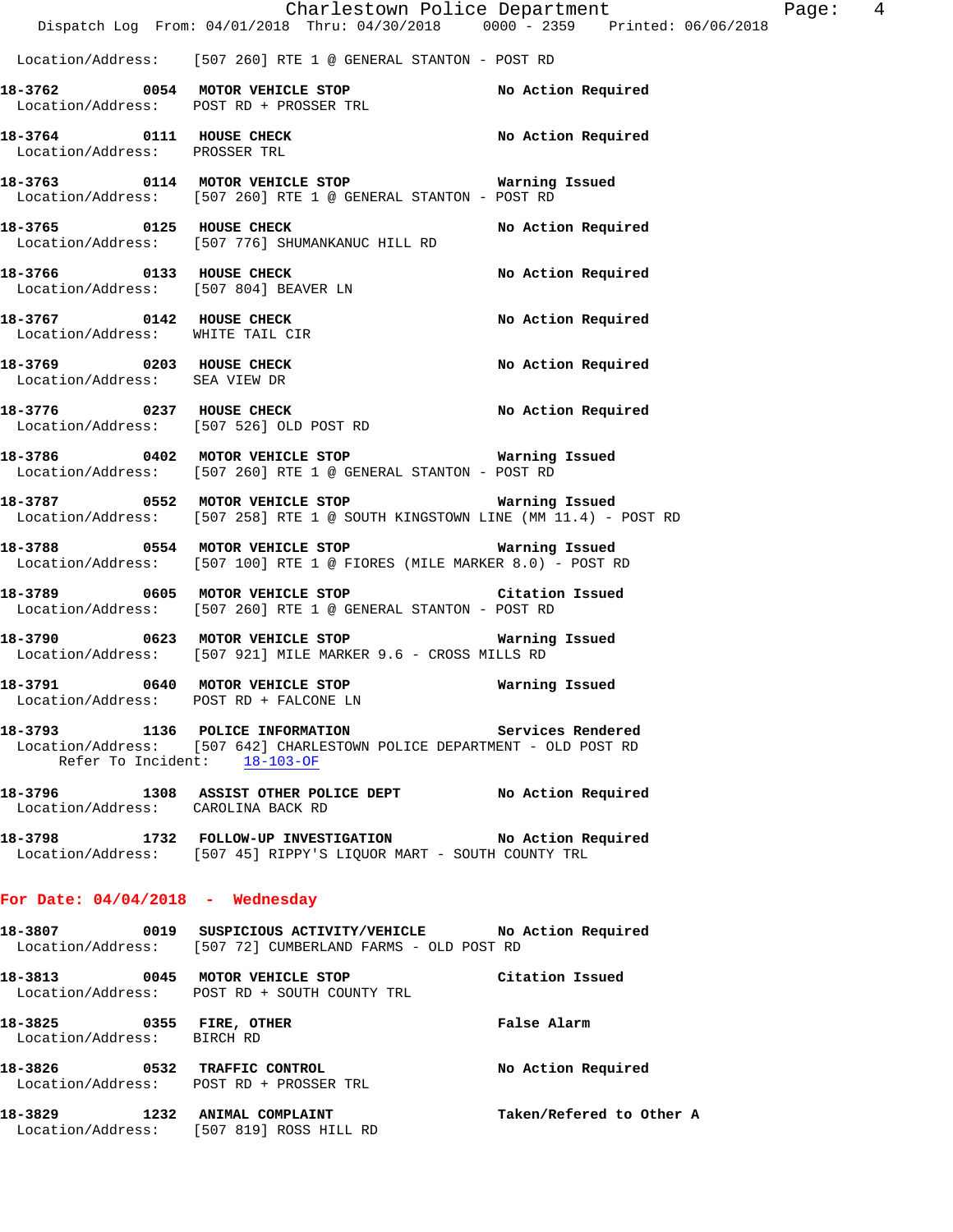|                                                        | Dispatch Log From: 04/01/2018 Thru: 04/30/2018 0000 - 2359 Printed: 06/06/2018                                                                               | Charlestown Police Department | Page: 4 |  |
|--------------------------------------------------------|--------------------------------------------------------------------------------------------------------------------------------------------------------------|-------------------------------|---------|--|
|                                                        | Location/Address: [507 260] RTE 1 @ GENERAL STANTON - POST RD                                                                                                |                               |         |  |
|                                                        | 18-3762 0054 MOTOR VEHICLE STOP NO Action Required<br>Location/Address: POST RD + PROSSER TRL                                                                |                               |         |  |
| Location/Address: PROSSER TRL                          | 18-3764 0111 HOUSE CHECK                                                                                                                                     | No Action Required            |         |  |
|                                                        | 18-3763 0114 MOTOR VEHICLE STOP 6 Warning Issued<br>Location/Address: [507 260] RTE 1 @ GENERAL STANTON - POST RD                                            |                               |         |  |
| 18-3765 0125 HOUSE CHECK                               | Location/Address: [507 776] SHUMANKANUC HILL RD                                                                                                              | No Action Required            |         |  |
|                                                        | 18-3766 0133 HOUSE CHECK<br>Location/Address: [507 804] BEAVER LN                                                                                            | No Action Required            |         |  |
| Location/Address: WHITE TAIL CIR                       | 18-3767 0142 HOUSE CHECK                                                                                                                                     | No Action Required            |         |  |
| Location/Address: SEA VIEW DR                          | 18-3769 0203 HOUSE CHECK                                                                                                                                     | No Action Required            |         |  |
|                                                        | 18-3776 0237 HOUSE CHECK<br>Location/Address: [507 526] OLD POST RD                                                                                          | No Action Required            |         |  |
|                                                        | Location/Address: [507 260] RTE 1 @ GENERAL STANTON - POST RD                                                                                                |                               |         |  |
|                                                        |                                                                                                                                                              |                               |         |  |
|                                                        | 18-3788 6554 MOTOR VEHICLE STOP 6 Warning Issued<br>Location/Address: [507 100] RTE 1 @ FIORES (MILE MARKER 8.0) - POST RD                                   |                               |         |  |
|                                                        | 18-3789 0605 MOTOR VEHICLE STOP Citation Issued<br>Location/Address: [507 260] RTE 1 @ GENERAL STANTON - POST RD                                             |                               |         |  |
|                                                        | 18-3790 0623 MOTOR VEHICLE STOP 18-3790 Warning Issued<br>Location/Address: [507 921] MILE MARKER 9.6 - CROSS MILLS RD                                       |                               |         |  |
|                                                        | 18-3791 0640 MOTOR VEHICLE STOP 60 Warning Issued<br>Location/Address: POST RD + FALCONE LN                                                                  |                               |         |  |
|                                                        | 18-3793 1136 POLICE INFORMATION 5ervices Rendered<br>Location/Address: [507 642] CHARLESTOWN POLICE DEPARTMENT - OLD POST RD<br>Refer To Incident: 18-103-OF |                               |         |  |
| Location/Address: CAROLINA BACK RD                     | 18-3796 1308 ASSIST OTHER POLICE DEPT No Action Required                                                                                                     |                               |         |  |
|                                                        | 18-3798 1732 FOLLOW-UP INVESTIGATION No Action Required<br>Location/Address: [507 45] RIPPY'S LIQUOR MART - SOUTH COUNTY TRL                                 |                               |         |  |
| For Date: $04/04/2018$ - Wednesday                     |                                                                                                                                                              |                               |         |  |
|                                                        | 18-3807 0019 SUSPICIOUS ACTIVITY/VEHICLE No Action Required<br>Location/Address: [507 72] CUMBERLAND FARMS - OLD POST RD                                     |                               |         |  |
|                                                        | 18-3813 0045 MOTOR VEHICLE STOP<br>Location/Address: POST RD + SOUTH COUNTY TRL                                                                              | Citation Issued               |         |  |
| 18-3825 0355 FIRE, OTHER<br>Location/Address: BIRCH RD |                                                                                                                                                              | False Alarm                   |         |  |
|                                                        | 18-3826 0532 TRAFFIC CONTROL<br>Location/Address: POST RD + PROSSER TRL                                                                                      | No Action Required            |         |  |
| 18-3829 1232 ANIMAL COMPLAINT                          | Location/Address: [507 819] ROSS HILL RD                                                                                                                     | Taken/Refered to Other A      |         |  |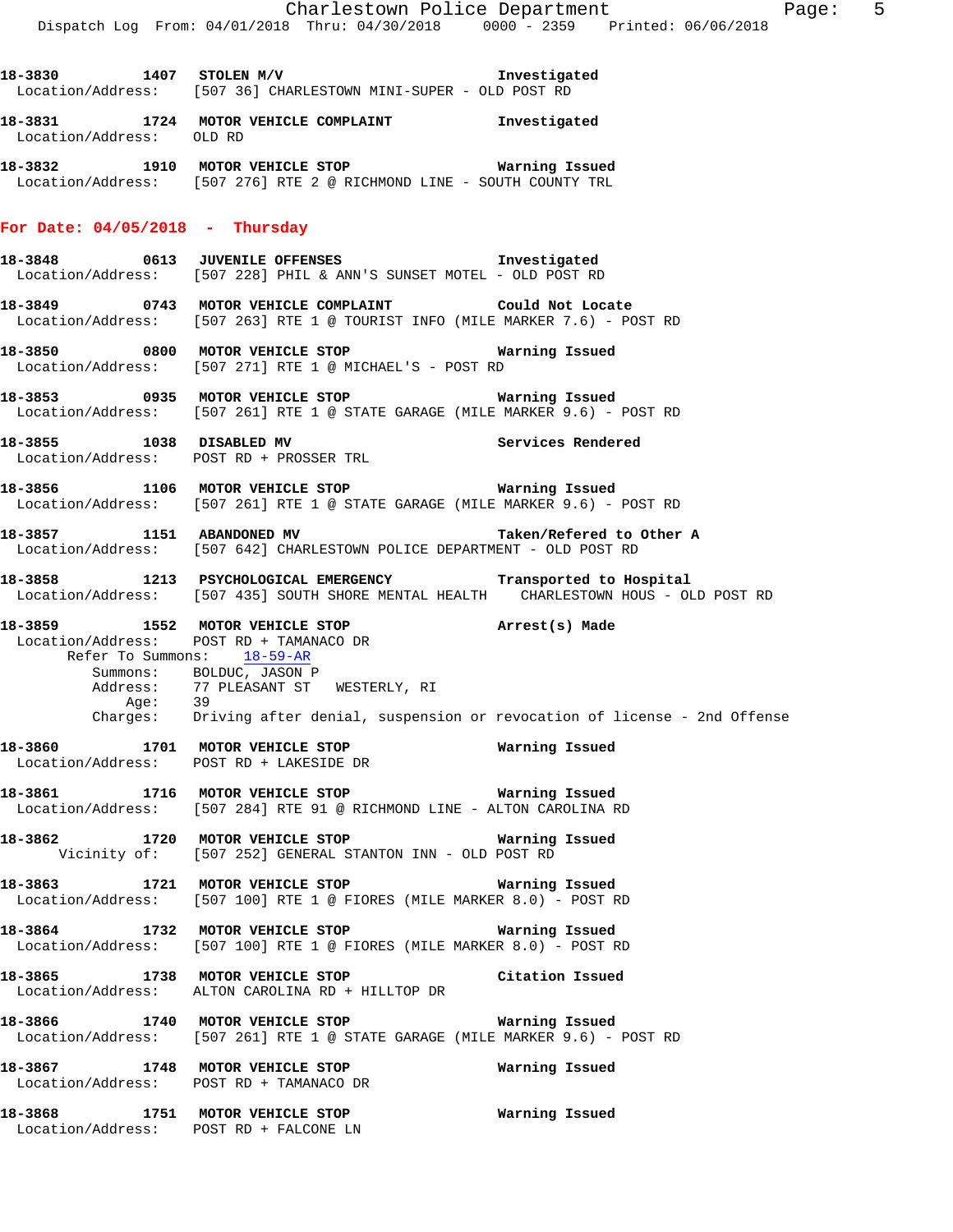**18-3830 1407 STOLEN M/V Investigated**  Location/Address: [507 36] CHARLESTOWN MINI-SUPER - OLD POST RD **18-3831 1724 MOTOR VEHICLE COMPLAINT Investigated**  Location/Address: OLD RD **18-3832 1910 MOTOR VEHICLE STOP Warning Issued**  Location/Address: [507 276] RTE 2 @ RICHMOND LINE - SOUTH COUNTY TRL **For Date: 04/05/2018 - Thursday 18-3848 0613 JUVENILE OFFENSES Investigated**  Location/Address: [507 228] PHIL & ANN'S SUNSET MOTEL - OLD POST RD **18-3849 0743 MOTOR VEHICLE COMPLAINT Could Not Locate**  Location/Address: [507 263] RTE 1 @ TOURIST INFO (MILE MARKER 7.6) - POST RD **18-3850 0800 MOTOR VEHICLE STOP Warning Issued**  Location/Address: [507 271] RTE 1 @ MICHAEL'S - POST RD **18-3853 0935 MOTOR VEHICLE STOP Warning Issued**  Location/Address: [507 261] RTE 1 @ STATE GARAGE (MILE MARKER 9.6) - POST RD **18-3855 1038 DISABLED MV Services Rendered**  Location/Address: POST RD + PROSSER TRL **18-3856 1106 MOTOR VEHICLE STOP Warning Issued**  Location/Address: [507 261] RTE 1 @ STATE GARAGE (MILE MARKER 9.6) - POST RD **18-3857 1151 ABANDONED MV Taken/Refered to Other A**  Location/Address: [507 642] CHARLESTOWN POLICE DEPARTMENT - OLD POST RD **18-3858 1213 PSYCHOLOGICAL EMERGENCY Transported to Hospital**  Location/Address: [507 435] SOUTH SHORE MENTAL HEALTH CHARLESTOWN HOUS - OLD POST RD **18-3859 1552 MOTOR VEHICLE STOP Arrest(s) Made**  Location/Address: POST RD + TAMANACO DR Refer To Summons: 18-59-AR Summons: BOLDUC, JASON P<br>Address: 77 PLEASANT ST 77 PLEASANT ST WESTERLY, RI Age: 39 Charges: Driving after denial, suspension or revocation of license - 2nd Offense **18-3860 1701 MOTOR VEHICLE STOP Warning Issued**  Location/Address: POST RD + LAKESIDE DR **18-3861 1716 MOTOR VEHICLE STOP Warning Issued**<br>Location/Address: [507 284] RTE 91 @ RICHMOND LINE - ALTON CAROLINA P [507 284] RTE 91 @ RICHMOND LINE - ALTON CAROLINA RD **18-3862 1720 MOTOR VEHICLE STOP Warning Issued**  Vicinity of: [507 252] GENERAL STANTON INN - OLD POST RD **18-3863 1721 MOTOR VEHICLE STOP Warning Issued**  Location/Address: [507 100] RTE 1 @ FIORES (MILE MARKER 8.0) - POST RD **18-3864 1732 MOTOR VEHICLE STOP Warning Issued**  Location/Address: [507 100] RTE 1 @ FIORES (MILE MARKER 8.0) - POST RD **18-3865 1738 MOTOR VEHICLE STOP Citation Issued**  Location/Address: ALTON CAROLINA RD + HILLTOP DR **18-3866 1740 MOTOR VEHICLE STOP Warning Issued**  Location/Address: [507 261] RTE 1 @ STATE GARAGE (MILE MARKER 9.6) - POST RD **18-3867 1748 MOTOR VEHICLE STOP Warning Issued**  Location/Address: POST RD + TAMANACO DR **18-3868 1751 MOTOR VEHICLE STOP Warning Issued**  Location/Address: POST RD + FALCONE LN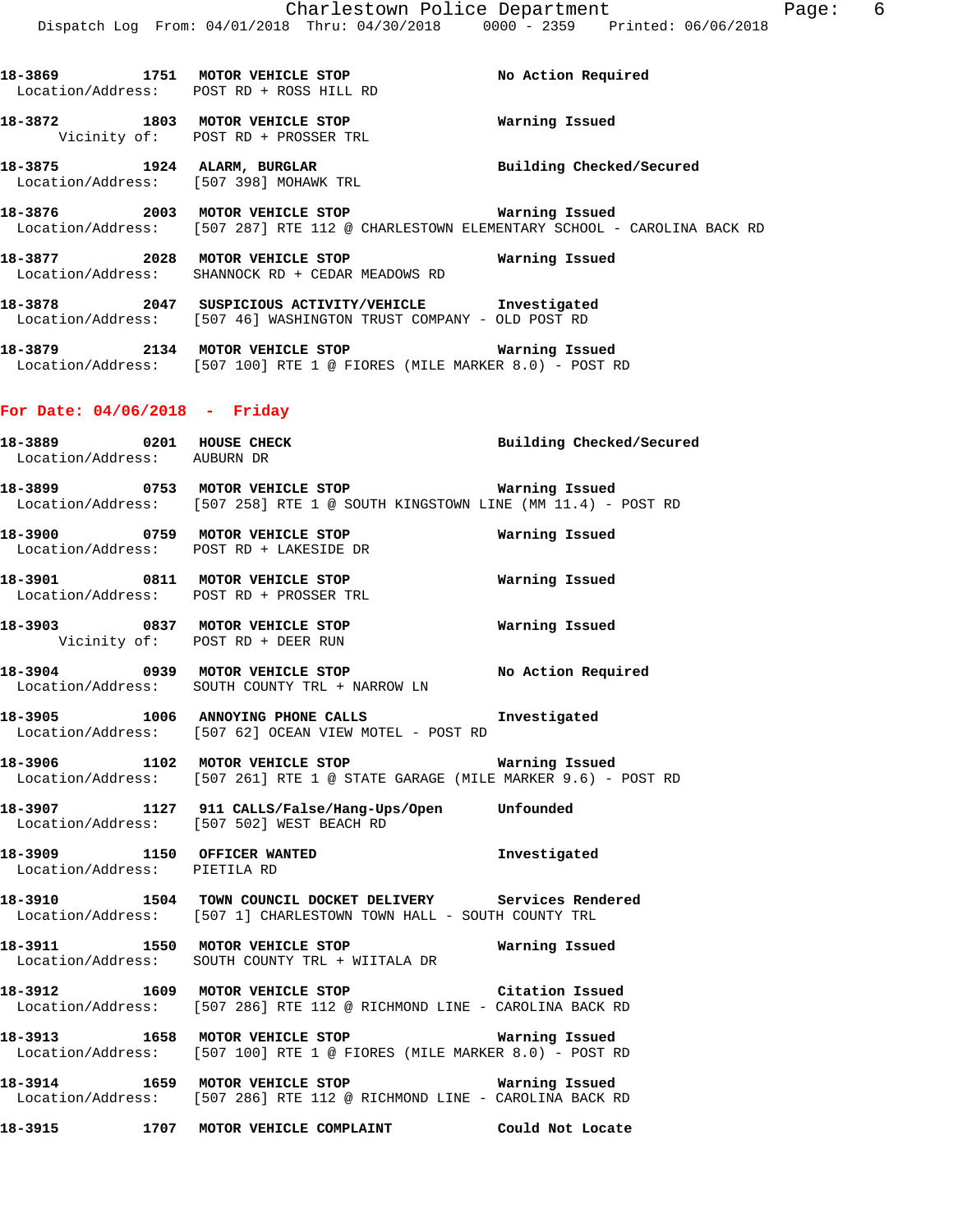**18-3869 1751 MOTOR VEHICLE STOP No Action Required** 

**18-3875 1924 ALARM, BURGLAR Building Checked/Secured** 

Location/Address: [507 287] RTE 112 @ CHARLESTOWN ELEMENTARY SCHOOL - CAROLINA BACK RD

**18-3872 1803 MOTOR VEHICLE STOP Warning Issued** 

**18-3876 2003 MOTOR VEHICLE STOP Warning Issued** 

Location/Address: POST RD + ROSS HILL RD

Location/Address: [507 398] MOHAWK TRL

Vicinity of: POST RD + PROSSER TRL

**18-3877 2028 MOTOR VEHICLE STOP Warning Issued**  Location/Address: SHANNOCK RD + CEDAR MEADOWS RD **18-3878 2047 SUSPICIOUS ACTIVITY/VEHICLE Investigated**  Location/Address: [507 46] WASHINGTON TRUST COMPANY - OLD POST RD **18-3879 2134 MOTOR VEHICLE STOP Warning Issued**  Location/Address: [507 100] RTE 1 @ FIORES (MILE MARKER 8.0) - POST RD **For Date: 04/06/2018 - Friday 18-3889 0201 HOUSE CHECK Building Checked/Secured**  Location/Address: AUBURN DR **18-3899 0753 MOTOR VEHICLE STOP Warning Issued**  Location/Address: [507 258] RTE 1 @ SOUTH KINGSTOWN LINE (MM 11.4) - POST RD **18-3900 0759 MOTOR VEHICLE STOP Warning Issued**  Location/Address: POST RD + LAKESIDE DR **18-3901 0811 MOTOR VEHICLE STOP Warning Issued**  Location/Address: POST RD + PROSSER TRL **18-3903 0837 MOTOR VEHICLE STOP Warning Issued**  Vicinity of: POST RD + DEER RUN **18-3904 0939 MOTOR VEHICLE STOP No Action Required**  Location/Address: SOUTH COUNTY TRL + NARROW LN **18-3905 1006 ANNOYING PHONE CALLS Investigated**  Location/Address: [507 62] OCEAN VIEW MOTEL - POST RD **18-3906 1102 MOTOR VEHICLE STOP Warning Issued**  Location/Address: [507 261] RTE 1 @ STATE GARAGE (MILE MARKER 9.6) - POST RD **18-3907 1127 911 CALLS/False/Hang-Ups/Open Unfounded**  Location/Address: [507 502] WEST BEACH RD **18-3909 1150 OFFICER WANTED Investigated**  Location/Address: PIETILA RD **18-3910 1504 TOWN COUNCIL DOCKET DELIVERY Services Rendered**  Location/Address: [507 1] CHARLESTOWN TOWN HALL - SOUTH COUNTY TRL **18-3911 1550 MOTOR VEHICLE STOP Warning Issued**  Location/Address: SOUTH COUNTY TRL + WIITALA DR **18-3912 1609 MOTOR VEHICLE STOP Citation Issued**  Location/Address: [507 286] RTE 112 @ RICHMOND LINE - CAROLINA BACK RD **18-3913 1658 MOTOR VEHICLE STOP Warning Issued**  Location/Address: [507 100] RTE 1 @ FIORES (MILE MARKER 8.0) - POST RD **18-3914 1659 MOTOR VEHICLE STOP Warning Issued**  Location/Address: [507 286] RTE 112 @ RICHMOND LINE - CAROLINA BACK RD **18-3915 1707 MOTOR VEHICLE COMPLAINT Could Not Locate**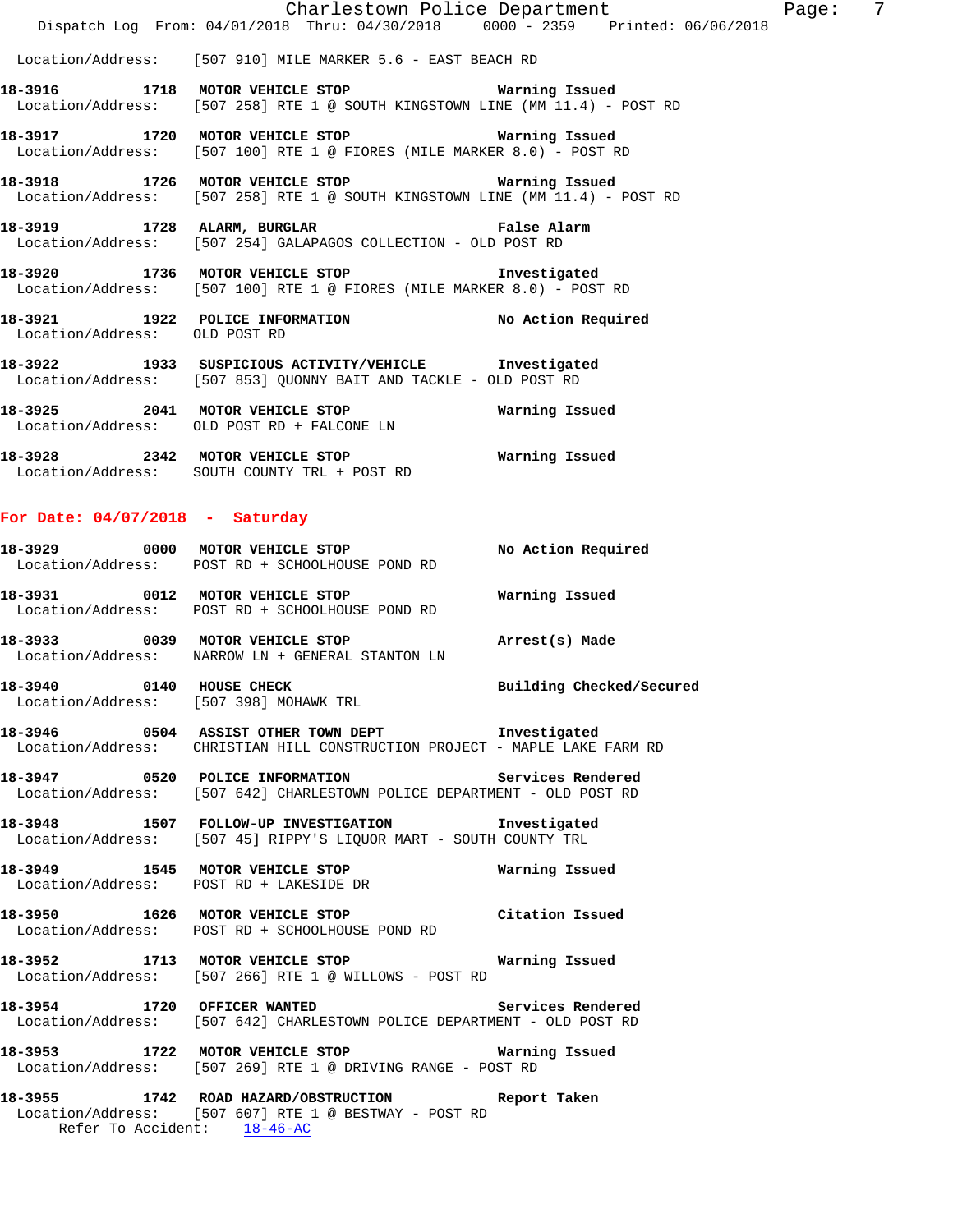|                               | Charlestown Police Department                                                                                                         |  |
|-------------------------------|---------------------------------------------------------------------------------------------------------------------------------------|--|
|                               | Dispatch Log From: 04/01/2018 Thru: 04/30/2018 0000 - 2359 Printed: 06/06/2018                                                        |  |
|                               | Location/Address: [507 910] MILE MARKER 5.6 - EAST BEACH RD                                                                           |  |
|                               | 18-3916 1718 MOTOR VEHICLE STOP <b>WATNING</b> ISSued<br>Location/Address: [507 258] RTE 1 @ SOUTH KINGSTOWN LINE (MM 11.4) - POST RD |  |
|                               | 18-3917 1720 MOTOR VEHICLE STOP <b>WATNING ISSUED</b><br>Location/Address: [507 100] RTE 1 @ FIORES (MILE MARKER 8.0) - POST RD       |  |
|                               | 18-3918 1726 MOTOR VEHICLE STOP 6 Warning Issued<br>Location/Address: [507 258] RTE 1 @ SOUTH KINGSTOWN LINE (MM 11.4) - POST RD      |  |
|                               | 18-3919 1728 ALARM, BURGLAR 1997 18-3919 False Alarm<br>Location/Address: [507 254] GALAPAGOS COLLECTION - OLD POST RD                |  |
|                               | 18-3920 1736 MOTOR VEHICLE STOP 5 Investigated<br>Location/Address: [507 100] RTE 1 @ FIORES (MILE MARKER 8.0) - POST RD              |  |
| Location/Address: OLD POST RD | 18-3921 1922 POLICE INFORMATION No Action Required                                                                                    |  |
|                               | 18-3922 1933 SUSPICIOUS ACTIVITY/VEHICLE Investigated<br>Location/Address: [507 853] QUONNY BAIT AND TACKLE - OLD POST RD             |  |

 Location/Address: OLD POST RD + FALCONE LN **18-3928 2342 MOTOR VEHICLE STOP Warning Issued**  Location/Address: SOUTH COUNTY TRL + POST RD

**18-3925 2041 MOTOR VEHICLE STOP Warning Issued** 

#### **For Date: 04/07/2018 - Saturday**

| 18-3929                      | 0000 | MOTOR VEHICLE STOP                                                    | No Action Required |
|------------------------------|------|-----------------------------------------------------------------------|--------------------|
|                              |      | Location/Address: POST RD + SCHOOLHOUSE POND RD                       |                    |
| 18–3931                      | 0012 | MOTOR VEHICLE STOP<br>Location/Address: POST RD + SCHOOLHOUSE POND RD | Warning Issued     |
| 18-3933<br>Location/Address: | 0039 | MOTOR VEHICLE STOP<br>NARROW LN + GENERAL STANTON LN                  | Arrest(s) Made     |

**18-3940 0140 HOUSE CHECK Building Checked/Secured**  Location/Address: [507 398] MOHAWK TRL

**18-3946 0504 ASSIST OTHER TOWN DEPT Investigated**  Location/Address: CHRISTIAN HILL CONSTRUCTION PROJECT - MAPLE LAKE FARM RD

**18-3947 0520 POLICE INFORMATION Services Rendered**  Location/Address: [507 642] CHARLESTOWN POLICE DEPARTMENT - OLD POST RD

**18-3948 1507 FOLLOW-UP INVESTIGATION Investigated**  Location/Address: [507 45] RIPPY'S LIQUOR MART - SOUTH COUNTY TRL

**18-3949 1545 MOTOR VEHICLE STOP Warning Issued**  Location/Address: POST RD + LAKESIDE DR

**18-3950 1626 MOTOR VEHICLE STOP Citation Issued**  Location/Address: POST RD + SCHOOLHOUSE POND RD

**18-3952 1713 MOTOR VEHICLE STOP Warning Issued**  Location/Address: [507 266] RTE 1 @ WILLOWS - POST RD

**18-3954 1720 OFFICER WANTED Services Rendered**  Location/Address: [507 642] CHARLESTOWN POLICE DEPARTMENT - OLD POST RD

**18-3953 1722 MOTOR VEHICLE STOP Warning Issued**  Location/Address: [507 269] RTE 1 @ DRIVING RANGE - POST RD

**18-3955 1742 ROAD HAZARD/OBSTRUCTION Report Taken**  Location/Address: [507 607] RTE 1 @ BESTWAY - POST RD Refer To Accident: 18-46-AC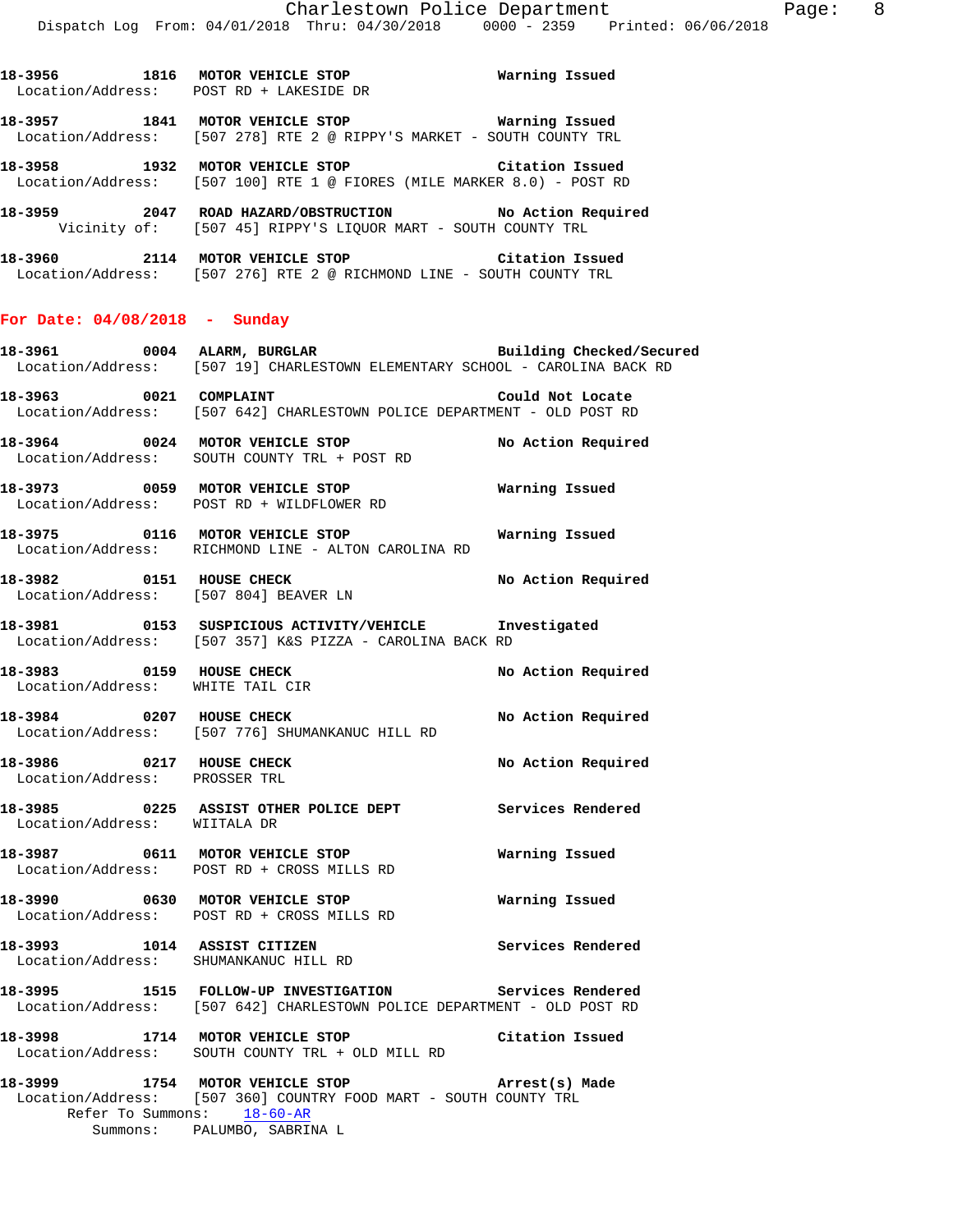**18-3956 1816 MOTOR VEHICLE STOP Warning Issued** 

Location/Address: POST RD + LAKESIDE DR

**18-3957 1841 MOTOR VEHICLE STOP Warning Issued**  Location/Address: [507 278] RTE 2 @ RIPPY'S MARKET - SOUTH COUNTY TRL **18-3958 1932 MOTOR VEHICLE STOP Citation Issued**  Location/Address: [507 100] RTE 1 @ FIORES (MILE MARKER 8.0) - POST RD **18-3959 2047 ROAD HAZARD/OBSTRUCTION No Action Required**  Vicinity of: [507 45] RIPPY'S LIQUOR MART - SOUTH COUNTY TRL **18-3960 2114 MOTOR VEHICLE STOP Citation Issued**  Location/Address: [507 276] RTE 2 @ RICHMOND LINE - SOUTH COUNTY TRL **For Date: 04/08/2018 - Sunday 18-3961 0004 ALARM, BURGLAR Building Checked/Secured**  Location/Address: [507 19] CHARLESTOWN ELEMENTARY SCHOOL - CAROLINA BACK RD **18-3963 0021 COMPLAINT Could Not Locate**  Location/Address: [507 642] CHARLESTOWN POLICE DEPARTMENT - OLD POST RD **18-3964 0024 MOTOR VEHICLE STOP No Action Required**  Location/Address: SOUTH COUNTY TRL + POST RD **18-3973 0059 MOTOR VEHICLE STOP Warning Issued**  Location/Address: POST RD + WILDFLOWER RD **18-3975 0116 MOTOR VEHICLE STOP Warning Issued**  Location/Address: RICHMOND LINE - ALTON CAROLINA RD **18-3982 0151 HOUSE CHECK No Action Required**  Location/Address: [507 804] BEAVER LN **18-3981 0153 SUSPICIOUS ACTIVITY/VEHICLE Investigated**  Location/Address: [507 357] K&S PIZZA - CAROLINA BACK RD **18-3983 0159 HOUSE CHECK No Action Required**  Location/Address: WHITE TAIL CIR **18-3984 0207 HOUSE CHECK No Action Required**  Location/Address: [507 776] SHUMANKANUC HILL RD **18-3986 0217 HOUSE CHECK No Action Required**  Location/Address: PROSSER TRL **18-3985 0225 ASSIST OTHER POLICE DEPT Services Rendered**  Location/Address: WIITALA DR **18-3987 0611 MOTOR VEHICLE STOP Warning Issued**  Location/Address: POST RD + CROSS MILLS RD **18-3990 0630 MOTOR VEHICLE STOP Warning Issued**  Location/Address: POST RD + CROSS MILLS RD **18-3993 1014 ASSIST CITIZEN Services Rendered**  Location/Address: SHUMANKANUC HILL RD

**18-3995 1515 FOLLOW-UP INVESTIGATION Services Rendered**  Location/Address: [507 642] CHARLESTOWN POLICE DEPARTMENT - OLD POST RD

**18-3998 1714 MOTOR VEHICLE STOP Citation Issued**  Location/Address: SOUTH COUNTY TRL + OLD MILL RD

**18-3999 1754 MOTOR VEHICLE STOP Arrest(s) Made**  Location/Address: [507 360] COUNTRY FOOD MART - SOUTH COUNTY TRL Refer To Summons: 18-60-AR Summons: PALUMBO, SABRINA L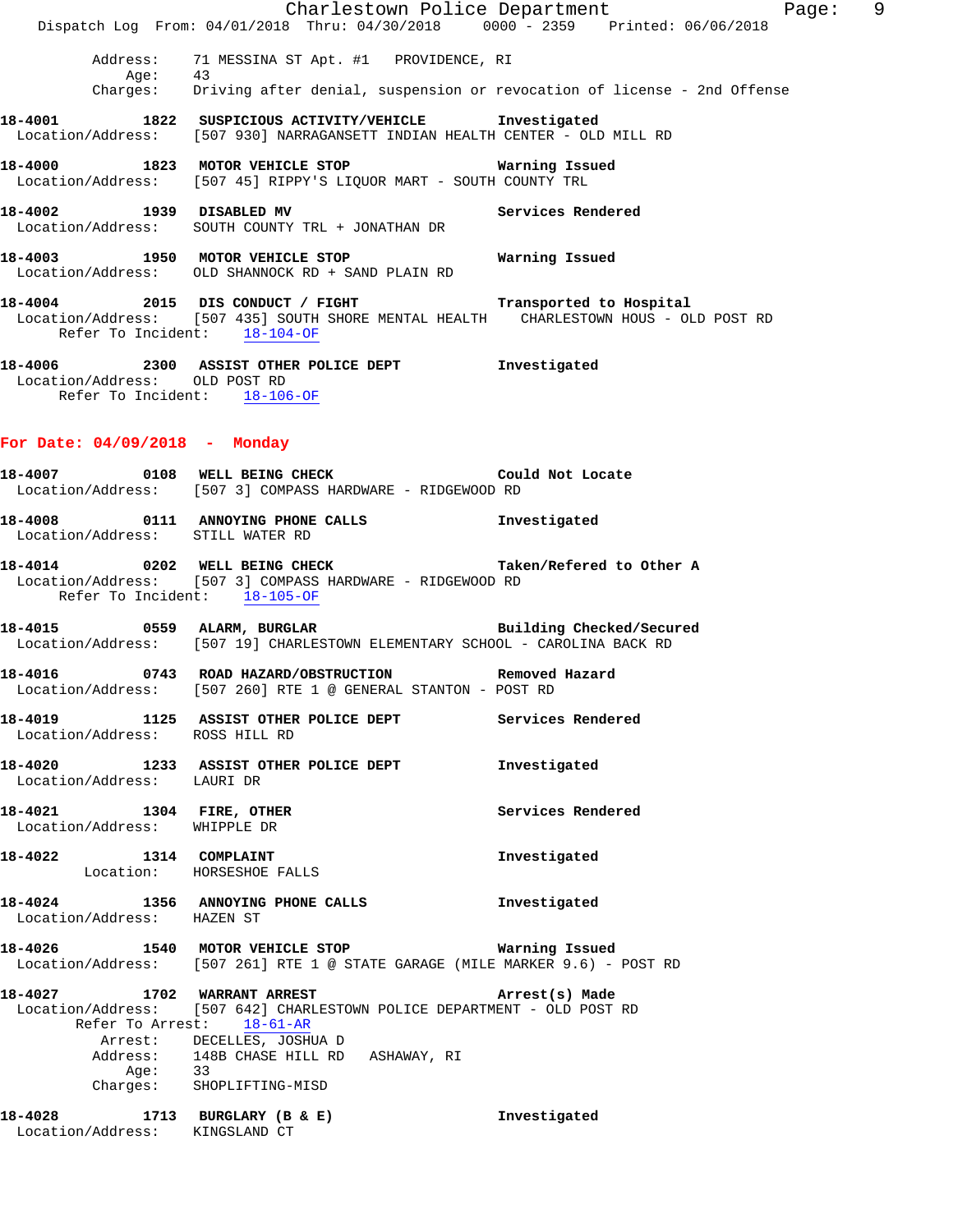|                                                               | Dispatch Log From: 04/01/2018 Thru: 04/30/2018 0000 - 2359 Printed: 06/06/2018                                                                                                                               | Charlestown Police Department<br>Page: 9 |
|---------------------------------------------------------------|--------------------------------------------------------------------------------------------------------------------------------------------------------------------------------------------------------------|------------------------------------------|
| Address:                                                      | 71 MESSINA ST Apt. #1 PROVIDENCE, RI<br>Age: 43<br>Charges: Driving after denial, suspension or revocation of license - 2nd Offense                                                                          |                                          |
|                                                               | 18-4001 1822 SUSPICIOUS ACTIVITY/VEHICLE Investigated<br>Location/Address: [507 930] NARRAGANSETT INDIAN HEALTH CENTER - OLD MILL RD                                                                         |                                          |
|                                                               | 18-4000 1823 MOTOR VEHICLE STOP 6 Warning Issued<br>Location/Address: [507 45] RIPPY'S LIQUOR MART - SOUTH COUNTY TRL                                                                                        |                                          |
|                                                               | 18-4002 1939 DISABLED MV Services Rendered<br>Location/Address: SOUTH COUNTY TRL + JONATHAN DR                                                                                                               |                                          |
|                                                               | 18-4003 1950 MOTOR VEHICLE STOP 6 Warning Issued<br>Location/Address: OLD SHANNOCK RD + SAND PLAIN RD                                                                                                        |                                          |
| Refer To Incident: 18-104-OF                                  | 18-4004 2015 DIS CONDUCT / FIGHT Transported to Hospital<br>Location/Address: [507 435] SOUTH SHORE MENTAL HEALTH CHARLESTOWN HOUS - OLD POST RD                                                             |                                          |
| Location/Address: OLD POST RD<br>Refer To Incident: 18-106-OF | 18-4006 2300 ASSIST OTHER POLICE DEPT 1nvestigated                                                                                                                                                           |                                          |
| For Date: 04/09/2018 - Monday                                 |                                                                                                                                                                                                              |                                          |
|                                                               | 18-4007 0108 WELL BEING CHECK COULD Not Locate<br>Location/Address: [507 3] COMPASS HARDWARE - RIDGEWOOD RD                                                                                                  |                                          |
| Location/Address: STILL WATER RD                              | 18-4008 0111 ANNOYING PHONE CALLS 1nvestigated                                                                                                                                                               |                                          |
| Refer To Incident: 18-105-OF                                  | 18-4014 0202 WELL BEING CHECK Taken/Refered to Other A<br>Location/Address: [507 3] COMPASS HARDWARE - RIDGEWOOD RD                                                                                          |                                          |
|                                                               | 18-4015 0559 ALARM, BURGLAR<br>Location/Address: [507 19] CHARLESTOWN ELEMENTARY SCHOOL - CAROLINA BACK RD                                                                                                   | Building Checked/Secured                 |
|                                                               | 18-4016  0743  ROAD HAZARD/OBSTRUCTION  Removed Hazard<br>Location/Address: [507 260] RTE 1 @ GENERAL STANTON - POST RD                                                                                      |                                          |
| Location/Address: ROSS HILL RD                                | 18-4019 1125 ASSIST OTHER POLICE DEPT                                                                                                                                                                        | Services Rendered                        |
| Location/Address: LAURI DR                                    | 18-4020 1233 ASSIST OTHER POLICE DEPT                                                                                                                                                                        | Investigated                             |
| 18-4021 1304 FIRE, OTHER<br>Location/Address: WHIPPLE DR      |                                                                                                                                                                                                              | Services Rendered                        |
| 18-4022 1314 COMPLAINT<br>Location: HORSESHOE FALLS           |                                                                                                                                                                                                              | Investigated                             |
| Location/Address: HAZEN ST                                    | 18-4024 1356 ANNOYING PHONE CALLS                                                                                                                                                                            | Investigated                             |
|                                                               | 18-4026 1540 MOTOR VEHICLE STOP 6 Warning Issued<br>Location/Address: [507 261] RTE 1 @ STATE GARAGE (MILE MARKER 9.6) - POST RD                                                                             |                                          |
|                                                               | 18-4027 1702 WARRANT ARREST<br>Location/Address: [507 642] CHARLESTOWN POLICE DEPARTMENT - OLD POST RD<br>Refer To Arrest: 18-61-AR<br>Arrest: DECELLES, JOSHUA D<br>Address: 148B CHASE HILL RD ASHAWAY, RI | Arrest(s) Made                           |
|                                                               | Age: 33<br>Charges: SHOPLIFTING-MISD<br>18-4028 1713 BURGLARY (B & E)                                                                                                                                        | Investigated                             |
| Location/Address: KINGSLAND CT                                |                                                                                                                                                                                                              |                                          |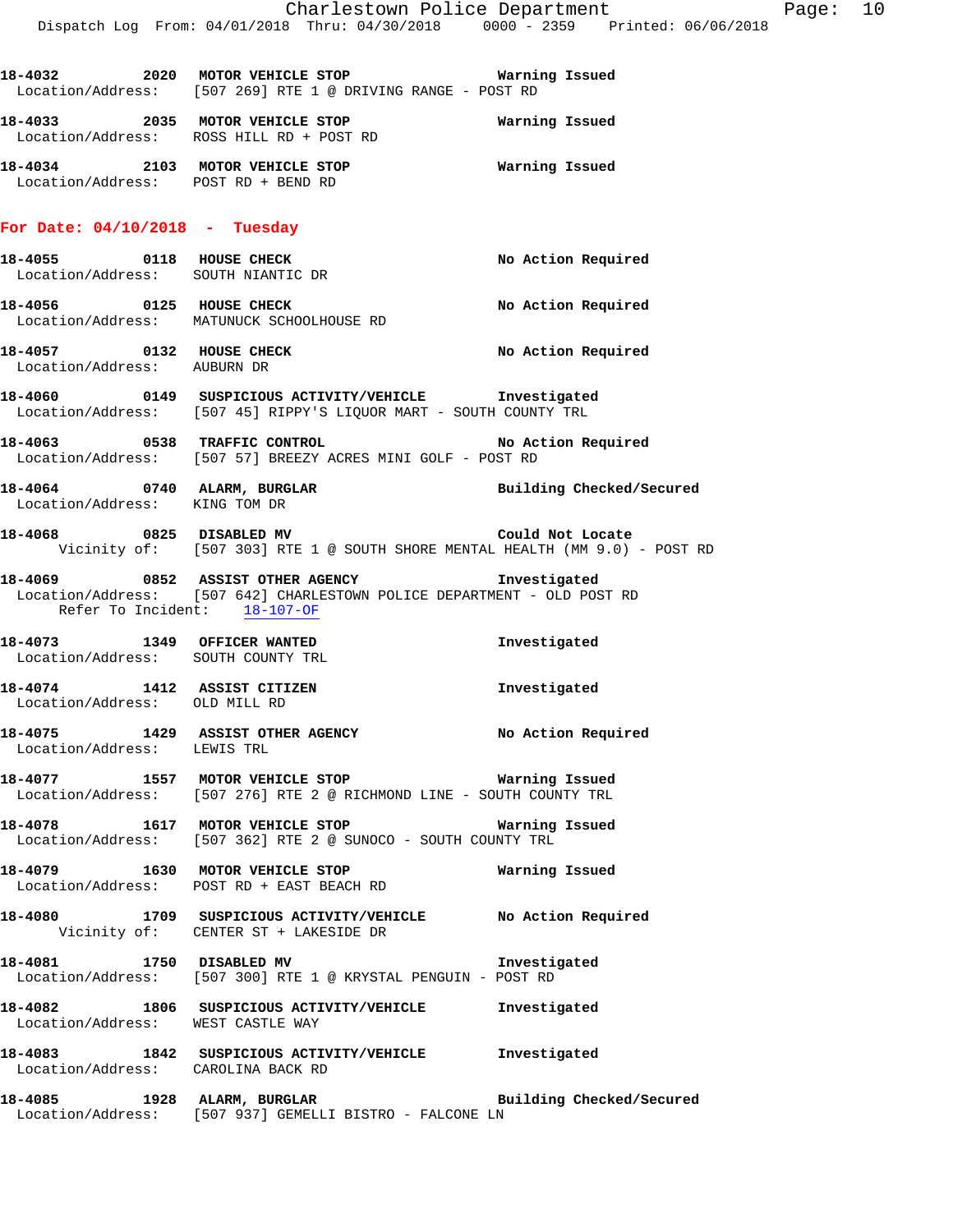|                                                                        | Dispatch Log From: 04/01/2018 Thru: 04/30/2018 0000 - 2359 Printed: 06/06/2018                                                | Charlestown Police Department | Page: 10 |  |
|------------------------------------------------------------------------|-------------------------------------------------------------------------------------------------------------------------------|-------------------------------|----------|--|
|                                                                        | Location/Address: [507 269] RTE 1 @ DRIVING RANGE - POST RD                                                                   |                               |          |  |
|                                                                        | 18-4033 2035 MOTOR VEHICLE STOP<br>Location/Address: ROSS HILL RD + POST RD                                                   | Warning Issued                |          |  |
| 18-4034 2103 MOTOR VEHICLE STOP<br>Location/Address: POST RD + BEND RD |                                                                                                                               | Warning Issued                |          |  |
| For Date: $04/10/2018$ - Tuesday                                       |                                                                                                                               |                               |          |  |
| Location/Address: SOUTH NIANTIC DR                                     | 18-4055 0118 HOUSE CHECK                                                                                                      | No Action Required            |          |  |
|                                                                        | 18-4056 0125 HOUSE CHECK<br>Location/Address: MATUNUCK SCHOOLHOUSE RD                                                         | No Action Required            |          |  |
| Location/Address: AUBURN DR                                            | 18-4057 0132 HOUSE CHECK                                                                                                      | No Action Required            |          |  |
|                                                                        | 18-4060  0149  SUSPICIOUS ACTIVITY/VEHICLE  Investigated<br>Location/Address: [507 45] RIPPY'S LIQUOR MART - SOUTH COUNTY TRL |                               |          |  |
|                                                                        | 18-4063 0538 TRAFFIC CONTROL<br>Location/Address: [507 57] BREEZY ACRES MINI GOLF - POST RD                                   | No Action Required            |          |  |
| Location/Address: KING TOM DR                                          | 18-4064 		 0740 ALARM, BURGLAR 		 Building Checked/Secured                                                                    |                               |          |  |
|                                                                        | $18-4068$ 0825 DISABLED MV<br>Vicinity of: [507 303] RTE 1 @ SOUTH SHORE MENTAL HEALTH (MM 9.0) - POST RD                     | Could Not Locate              |          |  |
| Refer To Incident: 18-107-OF                                           | 18-4069 6852 ASSIST OTHER AGENCY Threstigated<br>Location/Address: [507 642] CHARLESTOWN POLICE DEPARTMENT - OLD POST RD      |                               |          |  |
| 18-4073 1349 OFFICER WANTED<br>Location/Address: SOUTH COUNTY TRL      |                                                                                                                               | Investigated                  |          |  |
| 18-4074 1412 ASSIST CITIZEN<br>Location/Address: OLD MILL RD           |                                                                                                                               | Investigated                  |          |  |
| Location/Address: LEWIS TRL                                            | 18-4075 1429 ASSIST OTHER AGENCY No Action Required                                                                           |                               |          |  |
|                                                                        | 18-4077 1557 MOTOR VEHICLE STOP 18 Warning Issued<br>Location/Address: [507 276] RTE 2 @ RICHMOND LINE - SOUTH COUNTY TRL     |                               |          |  |
|                                                                        | 18-4078 1617 MOTOR VEHICLE STOP 18 Warning Issued<br>Location/Address: [507 362] RTE 2 @ SUNOCO - SOUTH COUNTY TRL            |                               |          |  |
|                                                                        | 18-4079 1630 MOTOR VEHICLE STOP 18 Warning Issued<br>Location/Address: POST RD + EAST BEACH RD                                |                               |          |  |
|                                                                        | 18-4080 1709 SUSPICIOUS ACTIVITY/VEHICLE No Action Required<br>Vicinity of: CENTER ST + LAKESIDE DR                           |                               |          |  |
|                                                                        | 18-4081 1750 DISABLED MV<br>Location/Address: [507 300] RTE 1 @ KRYSTAL PENGUIN - POST RD                                     | Investigated                  |          |  |
| Location/Address: WEST CASTLE WAY                                      | 18-4082 1806 SUSPICIOUS ACTIVITY/VEHICLE Investigated                                                                         |                               |          |  |
| Location/Address: CAROLINA BACK RD                                     | 18-4083 1842 SUSPICIOUS ACTIVITY/VEHICLE 1nvestigated                                                                         |                               |          |  |
|                                                                        | 18-4085 1928 ALARM, BURGLAR<br>Location/Address: [507 937] GEMELLI BISTRO - FALCONE LN                                        | Building Checked/Secured      |          |  |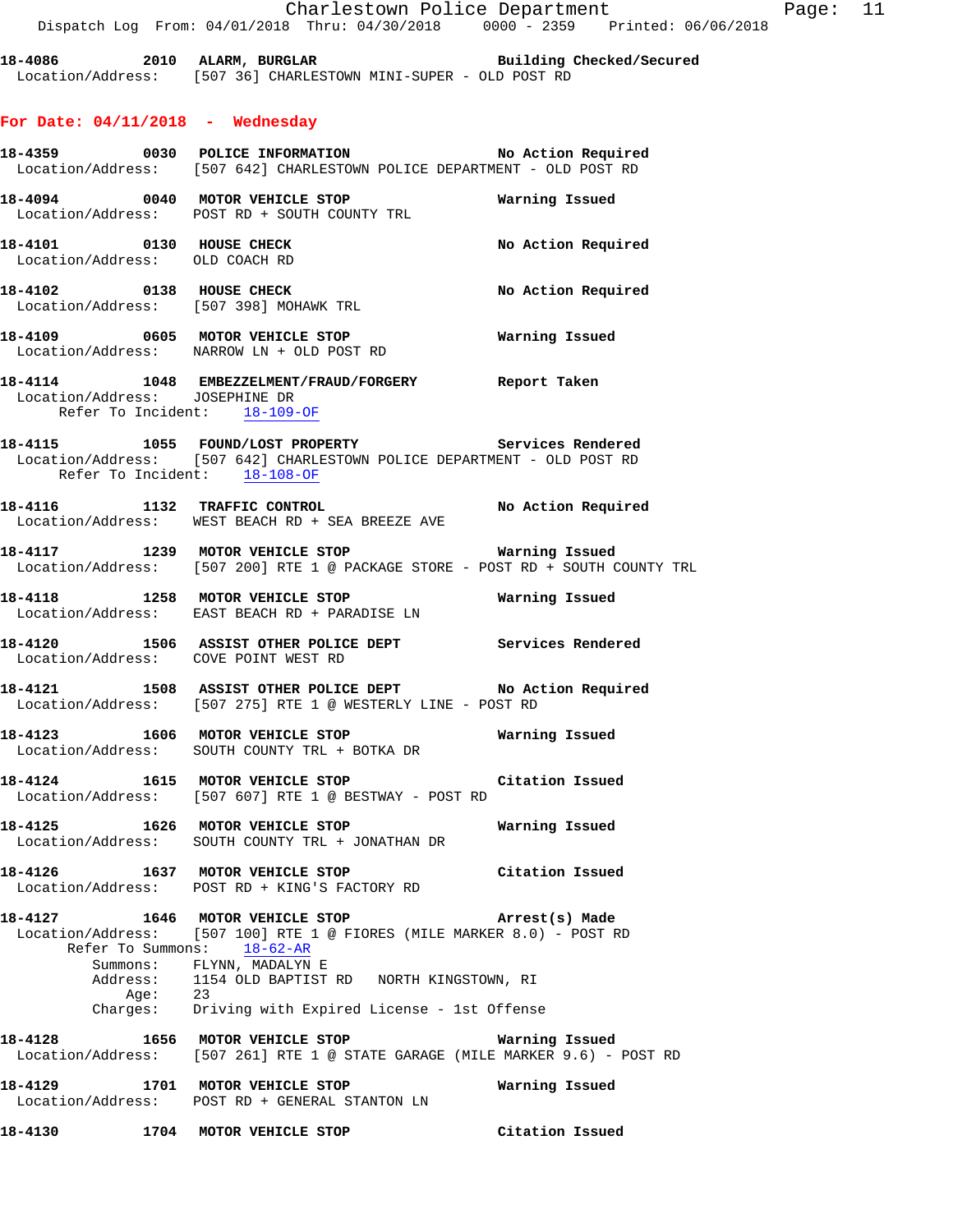**18-4086 2010 ALARM, BURGLAR Building Checked/Secured**  Location/Address: [507 36] CHARLESTOWN MINI-SUPER - OLD POST RD

### **For Date: 04/11/2018 - Wednesday**

|                                | 18-4359 0030 POLICE INFORMATION No Action Required<br>Location/Address: [507 642] CHARLESTOWN POLICE DEPARTMENT - OLD POST RD                                 |                    |
|--------------------------------|---------------------------------------------------------------------------------------------------------------------------------------------------------------|--------------------|
|                                | 18-4094 0040 MOTOR VEHICLE STOP<br>Location/Address: POST RD + SOUTH COUNTY TRL                                                                               | Warning Issued     |
| Location/Address: OLD COACH RD | 18-4101 0130 HOUSE CHECK                                                                                                                                      | No Action Required |
|                                | 18-4102 0138 HOUSE CHECK<br>Location/Address: [507 398] MOHAWK TRL                                                                                            | No Action Required |
|                                | Location/Address: NARROW LN + OLD POST RD                                                                                                                     |                    |
| Location/Address: JOSEPHINE DR | 18-4114 1048 EMBEZZELMENT/FRAUD/FORGERY Report Taken<br>Refer To Incident: 18-109-OF                                                                          |                    |
|                                | 18-4115 1055 FOUND/LOST PROPERTY Services Rendered<br>Location/Address: [507 642] CHARLESTOWN POLICE DEPARTMENT - OLD POST RD<br>Refer To Incident: 18-108-OF |                    |
|                                | <br> 18-4116                1132     TRAFFIC CONTROL                                 No  Action  Required<br>Location/Address: WEST BEACH RD + SEA BREEZE AVE |                    |
|                                | 18-4117 1239 MOTOR VEHICLE STOP <b>WATER WATER</b><br>Location/Address: [507 200] RTE 1 @ PACKAGE STORE - POST RD + SOUTH COUNTY TRL                          |                    |
|                                | 18-4118 1258 MOTOR VEHICLE STOP <b>WATER WATER</b><br>Location/Address: EAST BEACH RD + PARADISE LN                                                           |                    |
|                                | 18-4120 1506 ASSIST OTHER POLICE DEPT Services Rendered<br>Location/Address: COVE POINT WEST RD                                                               |                    |
|                                | 18-4121 1508 ASSIST OTHER POLICE DEPT No Action Required<br>Location/Address: [507 275] RTE 1 @ WESTERLY LINE - POST RD                                       |                    |
|                                | 18-4123 1606 MOTOR VEHICLE STOP 1991 Warning Issued<br>Location/Address: SOUTH COUNTY TRL + BOTKA DR                                                          |                    |
|                                | 18-4124 1615 MOTOR VEHICLE STOP Citation Issued<br>Location/Address: [507 607] RTE 1 @ BESTWAY - POST RD                                                      |                    |
|                                | Location/Address: SOUTH COUNTY TRL + JONATHAN DR                                                                                                              |                    |
|                                | 18-4126 1637 MOTOR VEHICLE STOP<br>Location/Address: POST RD + KING'S FACTORY RD                                                                              | Citation Issued    |
| 18-4127                        | 1646 MOTOR VEHICLE STOP<br>Location/Address: [507 100] RTE 1 @ FIORES (MILE MARKER 8.0) - POST RD<br>Refer To Summons: $18-62-AR$                             | Arrest(s) Made     |
|                                | Summons: FLYNN, MADALYN E<br>Address: 1154 OLD BAPTIST RD NORTH KINGSTOWN, RI<br>Age: 23<br>Charges: Driving with Expired License - 1st Offense               |                    |
|                                | 18-4128 1656 MOTOR VEHICLE STOP<br>Location/Address: [507 261] RTE 1 @ STATE GARAGE (MILE MARKER 9.6) - POST RD                                               | Warning Issued     |
|                                | 18-4129 1701 MOTOR VEHICLE STOP<br>Location/Address: POST RD + GENERAL STANTON LN                                                                             | Warning Issued     |
|                                | 18-4130 1704 MOTOR VEHICLE STOP                                                                                                                               | Citation Issued    |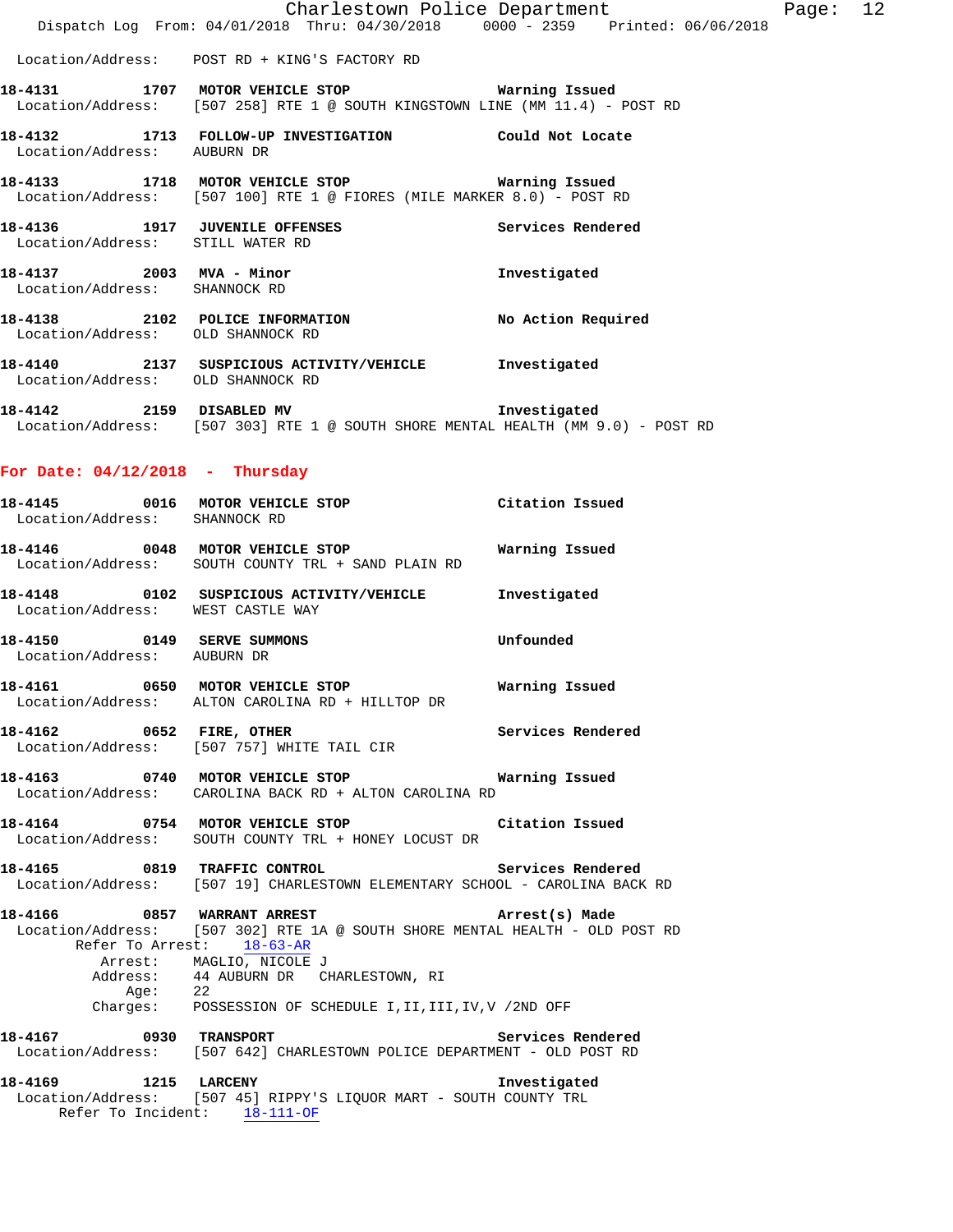|                                                                          | Charlestown Police Department                                                                                                 |                    | Page: $12$ |  |
|--------------------------------------------------------------------------|-------------------------------------------------------------------------------------------------------------------------------|--------------------|------------|--|
|                                                                          | Dispatch Log From: 04/01/2018 Thru: 04/30/2018 0000 - 2359 Printed: 06/06/2018                                                |                    |            |  |
|                                                                          | Location/Address: POST RD + KING'S FACTORY RD                                                                                 |                    |            |  |
|                                                                          | Location/Address: [507 258] RTE 1 @ SOUTH KINGSTOWN LINE (MM 11.4) - POST RD                                                  |                    |            |  |
| Location/Address: AUBURN DR                                              | 18-4132                   1713    FOLLOW-UP  INVESTIGATION                       Could  Not  Locate                           |                    |            |  |
|                                                                          | 18-4133 1718 MOTOR VEHICLE STOP 1991 Warning Issued<br>Location/Address: [507 100] RTE 1 @ FIORES (MILE MARKER 8.0) - POST RD |                    |            |  |
| 18-4136    1917    JUVENILE OFFENSES<br>Location/Address: STILL WATER RD |                                                                                                                               | Services Rendered  |            |  |
| 18-4137  2003  MVA - Minor<br>Location/Address:                          | SHANNOCK RD                                                                                                                   | Investigated       |            |  |
| 18-4138 2102 POLICE INFORMATION<br>Location/Address: OLD SHANNOCK RD     |                                                                                                                               | No Action Required |            |  |
| 18-4140                                                                  | 2137 SUSPICIOUS ACTIVITY/VEHICLE                                                                                              | Investigated       |            |  |

- **18-4142 2159 DISABLED MV Investigated**
- Location/Address: [507 303] RTE 1 @ SOUTH SHORE MENTAL HEALTH (MM 9.0) POST RD

# **For Date: 04/12/2018 - Thursday**

Location/Address: OLD SHANNOCK RD

| Location/Address: SHANNOCK RD     | 18-4145 0016 MOTOR VEHICLE STOP Citation Issued                                                                                                                                                                                                                               |  |
|-----------------------------------|-------------------------------------------------------------------------------------------------------------------------------------------------------------------------------------------------------------------------------------------------------------------------------|--|
|                                   | 18-4146   0048   MOTOR VEHICLE STOP   Warning Issued<br>Location/Address: SOUTH COUNTY TRL + SAND PLAIN RD                                                                                                                                                                    |  |
| Location/Address: WEST CASTLE WAY |                                                                                                                                                                                                                                                                               |  |
| Location/Address: AUBURN DR       | 18-4150  0149 SERVE SUMMONS  Unfounded                                                                                                                                                                                                                                        |  |
|                                   | Location/Address: ALTON CAROLINA RD + HILLTOP DR                                                                                                                                                                                                                              |  |
|                                   | 18-4162 0652 FIRE, OTHER 18-4162 Services Rendered<br>Location/Address: [507 757] WHITE TAIL CIR                                                                                                                                                                              |  |
|                                   | 18-4163 0740 MOTOR VEHICLE STOP <b>WAYNIG METALE</b><br>Location/Address: CAROLINA BACK RD + ALTON CAROLINA RD                                                                                                                                                                |  |
|                                   | 18-4164 0754 MOTOR VEHICLE STOP Citation Issued<br>Location/Address: SOUTH COUNTY TRL + HONEY LOCUST DR                                                                                                                                                                       |  |
|                                   | <br>18-4165                0819     TRAFFIC CONTROL                                 Services Rendered<br>Location/Address: [507 19] CHARLESTOWN ELEMENTARY SCHOOL - CAROLINA BACK RD                                                                                          |  |
| Refer To Arrest: 18-63-AR         | 18-4166 6 0857 WARRANT ARREST 1987 (arrest (s) Made<br>Location/Address: [507 302] RTE 1A @ SOUTH SHORE MENTAL HEALTH - OLD POST RD<br>Arrest: MAGLIO, NICOLE J<br>Address: 44 AUBURN DR CHARLESTOWN, RI<br>Age: 22<br>Charges: POSSESSION OF SCHEDULE I,II,III,IV,V /2ND OFF |  |
|                                   | Location/Address: [507 642] CHARLESTOWN POLICE DEPARTMENT - OLD POST RD                                                                                                                                                                                                       |  |
| Refer To Incident: 18-111-OF      | 18-4169 1215 LARCENY 18-4169 12015<br>Location/Address: [507 45] RIPPY'S LIQUOR MART - SOUTH COUNTY TRL                                                                                                                                                                       |  |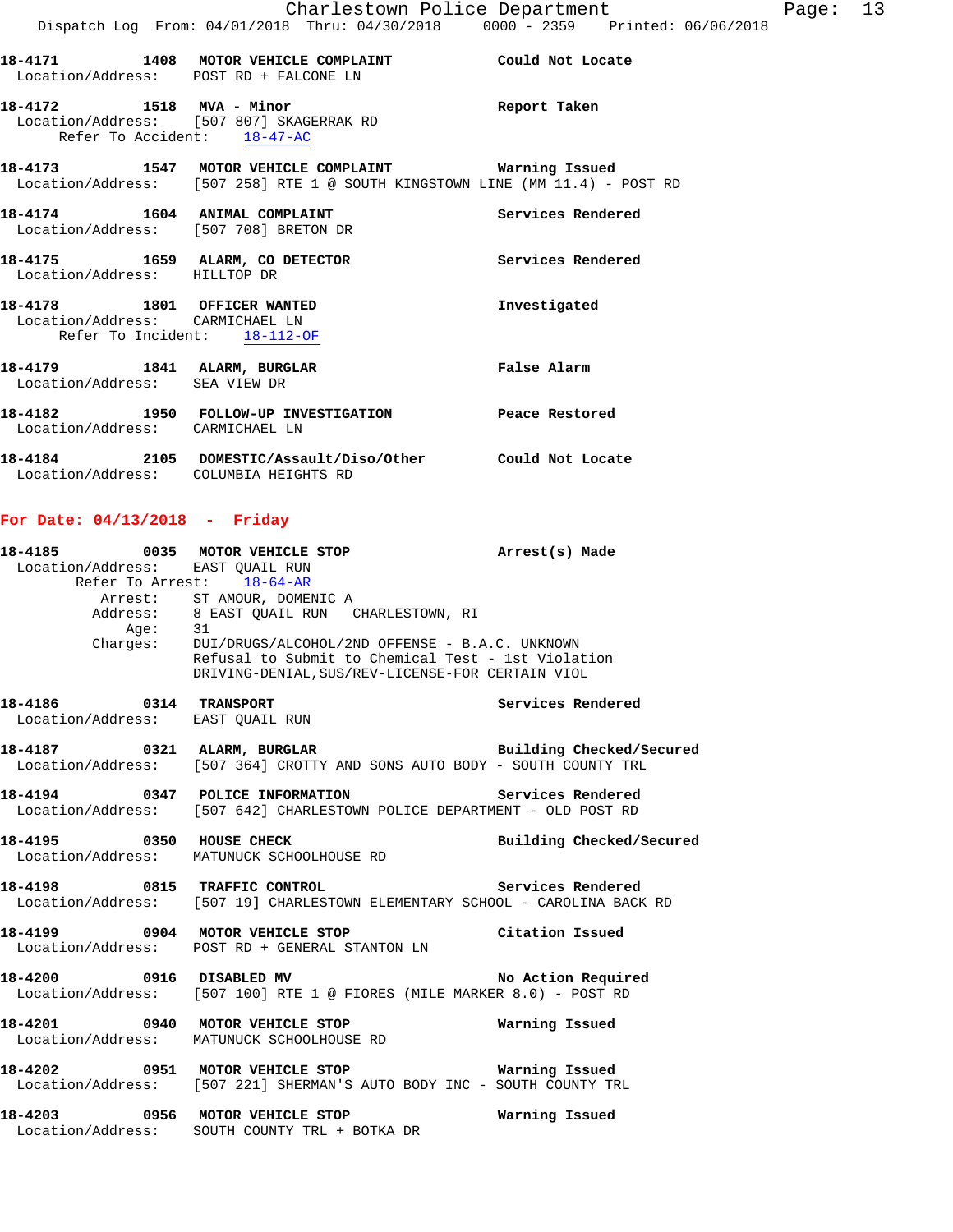|                              | 18-4171 1408 MOTOR VEHICLE COMPLAINT                                                                                                                                            | Could Not Locate  |
|------------------------------|---------------------------------------------------------------------------------------------------------------------------------------------------------------------------------|-------------------|
|                              | Location/Address: POST RD + FALCONE LN                                                                                                                                          |                   |
|                              | Location/Address: [507 807] SKAGERRAK RD<br>Refer To Accident: 18-47-AC                                                                                                         | Report Taken      |
|                              | 18-4173                   1547    MOTOR VEHICLE COMPLAINT                        Warning Issued<br>Location/Address: [507 258] RTE 1 @ SOUTH KINGSTOWN LINE (MM 11.4) - POST RD |                   |
|                              | 18-4174 1604 ANIMAL COMPLAINT<br>Location/Address: [507 708] BRETON DR                                                                                                          | Services Rendered |
| Location/Address: HILLTOP DR | 18-4175 1659 ALARM, CO DETECTOR                                                                                                                                                 | Services Rendered |

| 18-4178                      | 1801 | OFFICER WANTED<br>Location/Address: CARMICHAEL LN<br>Refer To Incident: 18-112-OF | Investigated     |
|------------------------------|------|-----------------------------------------------------------------------------------|------------------|
| 18-4179<br>Location/Address: | 1841 | ALARM, BURGLAR<br>SEA VIEW DR                                                     | False Alarm      |
| 18-4182<br>Location/Address: | 1950 | FOLLOW-UP INVESTIGATION<br>CARMICHAEL LN                                          | Peace Restored   |
| 18-4184<br>Location/Address: | 2105 | DOMESTIC/Assault/Diso/Other<br>COLUMBIA HEIGHTS RD                                | Could Not Locate |

## **For Date: 04/13/2018 - Friday**

| Location/Address: EAST QUAIL RUN | 18-4185 0035 MOTOR VEHICLE STOP 10 Arrest(s) Made<br>Refer To Arrest: 18-64-AR                                                                 |                          |
|----------------------------------|------------------------------------------------------------------------------------------------------------------------------------------------|--------------------------|
|                                  | Arrest: ST AMOUR, DOMENIC A<br>Address: 8 EAST QUAIL RUN CHARLESTOWN, RI<br>Age: 31<br>Charges: DUI/DRUGS/ALCOHOL/2ND OFFENSE - B.A.C. UNKNOWN |                          |
|                                  | Refusal to Submit to Chemical Test - 1st Violation<br>DRIVING-DENIAL, SUS/REV-LICENSE-FOR CERTAIN VIOL                                         |                          |
| Location/Address: EAST QUAIL RUN | 18-4186  0314 TRANSPORT  Services Rendered                                                                                                     |                          |
|                                  | 18-4187 0321 ALARM, BURGLAR BURGLAR Building Checked/Secured<br>Location/Address: [507 364] CROTTY AND SONS AUTO BODY - SOUTH COUNTY TRL       |                          |
|                                  | 18-4194 		 0347 POLICE INFORMATION 		 Services Rendered<br>Location/Address: [507 642] CHARLESTOWN POLICE DEPARTMENT - OLD POST RD             |                          |
|                                  | 18-4195 0350 HOUSE CHECK<br>Location/Address: MATUNUCK SCHOOLHOUSE RD                                                                          | Building Checked/Secured |
|                                  | Location/Address: [507 19] CHARLESTOWN ELEMENTARY SCHOOL - CAROLINA BACK RD                                                                    |                          |
|                                  | Location/Address: POST RD + GENERAL STANTON LN                                                                                                 |                          |
|                                  | 18-4200 0916 DISABLED MV No Action Required<br>Location/Address: [507 100] RTE 1 @ FIORES (MILE MARKER 8.0) - POST RD                          |                          |
|                                  | Location/Address: MATUNUCK SCHOOLHOUSE RD                                                                                                      |                          |
|                                  | 18-4202 0951 MOTOR VEHICLE STOP <b>WATER WATER</b><br>Location/Address: [507 221] SHERMAN'S AUTO BODY INC - SOUTH COUNTY TRL                   |                          |
|                                  | 18-4203 0956 MOTOR VEHICLE STOP<br>Location/Address: SOUTH COUNTY TRL + BOTKA DR                                                               | Warning Issued           |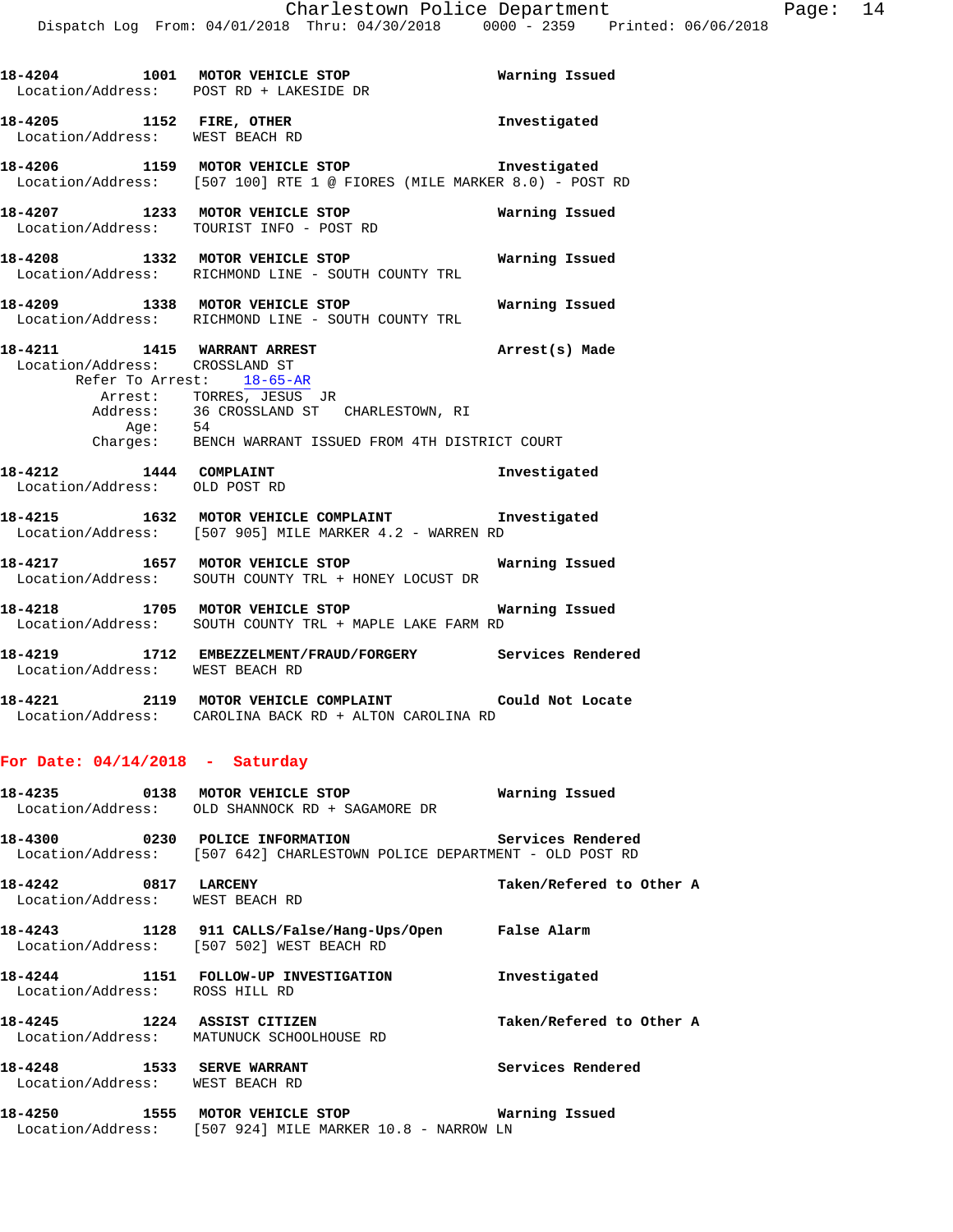|                               | 18-4204 1001 MOTOR VEHICLE STOP Warning Issued<br>Location/Address: POST RD + LAKESIDE DR                                                                                                                                                                  |                |
|-------------------------------|------------------------------------------------------------------------------------------------------------------------------------------------------------------------------------------------------------------------------------------------------------|----------------|
|                               | 18-4205 1152 FIRE, OTHER<br>Location/Address: WEST BEACH RD                                                                                                                                                                                                | Investigated   |
|                               | 18-4206 1159 MOTOR VEHICLE STOP Threstigated<br>Location/Address: [507 100] RTE 1 @ FIORES (MILE MARKER 8.0) - POST RD                                                                                                                                     |                |
|                               | 18-4207 1233 MOTOR VEHICLE STOP<br>Location/Address: TOURIST INFO - POST RD                                                                                                                                                                                | Warning Issued |
|                               | 18-4208 1332 MOTOR VEHICLE STOP 6 Warning Issued<br>Location/Address: RICHMOND LINE - SOUTH COUNTY TRL                                                                                                                                                     |                |
|                               | 18-4209 1338 MOTOR VEHICLE STOP 6 Warning Issued<br>Location/Address: RICHMOND LINE - SOUTH COUNTY TRL                                                                                                                                                     |                |
|                               | 18-4211 1415 WARRANT ARREST 2007 Arrest(s) Made<br>Location/Address: CROSSLAND ST<br>Refer To Arrest: 18-65-AR<br>Arrest: TORRES, JESUS JR<br>Address: 36 CROSSLAND ST CHARLESTOWN, RI<br>Age: 54<br>Charges: BENCH WARRANT ISSUED FROM 4TH DISTRICT COURT |                |
| Location/Address: OLD POST RD | 18-4212 1444 COMPLAINT                                                                                                                                                                                                                                     | Investigated   |
|                               | 18-4215 1632 MOTOR VEHICLE COMPLAINT 1nvestigated<br>Location/Address: [507 905] MILE MARKER 4.2 - WARREN RD                                                                                                                                               |                |
|                               | 18-4217 1657 MOTOR VEHICLE STOP <b>Marning Issued</b><br>Location/Address: SOUTH COUNTY TRL + HONEY LOCUST DR                                                                                                                                              |                |
|                               | 18-4218 1705 MOTOR VEHICLE STOP <b>WATER</b> Warning Issued<br>Location/Address: SOUTH COUNTY TRL + MAPLE LAKE FARM RD                                                                                                                                     |                |
|                               | 18-4219 1712 EMBEZZELMENT/FRAUD/FORGERY Services Rendered                                                                                                                                                                                                  |                |

Location/Address: WEST BEACH RD

**18-4221 2119 MOTOR VEHICLE COMPLAINT Could Not Locate**  Location/Address: CAROLINA BACK RD + ALTON CAROLINA RD

## **For Date: 04/14/2018 - Saturday**

|                                                                     | Location/Address: OLD SHANNOCK RD + SAGAMORE DR                                                                                       |                          |
|---------------------------------------------------------------------|---------------------------------------------------------------------------------------------------------------------------------------|--------------------------|
|                                                                     | 18-4300 			 0230 POLICE INFORMATION 				 Services Rendered<br>Location/Address: [507 642] CHARLESTOWN POLICE DEPARTMENT - OLD POST RD |                          |
| 18-4242 0817 LARCENY<br>Location/Address: WEST BEACH RD             |                                                                                                                                       | Taken/Refered to Other A |
|                                                                     | Location/Address: [507 502] WEST BEACH RD                                                                                             |                          |
| Location/Address: ROSS HILL RD                                      | 18-4244 1151 FOLLOW-UP INVESTIGATION Thvestigated                                                                                     |                          |
|                                                                     | Location/Address: MATUNUCK SCHOOLHOUSE RD                                                                                             | Taken/Refered to Other A |
| 18-4248    1533    SERVE WARRANT<br>Location/Address: WEST BEACH RD |                                                                                                                                       | Services Rendered        |
| 18-4250                                                             | 1555 MOTOR VEHICLE STOP                                                                                                               | Warning Issued           |

**18-4250 1555 MOTOR VEHICLE STOP Warning Issued**  Location/Address: [507 924] MILE MARKER 10.8 - NARROW LN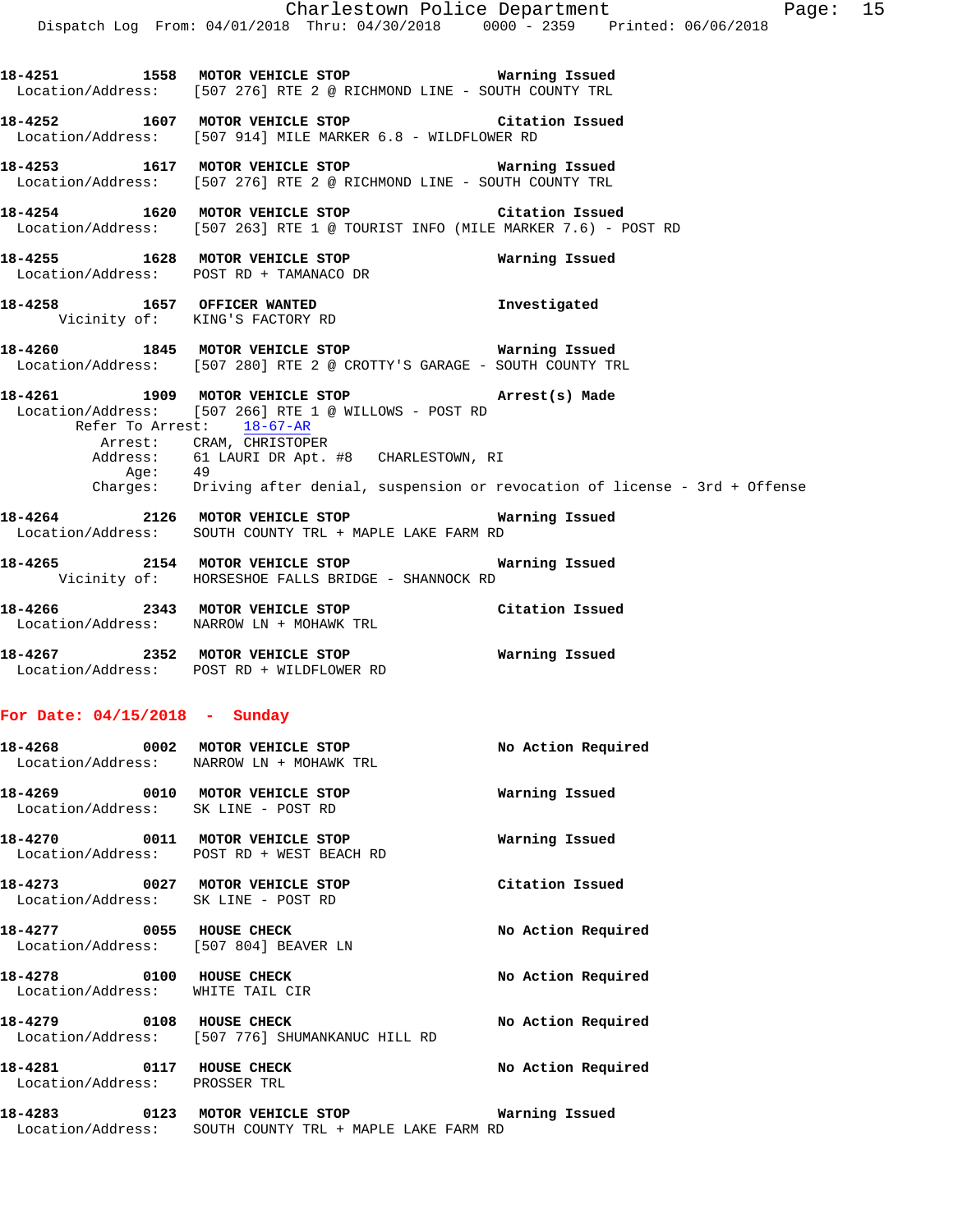**18-4251 1558 MOTOR VEHICLE STOP Warning Issued**  Location/Address: [507 276] RTE 2 @ RICHMOND LINE - SOUTH COUNTY TRL **18-4252 1607 MOTOR VEHICLE STOP Citation Issued**  Location/Address: [507 914] MILE MARKER 6.8 - WILDFLOWER RD **18-4253 1617 MOTOR VEHICLE STOP Warning Issued**  Location/Address: [507 276] RTE 2 @ RICHMOND LINE - SOUTH COUNTY TRL **18-4254 1620 MOTOR VEHICLE STOP Citation Issued**  Location/Address: [507 263] RTE 1 @ TOURIST INFO (MILE MARKER 7.6) - POST RD **18-4255 1628 MOTOR VEHICLE STOP Warning Issued**  Location/Address: POST RD + TAMANACO DR **18-4258 1657 OFFICER WANTED Investigated**  Vicinity of: KING'S FACTORY RD **18-4260 1845 MOTOR VEHICLE STOP Warning Issued**  Location/Address: [507 280] RTE 2 @ CROTTY'S GARAGE - SOUTH COUNTY TRL **18-4261 1909 MOTOR VEHICLE STOP Arrest(s) Made**  Location/Address: [507 266] RTE 1 @ WILLOWS - POST RD<br>Refer To Arrest: 18-67-AR Refer To Arrest: Arrest: CRAM, CHRISTOPER Address: 61 LAURI DR Apt. #8 CHARLESTOWN, RI Age: 49 Charges: Driving after denial, suspension or revocation of license - 3rd + Offense **18-4264 2126 MOTOR VEHICLE STOP Warning Issued**  Location/Address: SOUTH COUNTY TRL + MAPLE LAKE FARM RD **18-4265 2154 MOTOR VEHICLE STOP Warning Issued**  Vicinity of: HORSESHOE FALLS BRIDGE - SHANNOCK RD **18-4266 2343 MOTOR VEHICLE STOP Citation Issued**  Location/Address: NARROW LN + MOHAWK TRL **18-4267 2352 MOTOR VEHICLE STOP Warning Issued**  Location/Address: POST RD + WILDFLOWER RD **For Date: 04/15/2018 - Sunday 18-4268 0002 MOTOR VEHICLE STOP No Action Required**  Location/Address: NARROW LN + MOHAWK TRL **18-4269 0010 MOTOR VEHICLE STOP Warning Issued**  Location/Address: SK LINE - POST RD **18-4270 0011 MOTOR VEHICLE STOP Warning Issued**  Location/Address: POST RD + WEST BEACH RD

|                                                                        | 18-4268 0002 MOTOR VEHICLE STOP<br>Location/Address: NARROW LN + MOHAWK TRL | No Action Required |
|------------------------------------------------------------------------|-----------------------------------------------------------------------------|--------------------|
| 18-4269 0010 MOTOR VEHICLE STOP<br>Location/Address: SK LINE - POST RD |                                                                             | Warning Issued     |
| 18-4270 0011 MOTOR VEHICLE STOP                                        | Location/Address: POST RD + WEST BEACH RD                                   | Warning Issued     |
| Location/Address: SK LINE - POST RD                                    |                                                                             | Citation Issued    |
| 18-4277 0055 HOUSE CHECK<br>Location/Address: [507 804] BEAVER LN      |                                                                             | No Action Required |
| <b>18-4278 0100 HOUSE CHECK</b><br>Location/Address: WHITE TAIL CIR    |                                                                             | No Action Required |
| <b>18-4279 0108 HOUSE CHECK</b>                                        | Location/Address: [507 776] SHUMANKANUC HILL RD                             | No Action Required |
| Location/Address: PROSSER TRL                                          |                                                                             | No Action Required |
| 18-4283                                                                | 0123 MOTOR VEHICLE STOP                                                     | Warning Issued     |

Location/Address: SOUTH COUNTY TRL + MAPLE LAKE FARM RD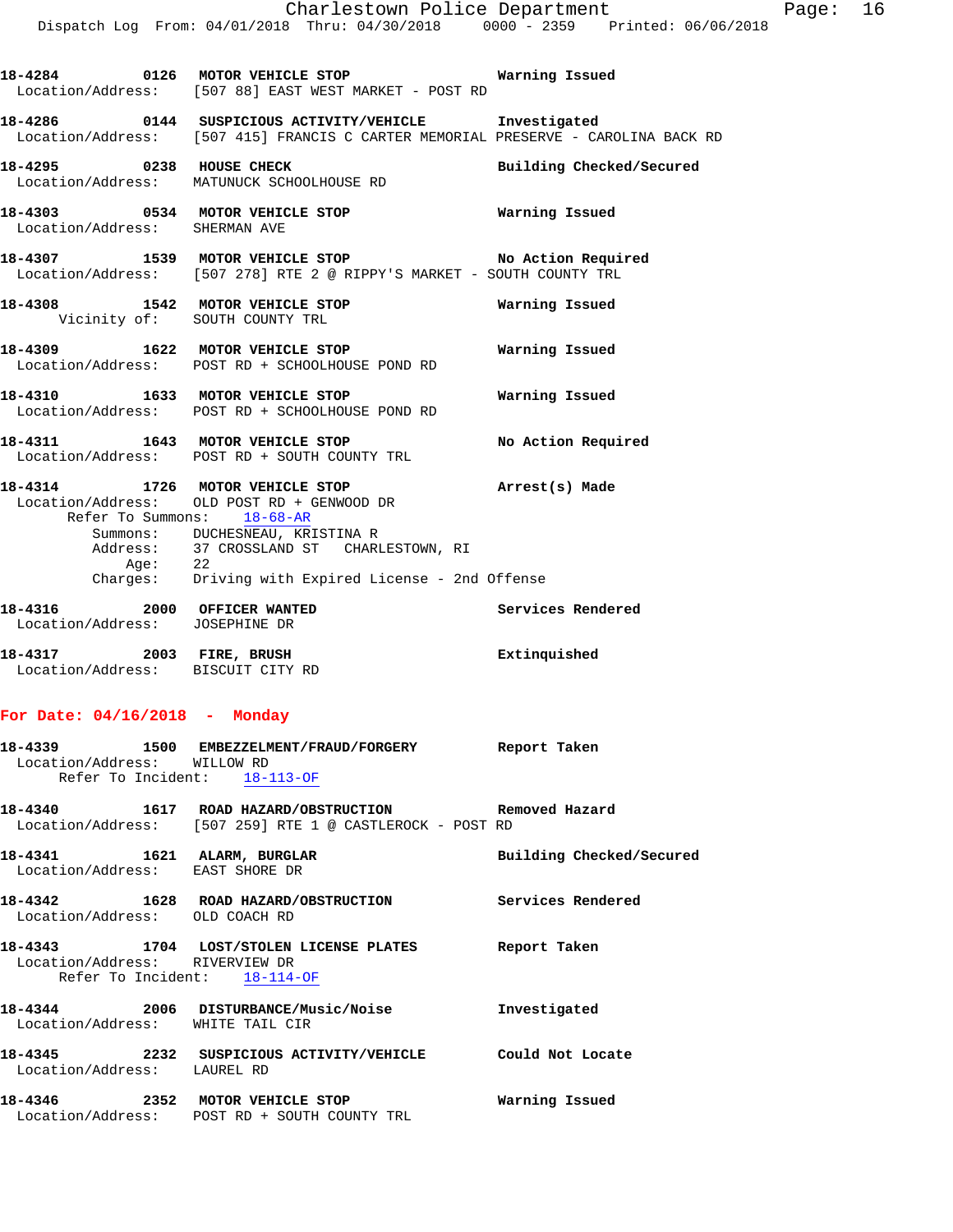Location/Address: [507 88] EAST WEST MARKET - POST RD **18-4286 0144 SUSPICIOUS ACTIVITY/VEHICLE Investigated**  Location/Address: [507 415] FRANCIS C CARTER MEMORIAL PRESERVE - CAROLINA BACK RD **18-4295 0238 HOUSE CHECK Building Checked/Secured**  Location/Address: MATUNUCK SCHOOLHOUSE RD **18-4303 0534 MOTOR VEHICLE STOP Warning Issued**  Location/Address: SHERMAN AVE **18-4307 1539 MOTOR VEHICLE STOP No Action Required**  Location/Address: [507 278] RTE 2 @ RIPPY'S MARKET - SOUTH COUNTY TRL **18-4308 1542 MOTOR VEHICLE STOP Warning Issued**  Vicinity of: SOUTH COUNTY TRL **18-4309 1622 MOTOR VEHICLE STOP Warning Issued**  Location/Address: POST RD + SCHOOLHOUSE POND RD **18-4310 1633 MOTOR VEHICLE STOP Warning Issued**  Location/Address: POST RD + SCHOOLHOUSE POND RD **18-4311 1643 MOTOR VEHICLE STOP No Action Required**  Location/Address: POST RD + SOUTH COUNTY TRL **18-4314 1726 MOTOR VEHICLE STOP Arrest(s) Made**  Location/Address: OLD POST RD + GENWOOD DR Refer To Summons: 18-68-AR Summons: DUCHESNEAU, KRISTINA R Address: 37 CROSSLAND ST CHARLESTOWN, RI Age: 22 Charges: Driving with Expired License - 2nd Offense 18-4316 **2000** OFFICER WANTED **Services** Rendered Location/Address: JOSEPHINE DR **18-4317 2003 FIRE, BRUSH Extinquished**  Location/Address: BISCUIT CITY RD

**18-4284 0126 MOTOR VEHICLE STOP Warning Issued** 

#### **For Date: 04/16/2018 - Monday**

| Location/Address: WILLOW RD                                    | 18-4339  1500 EMBEZZELMENT/FRAUD/FORGERY Report Taken<br>Refer To Incident: 18-113-OF                           |                          |
|----------------------------------------------------------------|-----------------------------------------------------------------------------------------------------------------|--------------------------|
|                                                                | 18-4340 1617 ROAD HAZARD/OBSTRUCTION Removed Hazard<br>Location/Address: [507 259] RTE 1 @ CASTLEROCK - POST RD |                          |
| 18-4341 1621 ALARM, BURGLAR<br>Location/Address: EAST SHORE DR |                                                                                                                 | Building Checked/Secured |
| Location/Address: OLD COACH RD                                 | 18-4342 1628 ROAD HAZARD/OBSTRUCTION Services Rendered                                                          |                          |
| Location/Address: RIVERVIEW DR<br>Refer To Incident: 18-114-OF | 18-4343 1704 LOST/STOLEN LICENSE PLATES Report Taken                                                            |                          |
| Location/Address: WHITE TAIL CIR                               | 18-4344 2006 DISTURBANCE/Music/Noise Threstigated                                                               |                          |
| Location/Address: LAUREL RD                                    |                                                                                                                 |                          |
|                                                                | 18-4346 2352 MOTOR VEHICLE STOP<br>Location/Address: POST RD + SOUTH COUNTY TRL                                 | Warning Issued           |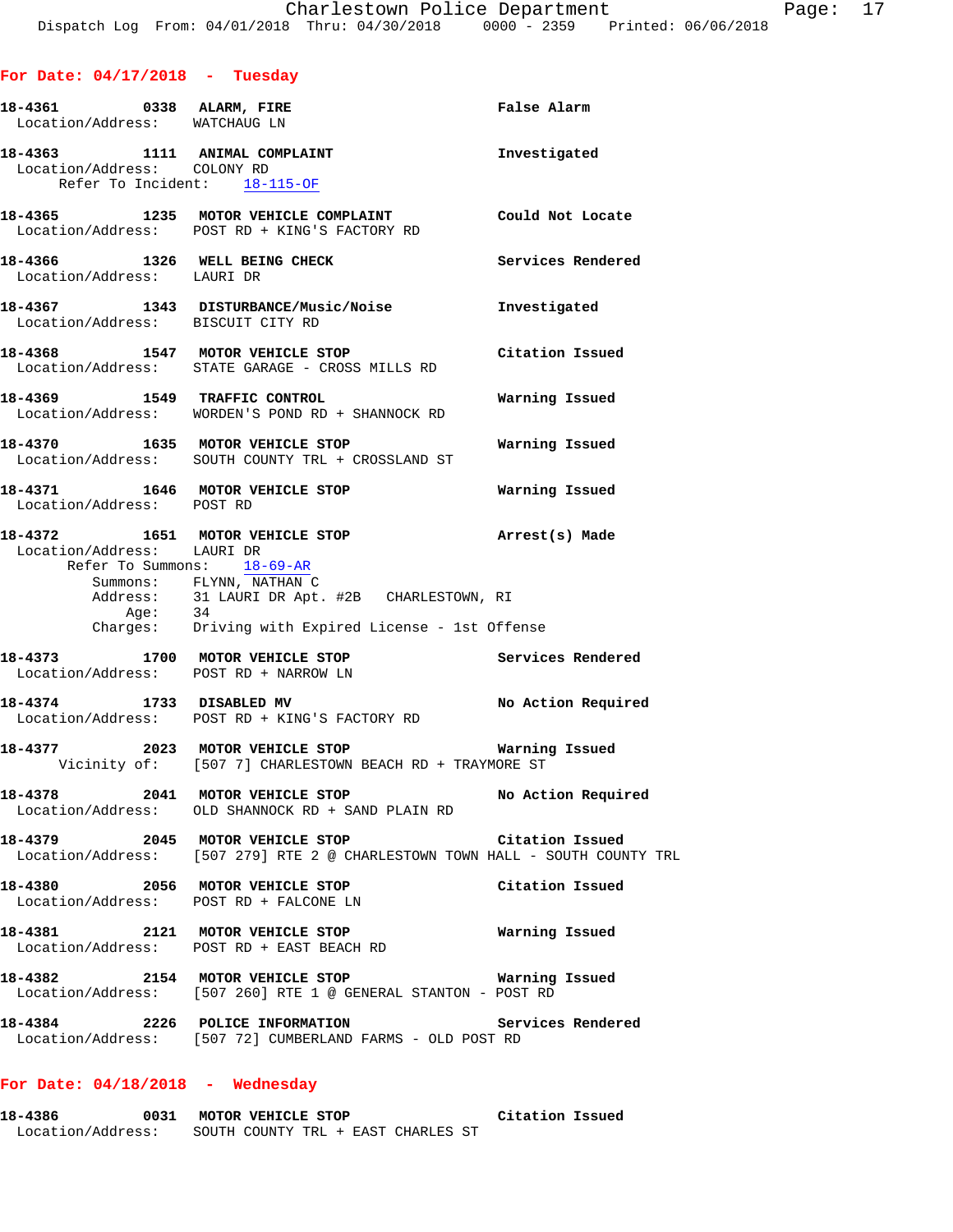## **For Date: 04/17/2018 - Tuesday**

|                             | 18-4361 0338 ALARM, FIRE<br>Location/Address: WATCHAUG LN                                                                                                                                                    | False Alarm        |
|-----------------------------|--------------------------------------------------------------------------------------------------------------------------------------------------------------------------------------------------------------|--------------------|
| Location/Address: COLONY RD | 18-4363 1111 ANIMAL COMPLAINT<br>Refer To Incident: 18-115-OF                                                                                                                                                | Investigated       |
|                             | 18-4365 1235 MOTOR VEHICLE COMPLAINT Could Not Locate<br>Location/Address: POST RD + KING'S FACTORY RD                                                                                                       |                    |
| Location/Address: LAURI DR  | 18-4366 1326 WELL BEING CHECK                                                                                                                                                                                | Services Rendered  |
|                             | 18-4367 1343 DISTURBANCE/Music/Noise Investigated<br>Location/Address: BISCUIT CITY RD                                                                                                                       |                    |
|                             | 18-4368 1547 MOTOR VEHICLE STOP<br>Location/Address: STATE GARAGE - CROSS MILLS RD                                                                                                                           | Citation Issued    |
|                             | 18-4369 1549 TRAFFIC CONTROL<br>Location/Address: WORDEN'S POND RD + SHANNOCK RD                                                                                                                             | Warning Issued     |
|                             | 1635 MOTOR VEHICLE STOP<br>Location/Address: SOUTH COUNTY TRL + CROSSLAND ST                                                                                                                                 | Warning Issued     |
|                             | 18-4371 1646 MOTOR VEHICLE STOP<br>Location/Address: POST RD                                                                                                                                                 | Warning Issued     |
| Location/Address: LAURI DR  | 18-4372 1651 MOTOR VEHICLE STOP<br>Refer To Summons: 18-69-AR<br>Summons: FLYNN, NATHAN C<br>Address: 31 LAURI DR Apt. #2B CHARLESTOWN, RI<br>Age: 34<br>Charges: Driving with Expired License - 1st Offense | Arrest(s) Made     |
|                             | 18-4373 1700 MOTOR VEHICLE STOP Services Rendered<br>Location/Address: POST RD + NARROW LN                                                                                                                   |                    |
|                             | 18-4374 1733 DISABLED MV<br>Location/Address: POST RD + KING'S FACTORY RD                                                                                                                                    | No Action Required |
|                             | 18-4377 2023 MOTOR VEHICLE STOP <b>WATER WATER</b><br>Vicinity of: [507 7] CHARLESTOWN BEACH RD + TRAYMORE ST                                                                                                |                    |
|                             | 18-4378 2041 MOTOR VEHICLE STOP No Action Required<br>Location/Address: OLD SHANNOCK RD + SAND PLAIN RD                                                                                                      |                    |
|                             | 18-4379 2045 MOTOR VEHICLE STOP Citation Issued<br>Location/Address: [507 279] RTE 2 @ CHARLESTOWN TOWN HALL - SOUTH COUNTY TRL                                                                              |                    |
|                             | 18-4380 2056 MOTOR VEHICLE STOP<br>Location/Address: POST RD + FALCONE LN                                                                                                                                    | Citation Issued    |
|                             | 18-4381 2121 MOTOR VEHICLE STOP<br>Location/Address: POST RD + EAST BEACH RD                                                                                                                                 | Warning Issued     |
|                             | 18-4382 2154 MOTOR VEHICLE STOP Warning Issued<br>Location/Address: [507 260] RTE 1 @ GENERAL STANTON - POST RD                                                                                              |                    |
|                             | 18-4384 2226 POLICE INFORMATION Ser<br>Location/Address: [507 72] CUMBERLAND FARMS - OLD POST RD                                                                                                             | Services Rendered  |
|                             |                                                                                                                                                                                                              |                    |

## **For Date: 04/18/2018 - Wednesday**

**18-4386 0031 MOTOR VEHICLE STOP Citation Issued**  Location/Address: SOUTH COUNTY TRL + EAST CHARLES ST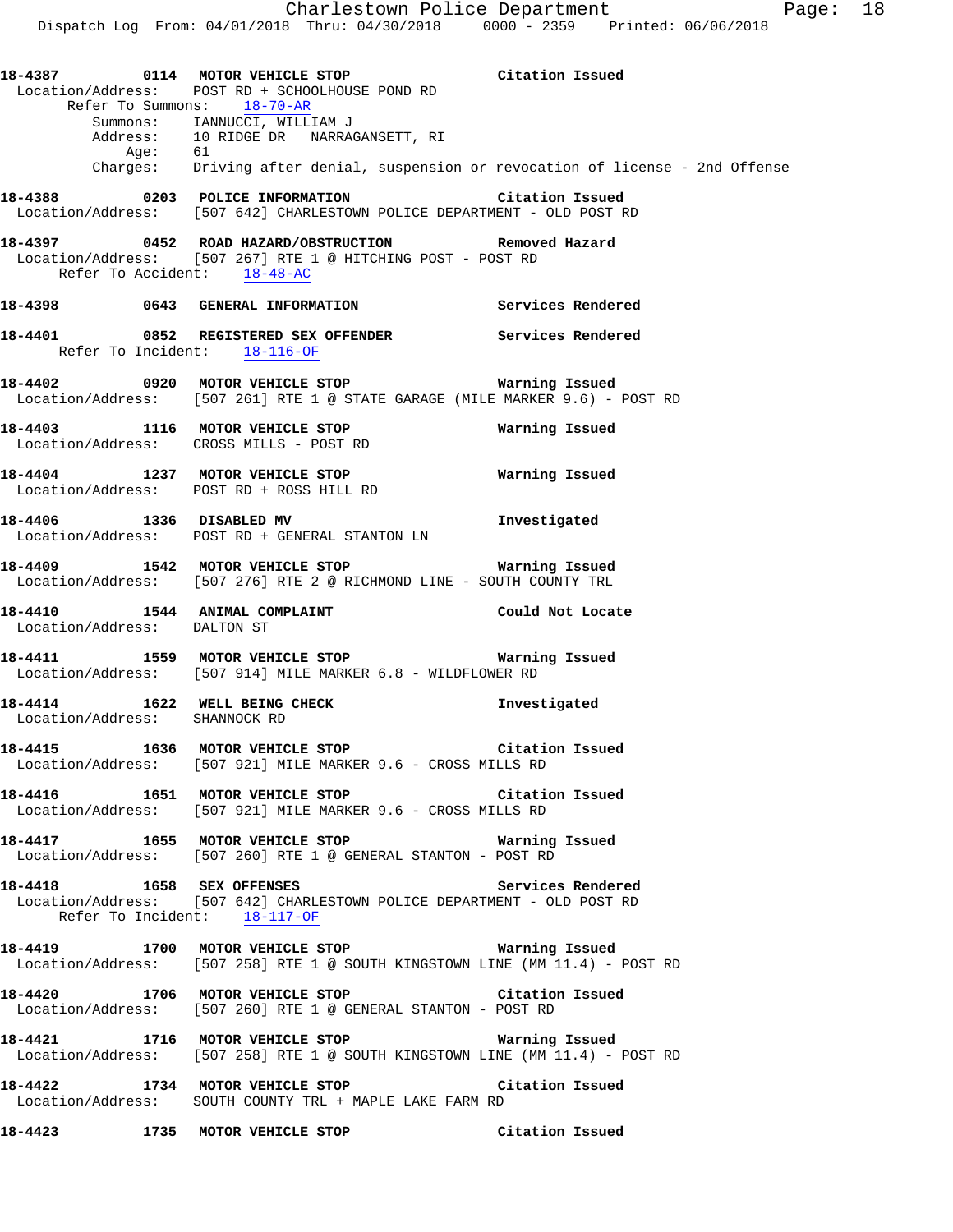**18-4387 0114 MOTOR VEHICLE STOP Citation Issued**  Location/Address: POST RD + SCHOOLHOUSE POND RD Refer To Summons: 18-70-AR Summons: IANNUCCI, WILLIAM J Address: 10 RIDGE DR NARRAGANSETT, RI Age: 61 Charges: Driving after denial, suspension or revocation of license - 2nd Offense **18-4388 0203 POLICE INFORMATION Citation Issued**  Location/Address: [507 642] CHARLESTOWN POLICE DEPARTMENT - OLD POST RD **18-4397 0452 ROAD HAZARD/OBSTRUCTION Removed Hazard**  Location/Address: [507 267] RTE 1 @ HITCHING POST - POST RD Refer To Accident: 18-48-AC **18-4398 0643 GENERAL INFORMATION Services Rendered 18-4401 0852 REGISTERED SEX OFFENDER Services Rendered**  Refer To Incident: 18-116-OF **18-4402 0920 MOTOR VEHICLE STOP Warning Issued**  Location/Address: [507 261] RTE 1 @ STATE GARAGE (MILE MARKER 9.6) - POST RD **18-4403 1116 MOTOR VEHICLE STOP Warning Issued**  Location/Address: CROSS MILLS - POST RD **18-4404 1237 MOTOR VEHICLE STOP Warning Issued**  Location/Address: POST RD + ROSS HILL RD **18-4406 1336 DISABLED MV Investigated**  Location/Address: POST RD + GENERAL STANTON LN **18-4409 1542 MOTOR VEHICLE STOP Warning Issued**  Location/Address: [507 276] RTE 2 @ RICHMOND LINE - SOUTH COUNTY TRL **18-4410 1544 ANIMAL COMPLAINT Could Not Locate**  Location/Address: DALTON ST **18-4411 1559 MOTOR VEHICLE STOP Warning Issued**  Location/Address: [507 914] MILE MARKER 6.8 - WILDFLOWER RD **18-4414 1622 WELL BEING CHECK Investigated**  Location/Address: SHANNOCK RD **18-4415 1636 MOTOR VEHICLE STOP Citation Issued**  Location/Address: [507 921] MILE MARKER 9.6 - CROSS MILLS RD **18-4416 1651 MOTOR VEHICLE STOP Citation Issued**  Location/Address: [507 921] MILE MARKER 9.6 - CROSS MILLS RD **18-4417 1655 MOTOR VEHICLE STOP Warning Issued**  Location/Address: [507 260] RTE 1 @ GENERAL STANTON - POST RD **18-4418 1658 SEX OFFENSES Services Rendered**  Location/Address: [507 642] CHARLESTOWN POLICE DEPARTMENT - OLD POST RD Refer To Incident: 18-117-OF **18-4419 1700 MOTOR VEHICLE STOP Warning Issued**  Location/Address: [507 258] RTE 1 @ SOUTH KINGSTOWN LINE (MM 11.4) - POST RD **18-4420 1706 MOTOR VEHICLE STOP Citation Issued**  Location/Address: [507 260] RTE 1 @ GENERAL STANTON - POST RD **18-4421 1716 MOTOR VEHICLE STOP Warning Issued**  Location/Address: [507 258] RTE 1 @ SOUTH KINGSTOWN LINE (MM 11.4) - POST RD **18-4422 1734 MOTOR VEHICLE STOP Citation Issued**  Location/Address: SOUTH COUNTY TRL + MAPLE LAKE FARM RD

**18-4423 1735 MOTOR VEHICLE STOP Citation Issued**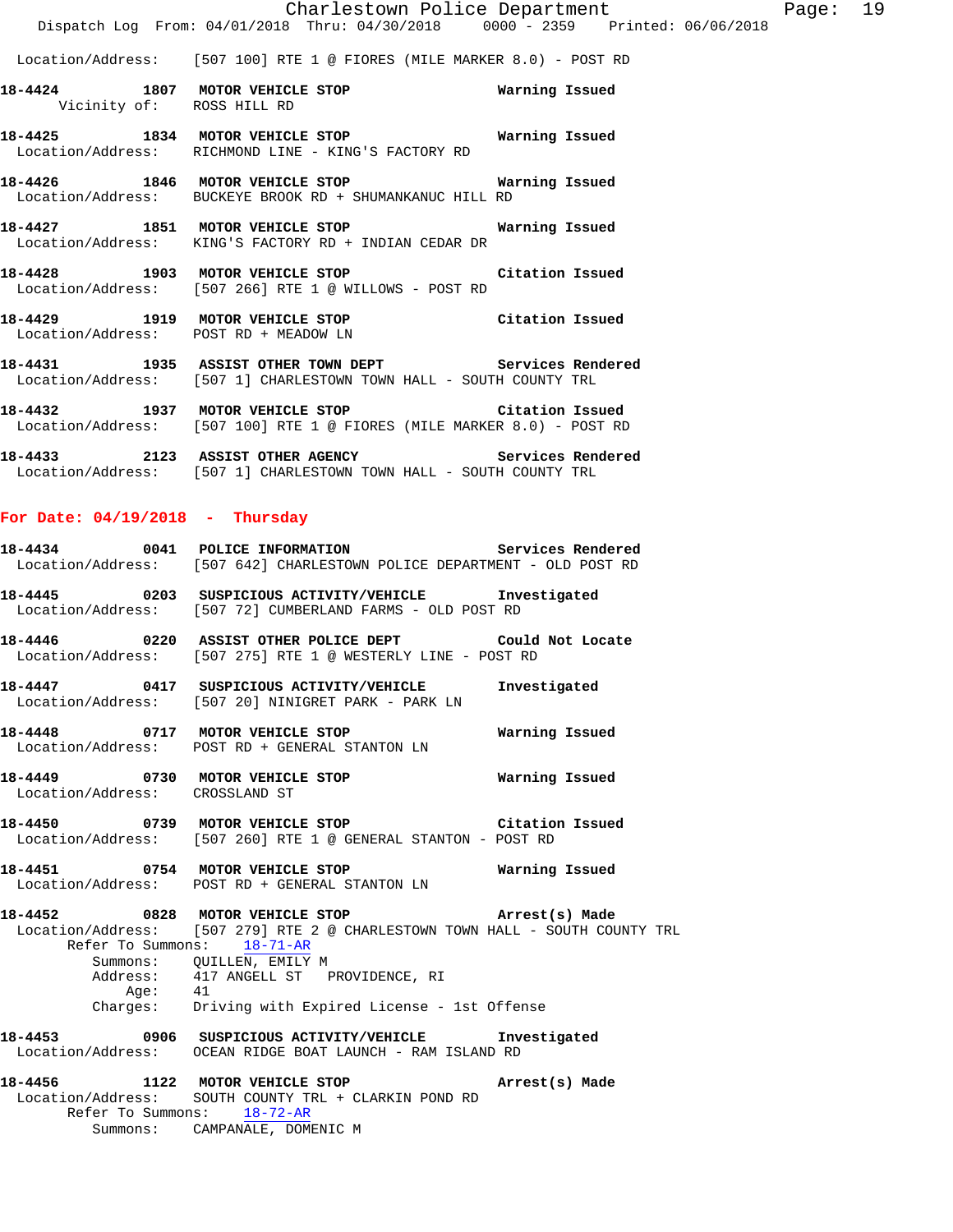Location/Address: [507 100] RTE 1 @ FIORES (MILE MARKER 8.0) - POST RD

- **18-4424 1807 MOTOR VEHICLE STOP Warning Issued**  Vicinity of: ROSS HILL RD
- **18-4425 1834 MOTOR VEHICLE STOP Warning Issued**  Location/Address: RICHMOND LINE - KING'S FACTORY RD
- **18-4426 1846 MOTOR VEHICLE STOP Warning Issued**  Location/Address: BUCKEYE BROOK RD + SHUMANKANUC HILL RD
- **18-4427 1851 MOTOR VEHICLE STOP Warning Issued**  Location/Address: KING'S FACTORY RD + INDIAN CEDAR DR
- **18-4428 1903 MOTOR VEHICLE STOP Citation Issued**  Location/Address: [507 266] RTE 1 @ WILLOWS - POST RD
- **18-4429 1919 MOTOR VEHICLE STOP Citation Issued**  Location/Address: POST RD + MEADOW LN
- **18-4431 1935 ASSIST OTHER TOWN DEPT Services Rendered**  Location/Address: [507 1] CHARLESTOWN TOWN HALL - SOUTH COUNTY TRL
- **18-4432 1937 MOTOR VEHICLE STOP Citation Issued**  Location/Address: [507 100] RTE 1 @ FIORES (MILE MARKER 8.0) - POST RD
- **18-4433 2123 ASSIST OTHER AGENCY Services Rendered**  Location/Address: [507 1] CHARLESTOWN TOWN HALL - SOUTH COUNTY TRL

#### **For Date: 04/19/2018 - Thursday**

|                                | 18-4434 0041 POLICE INFORMATION Services Rendered<br>Location/Address: [507 642] CHARLESTOWN POLICE DEPARTMENT - OLD POST RD                                                                                                                                                                          |                |
|--------------------------------|-------------------------------------------------------------------------------------------------------------------------------------------------------------------------------------------------------------------------------------------------------------------------------------------------------|----------------|
|                                | 18-4445 0203 SUSPICIOUS ACTIVITY/VEHICLE Investigated<br>Location/Address: [507 72] CUMBERLAND FARMS - OLD POST RD                                                                                                                                                                                    |                |
|                                | 18-4446 			 0220 ASSIST OTHER POLICE DEPT 			 Could Not Locate<br>Location/Address: [507 275] RTE 1 @ WESTERLY LINE - POST RD                                                                                                                                                                         |                |
|                                | 18-4447  0417  SUSPICIOUS ACTIVITY/VEHICLE  Investigated<br>Location/Address: [507 20] NINIGRET PARK - PARK LN                                                                                                                                                                                        |                |
|                                | 18-4448 0717 MOTOR VEHICLE STOP <b>Matricular Manual</b><br>Location/Address: POST RD + GENERAL STANTON LN                                                                                                                                                                                            |                |
| Location/Address: CROSSLAND ST | 18-4449 0730 MOTOR VEHICLE STOP                                                                                                                                                                                                                                                                       | Warning Issued |
|                                | 18-4450 0739 MOTOR VEHICLE STOP Citation Issued<br>Location/Address: [507 260] RTE 1 @ GENERAL STANTON - POST RD                                                                                                                                                                                      |                |
|                                | 18-4451    0754    MOTOR VEHICLE STOP    Varning Issued<br>Location/Address: POST RD + GENERAL STANTON LN                                                                                                                                                                                             |                |
|                                | 18-4452 0828 MOTOR VEHICLE STOP (Arrest(s) Made<br>Location/Address: [507 279] RTE 2 @ CHARLESTOWN TOWN HALL - SOUTH COUNTY TRL<br>Refer To Summons: 18-71-AR<br>Summons: QUILLEN, EMILY M<br>Address: 417 ANGELL ST PROVIDENCE, RI<br>Age: 41<br>Charges: Driving with Expired License - 1st Offense |                |
|                                | 18-4453 0906 SUSPICIOUS ACTIVITY/VEHICLE Investigated<br>Location/Address: OCEAN RIDGE BOAT LAUNCH - RAM ISLAND RD                                                                                                                                                                                    |                |
|                                | 18-4456 1122 MOTOR VEHICLE STOP (Arrest(s) Made<br>Location/Address: SOUTH COUNTY TRL + CLARKIN POND RD<br>Refer To Summons: 18-72-AR<br>Summons: CAMPANALE, DOMENIC M                                                                                                                                |                |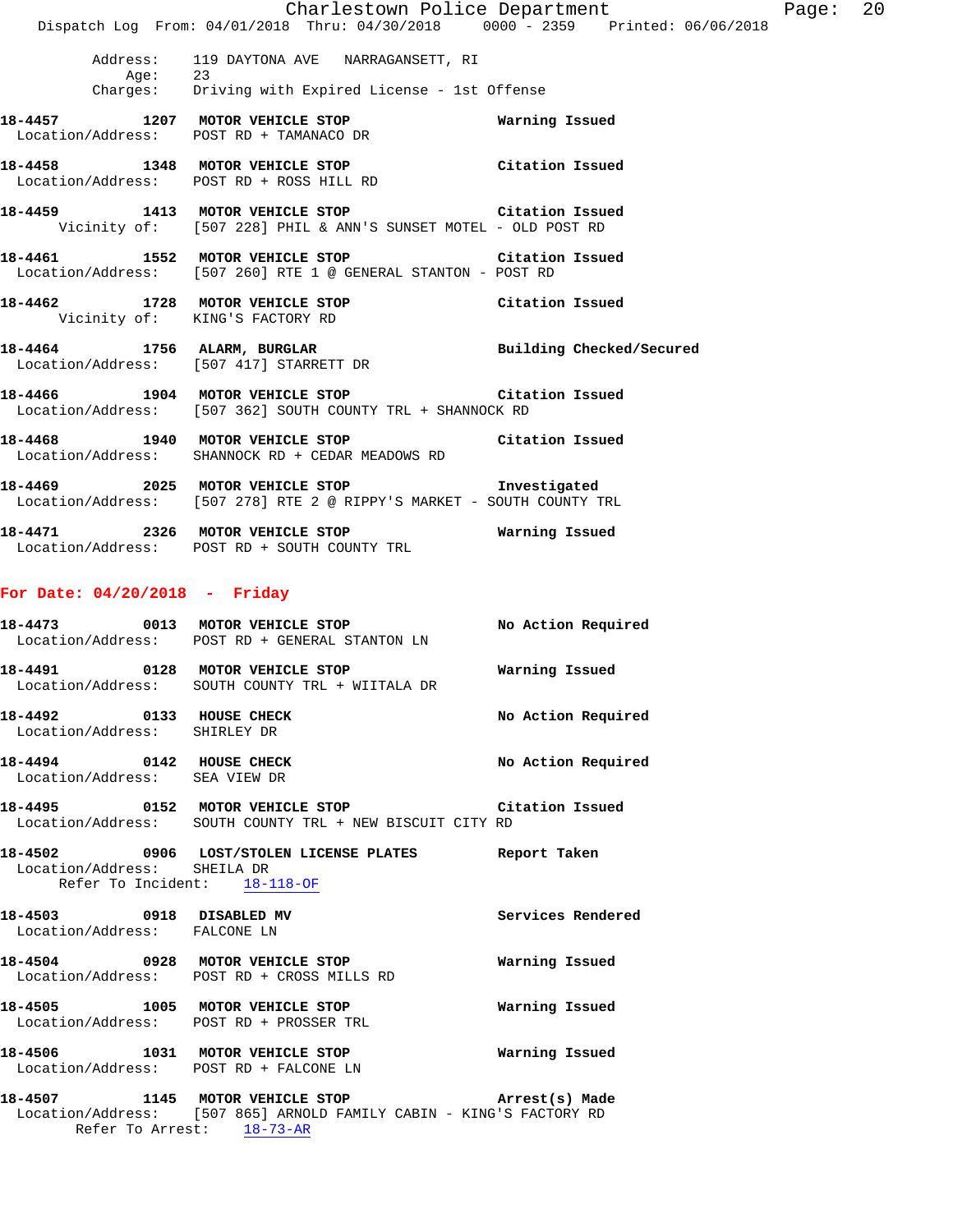|         |                                                                                                                       | Charlestown Police Department | Page: 20 |  |
|---------|-----------------------------------------------------------------------------------------------------------------------|-------------------------------|----------|--|
|         | Dispatch Log From: 04/01/2018 Thru: 04/30/2018 0000 - 2359 Printed: 06/06/2018                                        |                               |          |  |
| Aqe: 23 | Address: 119 DAYTONA AVE NARRAGANSETT, RI                                                                             |                               |          |  |
|         | Charges: Driving with Expired License - 1st Offense                                                                   |                               |          |  |
|         | 18-4457 1207 MOTOR VEHICLE STOP 6 Warning Issued<br>Location/Address: POST RD + TAMANACO DR                           |                               |          |  |
|         | 18-4458 1348 MOTOR VEHICLE STOP Citation Issued<br>Location/Address: POST RD + ROSS HILL RD                           |                               |          |  |
|         | 18-4459 1413 MOTOR VEHICLE STOP Citation Issued<br>Vicinity of: [507 228] PHIL & ANN'S SUNSET MOTEL - OLD POST RD     |                               |          |  |
|         | 18-4461 1552 MOTOR VEHICLE STOP Citation Issued<br>Location/Address: [507 260] RTE 1 @ GENERAL STANTON - POST RD      |                               |          |  |
|         | 18-4462 1728 MOTOR VEHICLE STOP Citation Issued<br>Vicinity of: KING'S FACTORY RD                                     |                               |          |  |
|         | 18-4464 1756 ALARM, BURGLAR Building Checked/Secured<br>Location/Address: [507 417] STARRETT DR                       |                               |          |  |
|         | 18-4466 1904 MOTOR VEHICLE STOP Citation Issued<br>Location/Address: [507 362] SOUTH COUNTY TRL + SHANNOCK RD         |                               |          |  |
|         | 18-4468 1940 MOTOR VEHICLE STOP Citation Issued<br>Location/Address: SHANNOCK RD + CEDAR MEADOWS RD                   |                               |          |  |
|         | 18-4469 2025 MOTOR VEHICLE STOP Threstigated<br>Location/Address: [507 278] RTE 2 @ RIPPY'S MARKET - SOUTH COUNTY TRL |                               |          |  |
|         | 18-4471 2326 MOTOR VEHICLE STOP 6 Warning Issued                                                                      |                               |          |  |

# **For Date: 04/20/2018 - Friday**

Location/Address: POST RD + SOUTH COUNTY TRL

|                                                             | 18-4473 0013 MOTOR VEHICLE STOP<br>Location/Address: POST RD + GENERAL STANTON LN                                                                         | No Action Required       |
|-------------------------------------------------------------|-----------------------------------------------------------------------------------------------------------------------------------------------------------|--------------------------|
|                                                             | 18-4491          0128          MOTOR VEHICLE STOP                             Warning Issued<br>Location/Address: SOUTH COUNTY TRL + WIITALA DR           |                          |
| 18-4492 0133 HOUSE CHECK<br>Location/Address: SHIRLEY DR    |                                                                                                                                                           | No Action Required       |
| 18-4494 0142 HOUSE CHECK<br>Location/Address: SEA VIEW DR   |                                                                                                                                                           | No Action Required       |
|                                                             | 18-4495 		 0152 MOTOR VEHICLE STOP 		 Citation Issued<br>Location/Address: SOUTH COUNTY TRL + NEW BISCUIT CITY RD                                         |                          |
| Location/Address: SHEILA DR<br>Refer To Incident: 18-118-OF | 18-4502 0906 LOST/STOLEN LICENSE PLATES Report Taken                                                                                                      |                          |
| 18-4503 0918 DISABLED MV<br>Location/Address: FALCONE LN    |                                                                                                                                                           | <b>Services Rendered</b> |
|                                                             | 18-4504 0928 MOTOR VEHICLE STOP<br>Location/Address: POST RD + CROSS MILLS RD                                                                             | Warning Issued           |
|                                                             | 18-4505 1005 MOTOR VEHICLE STOP<br>Location/Address: POST RD + PROSSER TRL                                                                                | Warning Issued           |
|                                                             | 18-4506 1031 MOTOR VEHICLE STOP<br>Location/Address: POST RD + FALCONE LN                                                                                 | Warning Issued           |
|                                                             | 18-4507 1145 MOTOR VEHICLE STOP <b>Arrest(s)</b> Made<br>Location/Address: [507 865] ARNOLD FAMILY CABIN - KING'S FACTORY RD<br>Refer To Arrest: 18-73-AR |                          |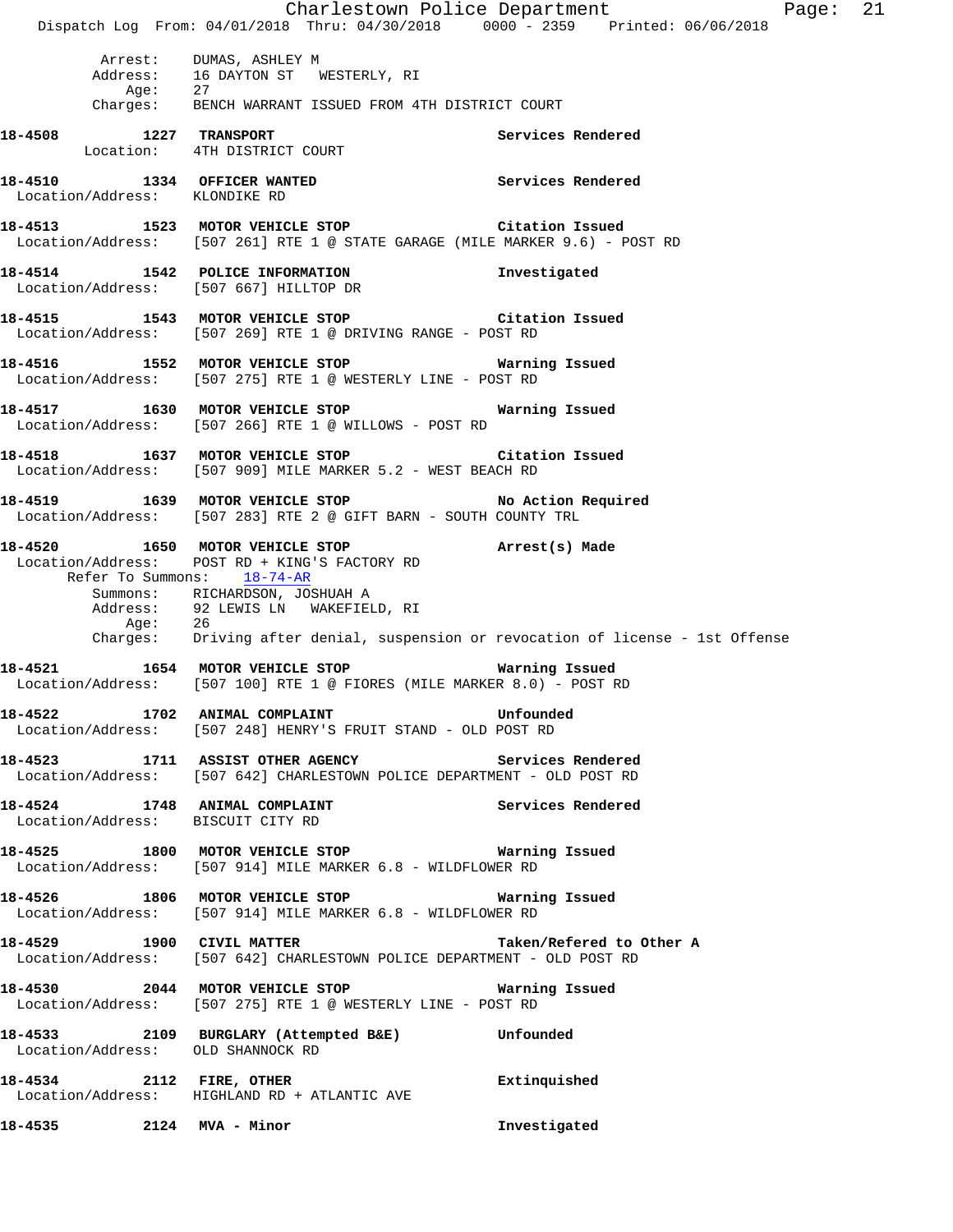Charlestown Police Department Fage: 21 Dispatch Log From: 04/01/2018 Thru: 04/30/2018 0000 - 2359 Printed: 06/06/2018 Arrest: DUMAS, ASHLEY M Address: 16 DAYTON ST WESTERLY, RI Age: 27 Charges: BENCH WARRANT ISSUED FROM 4TH DISTRICT COURT **18-4508 1227 TRANSPORT Services Rendered**  Location: 4TH DISTRICT COURT **18-4510 1334 OFFICER WANTED Services Rendered**  Location/Address: KLONDIKE RD **18-4513 1523 MOTOR VEHICLE STOP Citation Issued**  Location/Address: [507 261] RTE 1 @ STATE GARAGE (MILE MARKER 9.6) - POST RD **18-4514 1542 POLICE INFORMATION Investigated**  Location/Address: [507 667] HILLTOP DR **18-4515 1543 MOTOR VEHICLE STOP Citation Issued**  Location/Address: [507 269] RTE 1 @ DRIVING RANGE - POST RD **18-4516 1552 MOTOR VEHICLE STOP Warning Issued**  Location/Address: [507 275] RTE 1 @ WESTERLY LINE - POST RD **18-4517 1630 MOTOR VEHICLE STOP Warning Issued**  Location/Address: [507 266] RTE 1 @ WILLOWS - POST RD **18-4518 1637 MOTOR VEHICLE STOP Citation Issued**  Location/Address: [507 909] MILE MARKER 5.2 - WEST BEACH RD **18-4519 1639 MOTOR VEHICLE STOP No Action Required**  Location/Address: [507 283] RTE 2 @ GIFT BARN - SOUTH COUNTY TRL **18-4520 1650 MOTOR VEHICLE STOP Arrest(s) Made**  Location/Address: POST RD + KING'S FACTORY RD Refer To Summons: 18-74-AR Summons: RICHARDSON, JOSHUAH A Address: 92 LEWIS LN WAKEFIELD, RI Age: 26 Charges: Driving after denial, suspension or revocation of license - 1st Offense **18-4521 1654 MOTOR VEHICLE STOP Warning Issued**  Location/Address: [507 100] RTE 1 @ FIORES (MILE MARKER 8.0) - POST RD **18-4522 1702 ANIMAL COMPLAINT Unfounded**  Location/Address: [507 248] HENRY'S FRUIT STAND - OLD POST RD **18-4523 1711 ASSIST OTHER AGENCY Services Rendered**  Location/Address: [507 642] CHARLESTOWN POLICE DEPARTMENT - OLD POST RD 18-4524 1748 ANIMAL COMPLAINT **Services Rendered**  Location/Address: BISCUIT CITY RD **18-4525 1800 MOTOR VEHICLE STOP Warning Issued**  Location/Address: [507 914] MILE MARKER 6.8 - WILDFLOWER RD **18-4526 1806 MOTOR VEHICLE STOP Warning Issued**  Location/Address: [507 914] MILE MARKER 6.8 - WILDFLOWER RD **18-4529 1900 CIVIL MATTER Taken/Refered to Other A**  Location/Address: [507 642] CHARLESTOWN POLICE DEPARTMENT - OLD POST RD **18-4530 2044 MOTOR VEHICLE STOP Warning Issued**  Location/Address: [507 275] RTE 1 @ WESTERLY LINE - POST RD **18-4533 2109 BURGLARY (Attempted B&E) Unfounded**  Location/Address: OLD SHANNOCK RD **18-4534 2112 FIRE, OTHER 18-4534 Extinquished**<br>
Location/Address: HIGHLAND RD + ATLANTIC AVE Location/Address: HIGHLAND RD + ATLANTIC AVE **18-4535 2124 MVA - Minor Investigated**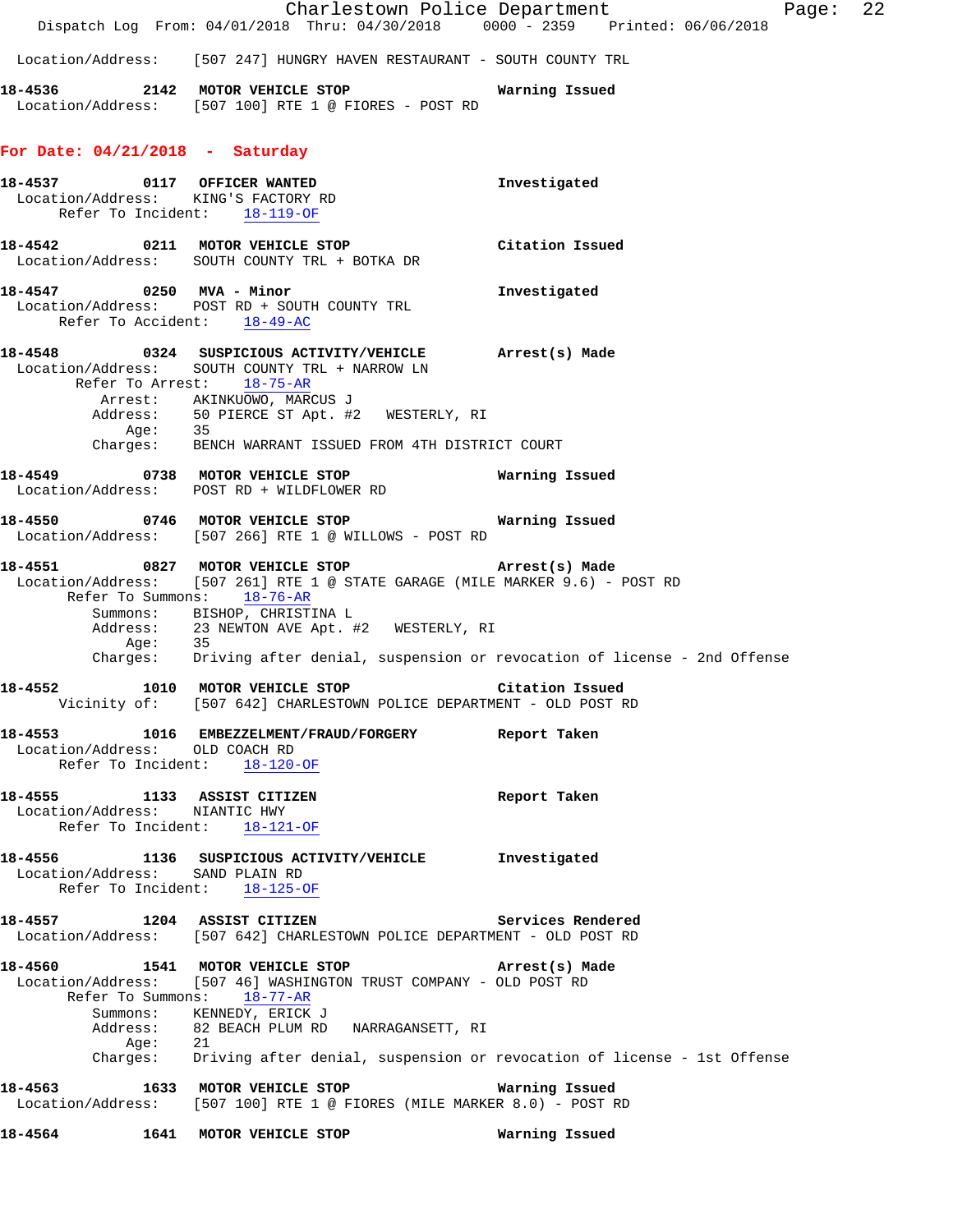|         |         |                                                                                                         |                                                                                              | Charlestown Police Department                                                                                                                                                                                  | Page: | 22 |
|---------|---------|---------------------------------------------------------------------------------------------------------|----------------------------------------------------------------------------------------------|----------------------------------------------------------------------------------------------------------------------------------------------------------------------------------------------------------------|-------|----|
|         |         |                                                                                                         |                                                                                              | Dispatch Log From: 04/01/2018 Thru: 04/30/2018 0000 - 2359 Printed: 06/06/2018                                                                                                                                 |       |    |
|         |         |                                                                                                         |                                                                                              | Location/Address: [507 247] HUNGRY HAVEN RESTAURANT - SOUTH COUNTY TRL                                                                                                                                         |       |    |
| 18-4536 |         |                                                                                                         | 2142 MOTOR VEHICLE STOP<br>Location/Address: [507 100] RTE 1 @ FIORES - POST RD              | Warning Issued                                                                                                                                                                                                 |       |    |
|         |         | For Date: $04/21/2018$ - Saturday                                                                       |                                                                                              |                                                                                                                                                                                                                |       |    |
|         |         | 18-4537 0117 OFFICER WANTED<br>Location/Address: KING'S FACTORY RD<br>Refer To Incident: 18-119-OF      |                                                                                              | Investigated                                                                                                                                                                                                   |       |    |
|         |         | 18-4542 0211 MOTOR VEHICLE STOP<br>Location/Address: SOUTH COUNTY TRL + BOTKA DR                        |                                                                                              | Citation Issued                                                                                                                                                                                                |       |    |
|         |         | 18-4547 0250 MVA - Minor<br>Location/Address: POST RD + SOUTH COUNTY TRL<br>Refer To Accident: 18-49-AC |                                                                                              | Investigated                                                                                                                                                                                                   |       |    |
|         |         | Refer To Arrest: 18-75-AR<br>Arrest: AKINKUOWO, MARCUS J                                                | Location/Address: SOUTH COUNTY TRL + NARROW LN<br>Address: 50 PIERCE ST Apt. #2 WESTERLY, RI | 18-4548 0324 SUSPICIOUS ACTIVITY/VEHICLE Arrest(s) Made                                                                                                                                                        |       |    |
|         |         |                                                                                                         | Age: 35<br>Charges: BENCH WARRANT ISSUED FROM 4TH DISTRICT COURT                             |                                                                                                                                                                                                                |       |    |
|         |         | 18-4549 0738 MOTOR VEHICLE STOP<br>Location/Address: POST RD + WILDFLOWER RD                            |                                                                                              | Warning Issued                                                                                                                                                                                                 |       |    |
|         |         |                                                                                                         | 18-4550 0746 MOTOR VEHICLE STOP<br>Location/Address: [507 266] RTE 1 @ WILLOWS - POST RD     | Warning Issued                                                                                                                                                                                                 |       |    |
|         | Age:    | Refer To Summons: 18-76-AR<br>Summons: BISHOP, CHRISTINA L<br>35                                        | 18-4551 0827 MOTOR VEHICLE STOP<br>Address: 23 NEWTON AVE Apt. #2 WESTERLY, RI               | Arrest(s) Made<br>Location/Address: [507 261] RTE 1 @ STATE GARAGE (MILE MARKER 9.6) - POST RD<br>Charges: Driving after denial, suspension or revocation of license - 2nd Offense                             |       |    |
| 18-4552 |         | 1010 MOTOR VEHICLE STOP                                                                                 |                                                                                              | Citation Issued<br>Vicinity of: [507 642] CHARLESTOWN POLICE DEPARTMENT - OLD POST RD                                                                                                                          |       |    |
|         |         | Location/Address: OLD COACH RD<br>Refer To Incident: $18-120-OF$                                        |                                                                                              | 18-4553 1016 EMBEZZELMENT/FRAUD/FORGERY Report Taken                                                                                                                                                           |       |    |
|         |         | 18-4555 1133 ASSIST CITIZEN<br>Location/Address: NIANTIC HWY<br>Refer To Incident: 18-121-OF            |                                                                                              | Report Taken                                                                                                                                                                                                   |       |    |
|         |         | Location/Address: SAND PLAIN RD<br>Refer To Incident: 18-125-OF                                         |                                                                                              | 18-4556 1136 SUSPICIOUS ACTIVITY/VEHICLE Investigated                                                                                                                                                          |       |    |
|         |         | 18-4557 1204 ASSIST CITIZEN                                                                             |                                                                                              | Services Rendered<br>Location/Address: [507 642] CHARLESTOWN POLICE DEPARTMENT - OLD POST RD                                                                                                                   |       |    |
|         | Age: 21 | Refer To Summons: 18-77-AR<br>Summons: KENNEDY, ERICK J                                                 | Address: 82 BEACH PLUM RD NARRAGANSETT, RI                                                   | 18-4560 1541 MOTOR VEHICLE STOP <b>Arrest(s)</b> Made<br>Location/Address: [507 46] WASHINGTON TRUST COMPANY - OLD POST RD<br>Charges: Driving after denial, suspension or revocation of license - 1st Offense |       |    |
| 18-4563 |         | 1633 MOTOR VEHICLE STOP                                                                                 |                                                                                              | Warning Issued<br>Location/Address: [507 100] RTE 1 @ FIORES (MILE MARKER 8.0) - POST RD                                                                                                                       |       |    |
|         |         |                                                                                                         |                                                                                              | Warning Issued                                                                                                                                                                                                 |       |    |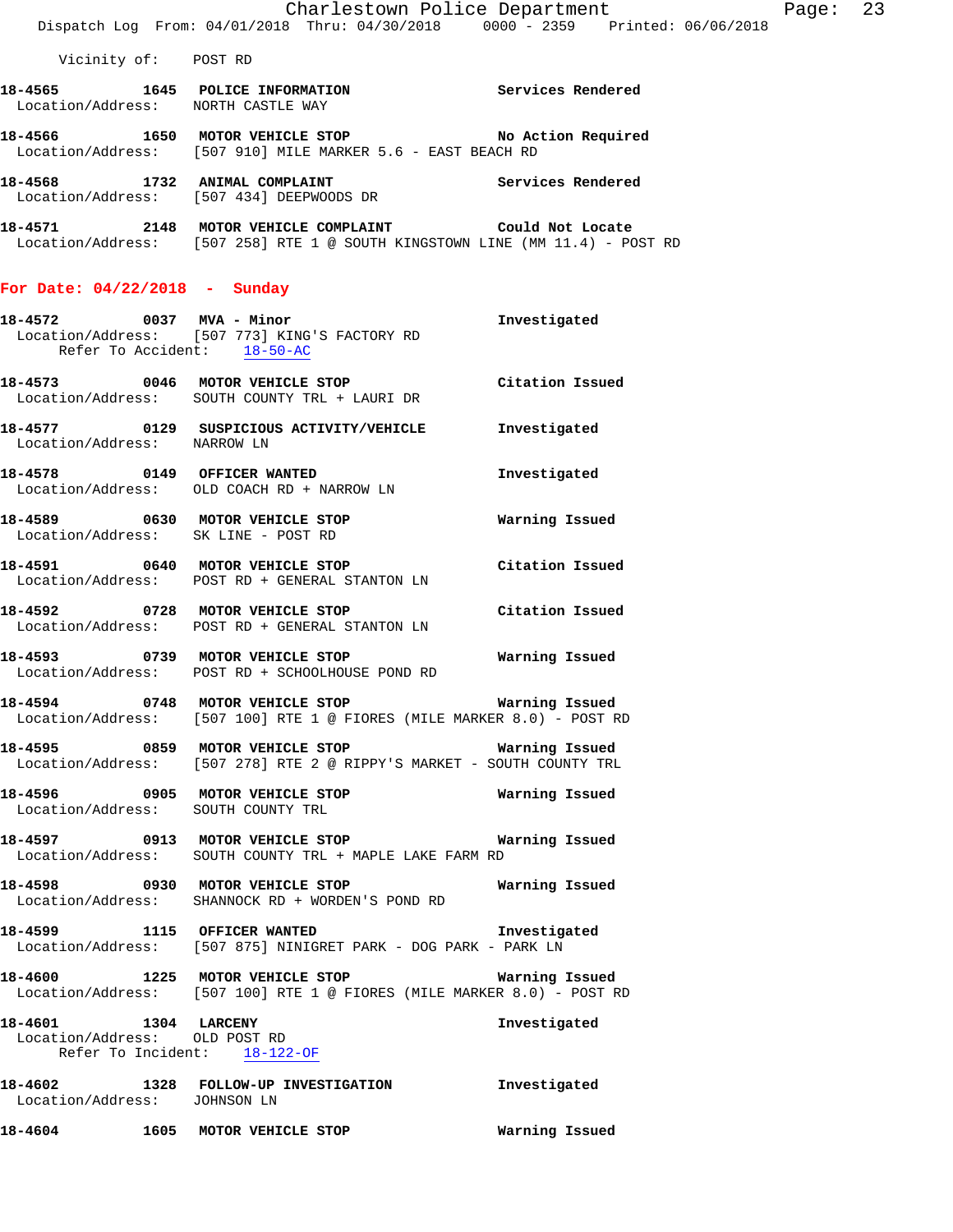Location/Address: [507 910] MILE MARKER 5.6 - EAST BEACH RD **18-4568 1732 ANIMAL COMPLAINT Services Rendered** 

**18-4571 2148 MOTOR VEHICLE COMPLAINT Could Not Locate**  Location/Address: [507 258] RTE 1 @ SOUTH KINGSTOWN LINE (MM 11.4) - POST RD

### **For Date: 04/22/2018 - Sunday**

Location/Address: [507 434] DEEPWOODS DR

| 18-4572 0037 MVA - Minor                                       |      | Location/Address: [507 773] KING'S FACTORY RD                                                                              | Investigated    |
|----------------------------------------------------------------|------|----------------------------------------------------------------------------------------------------------------------------|-----------------|
|                                                                |      | Refer To Accident: 18-50-AC                                                                                                |                 |
|                                                                |      | 18-4573 0046 MOTOR VEHICLE STOP Citation Issued<br>Location/Address: SOUTH COUNTY TRL + LAURI DR                           |                 |
|                                                                |      | 18-4577 0129 SUSPICIOUS ACTIVITY/VEHICLE Investigated<br>Location/Address: NARROW LN                                       |                 |
|                                                                |      | 18-4578 0149 OFFICER WANTED<br>Location/Address: OLD COACH RD + NARROW LN                                                  | Investigated    |
|                                                                |      |                                                                                                                            |                 |
|                                                                |      | 18-4591 0640 MOTOR VEHICLE STOP Citation Issued<br>Location/Address: POST RD + GENERAL STANTON LN                          |                 |
|                                                                |      | 18-4592 0728 MOTOR VEHICLE STOP<br>Location/Address: POST RD + GENERAL STANTON LN                                          | Citation Issued |
|                                                                |      | 18-4593 0739 MOTOR VEHICLE STOP 6 Warning Issued<br>Location/Address: POST RD + SCHOOLHOUSE POND RD                        |                 |
|                                                                |      | 18-4594 0748 MOTOR VEHICLE STOP 6 Warning Issued<br>Location/Address: [507 100] RTE 1 @ FIORES (MILE MARKER 8.0) - POST RD |                 |
|                                                                |      | Location/Address: [507 278] RTE 2 @ RIPPY'S MARKET - SOUTH COUNTY TRL                                                      |                 |
|                                                                |      | Location/Address: SOUTH COUNTY TRL                                                                                         |                 |
|                                                                |      | 18-4597 0913 MOTOR VEHICLE STOP Warning Issued<br>Location/Address: SOUTH COUNTY TRL + MAPLE LAKE FARM RD                  |                 |
|                                                                |      | Location/Address: SHANNOCK RD + WORDEN'S POND RD                                                                           |                 |
|                                                                |      | 18-4599 1115 OFFICER WANTED 118-4599 Investigated<br>Location/Address: [507 875] NINIGRET PARK - DOG PARK - PARK LN        |                 |
|                                                                |      | Location/Address: [507 100] RTE 1 @ FIORES (MILE MARKER 8.0) - POST RD                                                     |                 |
| 18-4601<br>Location/Address: OLD POST RD<br>Refer To Incident: |      | 1304 LARCENY<br>$18 - 122 - OF$                                                                                            | Investigated    |
| 18-4602<br>Location/Address: JOHNSON LN                        |      | 1328 FOLLOW-UP INVESTIGATION                                                                                               | Investigated    |
| 18-4604                                                        | 1605 | MOTOR VEHICLE STOP                                                                                                         | Warning Issued  |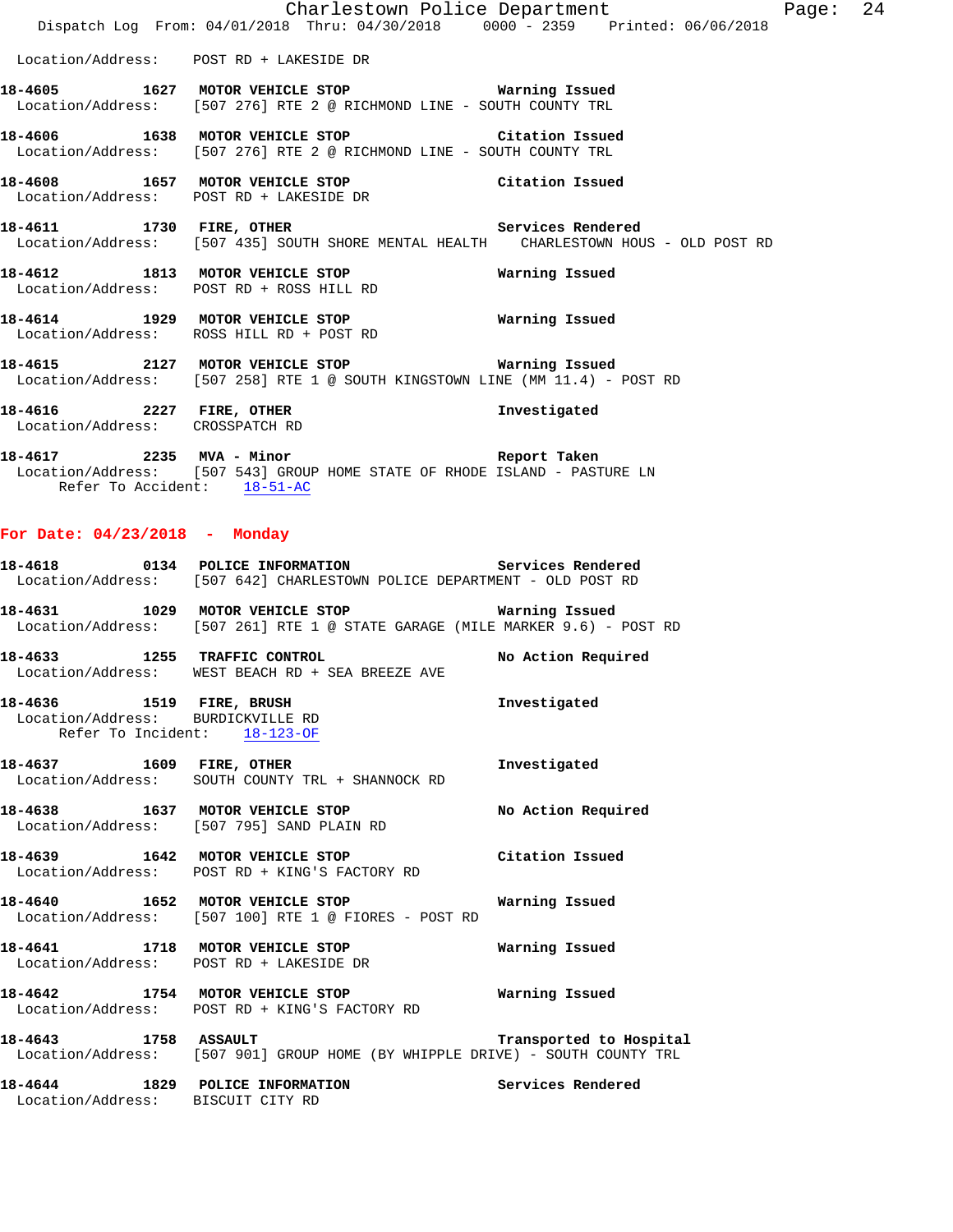|                                 | Charlestown Police Department                                                                                                           |              |
|---------------------------------|-----------------------------------------------------------------------------------------------------------------------------------------|--------------|
|                                 | Dispatch Log From: 04/01/2018 Thru: 04/30/2018 0000 - 2359 Printed: 06/06/2018                                                          |              |
|                                 | Location/Address: POST RD + LAKESIDE DR                                                                                                 |              |
|                                 | 18-4605 1627 MOTOR VEHICLE STOP 6 Warning Issued<br>Location/Address: [507 276] RTE 2 @ RICHMOND LINE - SOUTH COUNTY TRL                |              |
|                                 | 18-4606 1638 MOTOR VEHICLE STOP Citation Issued<br>Location/Address: [507 276] RTE 2 @ RICHMOND LINE - SOUTH COUNTY TRL                 |              |
|                                 | 18-4608 1657 MOTOR VEHICLE STOP Citation Issued<br>Location/Address: POST RD + LAKESIDE DR                                              |              |
|                                 | 18-4611 1730 FIRE, OTHER 2008 Services Rendered<br>Location/Address: [507 435] SOUTH SHORE MENTAL HEALTH CHARLESTOWN HOUS - OLD POST RD |              |
|                                 | 18-4612 1813 MOTOR VEHICLE STOP 6 Warning Issued<br>Location/Address: POST RD + ROSS HILL RD                                            |              |
|                                 | 18-4614 1929 MOTOR VEHICLE STOP 6 Warning Issued<br>Location/Address: ROSS HILL RD + POST RD                                            |              |
|                                 | Location/Address: [507 258] RTE 1 @ SOUTH KINGSTOWN LINE (MM 11.4) - POST RD                                                            |              |
| Location/Address: CROSSPATCH RD | 18-4616 2227 FIRE, OTHER                                                                                                                | Investigated |

**18-4617 2235 MVA - Minor Report Taken**  Location/Address: [507 543] GROUP HOME STATE OF RHODE ISLAND - PASTURE LN Refer To Accident: 18-51-AC

#### **For Date: 04/23/2018 - Monday**

- **18-4618 0134 POLICE INFORMATION Services Rendered**  Location/Address: [507 642] CHARLESTOWN POLICE DEPARTMENT - OLD POST RD
- **18-4631 1029 MOTOR VEHICLE STOP Warning Issued**  Location/Address: [507 261] RTE 1 @ STATE GARAGE (MILE MARKER 9.6) - POST RD
- **18-4633 1255 TRAFFIC CONTROL No Action Required**  Location/Address: WEST BEACH RD + SEA BREEZE AVE
- **18-4636 1519 FIRE, BRUSH Investigated**  Location/Address: BURDICKVILLE RD Refer To Incident: 18-123-OF
- 18-4637 1609 FIRE, OTHER **Investigated** Location/Address: SOUTH COUNTY TRL + SHANNOCK RD
- **18-4638 1637 MOTOR VEHICLE STOP No Action Required**  Location/Address: [507 795] SAND PLAIN RD
- **18-4639 1642 MOTOR VEHICLE STOP Citation Issued**  Location/Address: POST RD + KING'S FACTORY RD
- **18-4640 1652 MOTOR VEHICLE STOP Warning Issued**  Location/Address: [507 100] RTE 1 @ FIORES - POST RD
- **18-4641 1718 MOTOR VEHICLE STOP Warning Issued**  Location/Address: POST RD + LAKESIDE DR
- **18-4642 1754 MOTOR VEHICLE STOP Warning Issued**  Location/Address: POST RD + KING'S FACTORY RD
- **18-4643 1758 ASSAULT Transported to Hospital**  Location/Address: [507 901] GROUP HOME (BY WHIPPLE DRIVE) - SOUTH COUNTY TRL

**18-4644 1829 POLICE INFORMATION Services Rendered**  Location/Address: BISCUIT CITY RD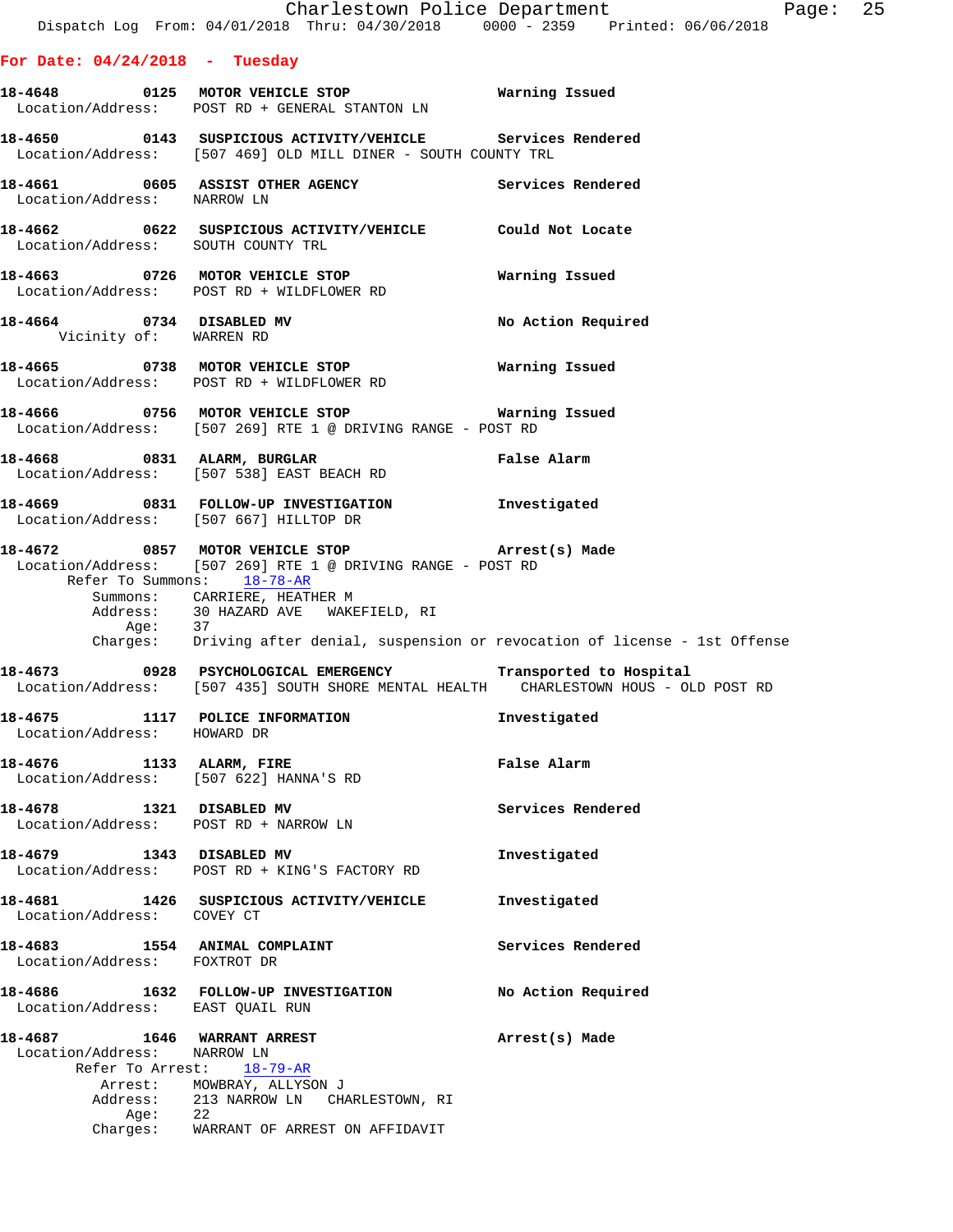## **For Date: 04/24/2018 - Tuesday**

|                                                            | 18-4648 0125 MOTOR VEHICLE STOP 6 Warning Issued<br>Location/Address: POST RD + GENERAL STANTON LN                                                   |                    |
|------------------------------------------------------------|------------------------------------------------------------------------------------------------------------------------------------------------------|--------------------|
|                                                            | 18-4650 0143 SUSPICIOUS ACTIVITY/VEHICLE Services Rendered<br>Location/Address: [507 469] OLD MILL DINER - SOUTH COUNTY TRL                          |                    |
| Location/Address: NARROW LN                                | 18-4661 0605 ASSIST OTHER AGENCY Services Rendered                                                                                                   |                    |
|                                                            | 18-4662 0622 SUSPICIOUS ACTIVITY/VEHICLE Could Not Locate<br>Location/Address: SOUTH COUNTY TRL                                                      |                    |
|                                                            | 18-4663 0726 MOTOR VEHICLE STOP<br>Location/Address: POST RD + WILDFLOWER RD                                                                         | Warning Issued     |
| 18-4664 0734 DISABLED MV<br>Vicinity of: WARREN RD         |                                                                                                                                                      | No Action Required |
|                                                            | 18-4665 0738 MOTOR VEHICLE STOP<br>Location/Address: POST RD + WILDFLOWER RD                                                                         | Warning Issued     |
|                                                            | 18-4666 0756 MOTOR VEHICLE STOP 6 Warning Issued<br>Location/Address: [507 269] RTE 1 @ DRIVING RANGE - POST RD                                      |                    |
|                                                            | 18-4668 0831 ALARM, BURGLAR<br>Location/Address: [507 538] EAST BEACH RD                                                                             | <b>False Alarm</b> |
|                                                            | 18-4669 0831 FOLLOW-UP INVESTIGATION Investigated<br>Location/Address: [507 667] HILLTOP DR                                                          |                    |
|                                                            | 18-4672 0857 MOTOR VEHICLE STOP (Arrest(s) Made<br>Location/Address: [507 269] RTE 1 @ DRIVING RANGE - POST RD<br>Refer To Summons: 18-78-AR         |                    |
|                                                            | Summons: CARRIERE, HEATHER M<br>$\begin{tabular}{llll} Address: & 30 HAZARD AVE & WAKEFIELD, RI \\ Age: & 37 & \end{tabular}$                        |                    |
|                                                            | Charges: Driving after denial, suspension or revocation of license - 1st Offense                                                                     |                    |
|                                                            | 18-4673 0928 PSYCHOLOGICAL EMERGENCY Transported to Hospital<br>Location/Address: [507 435] SOUTH SHORE MENTAL HEALTH CHARLESTOWN HOUS - OLD POST RD |                    |
| Location/Address: HOWARD DR                                | 18-4675 1117 POLICE INFORMATION 18-4675                                                                                                              |                    |
| 18-4676 1133 ALARM, FIRE                                   | Location/Address: [507 622] HANNA'S RD                                                                                                               | False Alarm        |
| 18-4678 1321 DISABLED MV                                   | Location/Address: POST RD + NARROW LN                                                                                                                | Services Rendered  |
| 18-4679 1343 DISABLED MV                                   | Location/Address: POST RD + KING'S FACTORY RD                                                                                                        | Investigated       |
|                                                            | 18-4681 1426 SUSPICIOUS ACTIVITY/VEHICLE<br>Location/Address: COVEY CT                                                                               | Investigated       |
| Location/Address: FOXTROT DR                               | 18-4683 1554 ANIMAL COMPLAINT                                                                                                                        | Services Rendered  |
| Location/Address: EAST QUAIL RUN                           | 18-4686 1632 FOLLOW-UP INVESTIGATION                                                                                                                 | No Action Required |
| 18-4687 1646 WARRANT ARREST<br>Location/Address: NARROW LN |                                                                                                                                                      | Arrest(s) Made     |
|                                                            | Refer To Arrest: 18-79-AR<br>Arrest: MOWBRAY, ALLYSON J                                                                                              |                    |

Address: 213 NARROW LN CHARLESTOWN, RI

Charges: WARRANT OF ARREST ON AFFIDAVIT

Age: 22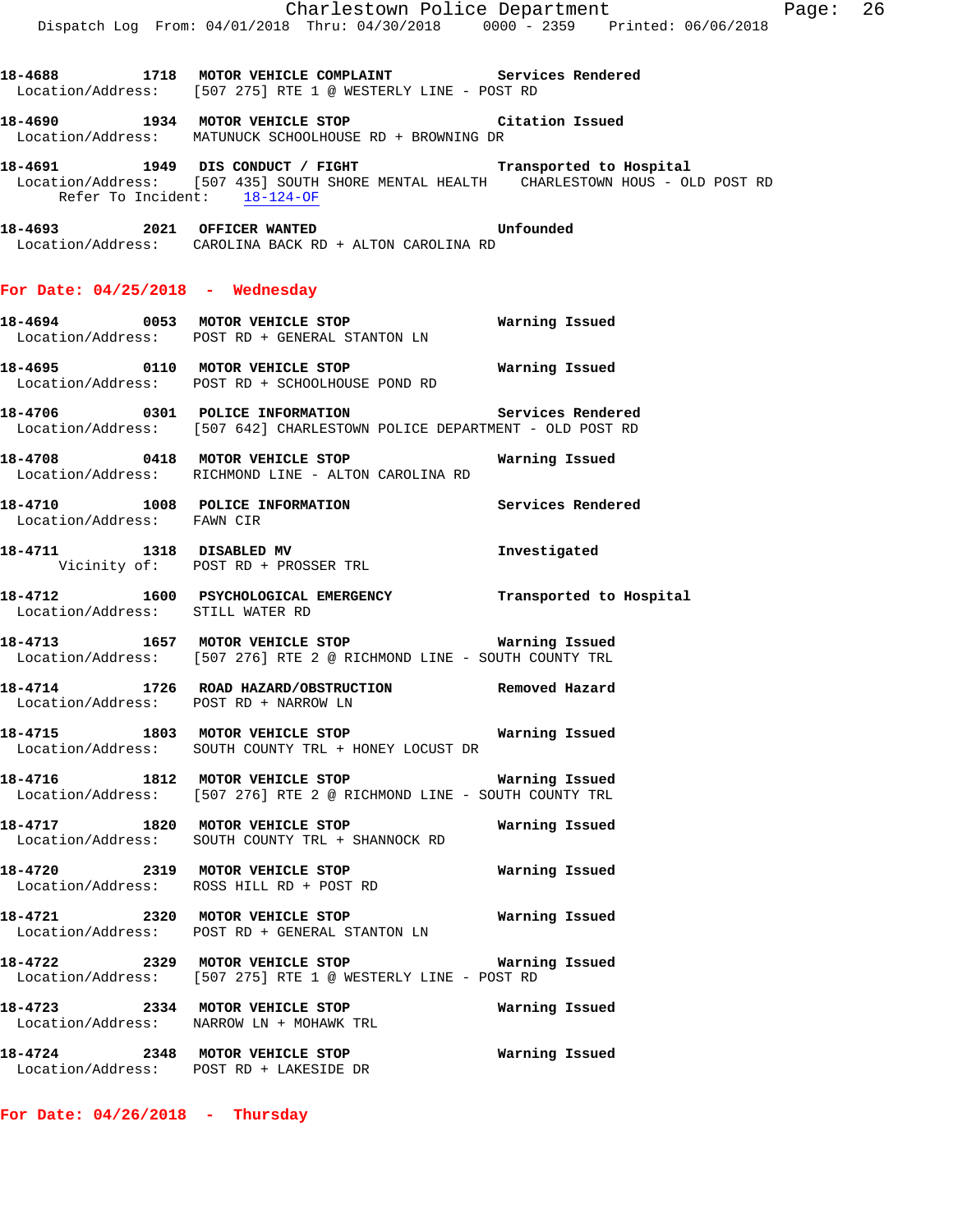|                                       | Charlestown Police Department The Rage: 26<br>Dispatch Log From: 04/01/2018 Thru: 04/30/2018 0000 - 2359 Printed: 06/06/2018                     |                |  |
|---------------------------------------|--------------------------------------------------------------------------------------------------------------------------------------------------|----------------|--|
|                                       | 18-4688 1718 MOTOR VEHICLE COMPLAINT Services Rendered<br>Location/Address: [507 275] RTE 1 @ WESTERLY LINE - POST RD                            |                |  |
|                                       | 18-4690 1934 MOTOR VEHICLE STOP 18-4690<br>Location/Address: MATUNUCK SCHOOLHOUSE RD + BROWNING DR                                               |                |  |
| Refer To Incident: 18-124-OF          | 18-4691 1949 DIS CONDUCT / FIGHT Transported to Hospital<br>Location/Address: [507 435] SOUTH SHORE MENTAL HEALTH CHARLESTOWN HOUS - OLD POST RD |                |  |
|                                       | 18-4693 2021 OFFICER WANTED Unfounded<br>Location/Address: CAROLINA BACK RD + ALTON CAROLINA RD                                                  |                |  |
| For Date: $04/25/2018$ - Wednesday    |                                                                                                                                                  |                |  |
|                                       | Location/Address: POST RD + GENERAL STANTON LN                                                                                                   |                |  |
|                                       | Location/Address: POST RD + SCHOOLHOUSE POND RD                                                                                                  |                |  |
|                                       | 18-4706 0301 POLICE INFORMATION Services Rendered<br>Location/Address: [507 642] CHARLESTOWN POLICE DEPARTMENT - OLD POST RD                     |                |  |
|                                       | Location/Address: RICHMOND LINE - ALTON CAROLINA RD                                                                                              |                |  |
| Location/Address: FAWN CIR            | 18-4710 1008 POLICE INFORMATION 1990 Services Rendered                                                                                           |                |  |
|                                       | 18-4711 1318 DISABLED MV<br>Vicinity of: POST RD + PROSSER TRL                                                                                   | Investigated   |  |
| Location/Address: STILL WATER RD      | 18-4712 1600 PSYCHOLOGICAL EMERGENCY Transported to Hospital                                                                                     |                |  |
|                                       | 18-4713 1657 MOTOR VEHICLE STOP 18 Warning Issued<br>Location/Address: [507 276] RTE 2 @ RICHMOND LINE - SOUTH COUNTY TRL                        |                |  |
| Location/Address: POST RD + NARROW LN | 18-4714 1726 ROAD HAZARD/OBSTRUCTION Removed Hazard                                                                                              |                |  |
|                                       | Location/Address: SOUTH COUNTY TRL + HONEY LOCUST DR                                                                                             |                |  |
|                                       | 18-4716 1812 MOTOR VEHICLE STOP 18 Warning Issued<br>Location/Address: [507 276] RTE 2 @ RICHMOND LINE - SOUTH COUNTY TRL                        |                |  |
|                                       | 18-4717 1820 MOTOR VEHICLE STOP<br>Location/Address: SOUTH COUNTY TRL + SHANNOCK RD                                                              | Warning Issued |  |
|                                       | 18-4720 2319 MOTOR VEHICLE STOP<br>Location/Address: ROSS HILL RD + POST RD                                                                      | Warning Issued |  |
|                                       | 18-4721 2320 MOTOR VEHICLE STOP 6 Warning Issued<br>Location/Address: POST RD + GENERAL STANTON LN                                               |                |  |
|                                       | Location/Address: [507 275] RTE 1 @ WESTERLY LINE - POST RD                                                                                      |                |  |
|                                       | 18-4723 2334 MOTOR VEHICLE STOP<br>Location/Address: NARROW LN + MOHAWK TRL                                                                      | Warning Issued |  |
|                                       |                                                                                                                                                  |                |  |

**18-4724 2348 MOTOR VEHICLE STOP Warning Issued**  Location/Address: POST RD + LAKESIDE DR

**For Date: 04/26/2018 - Thursday**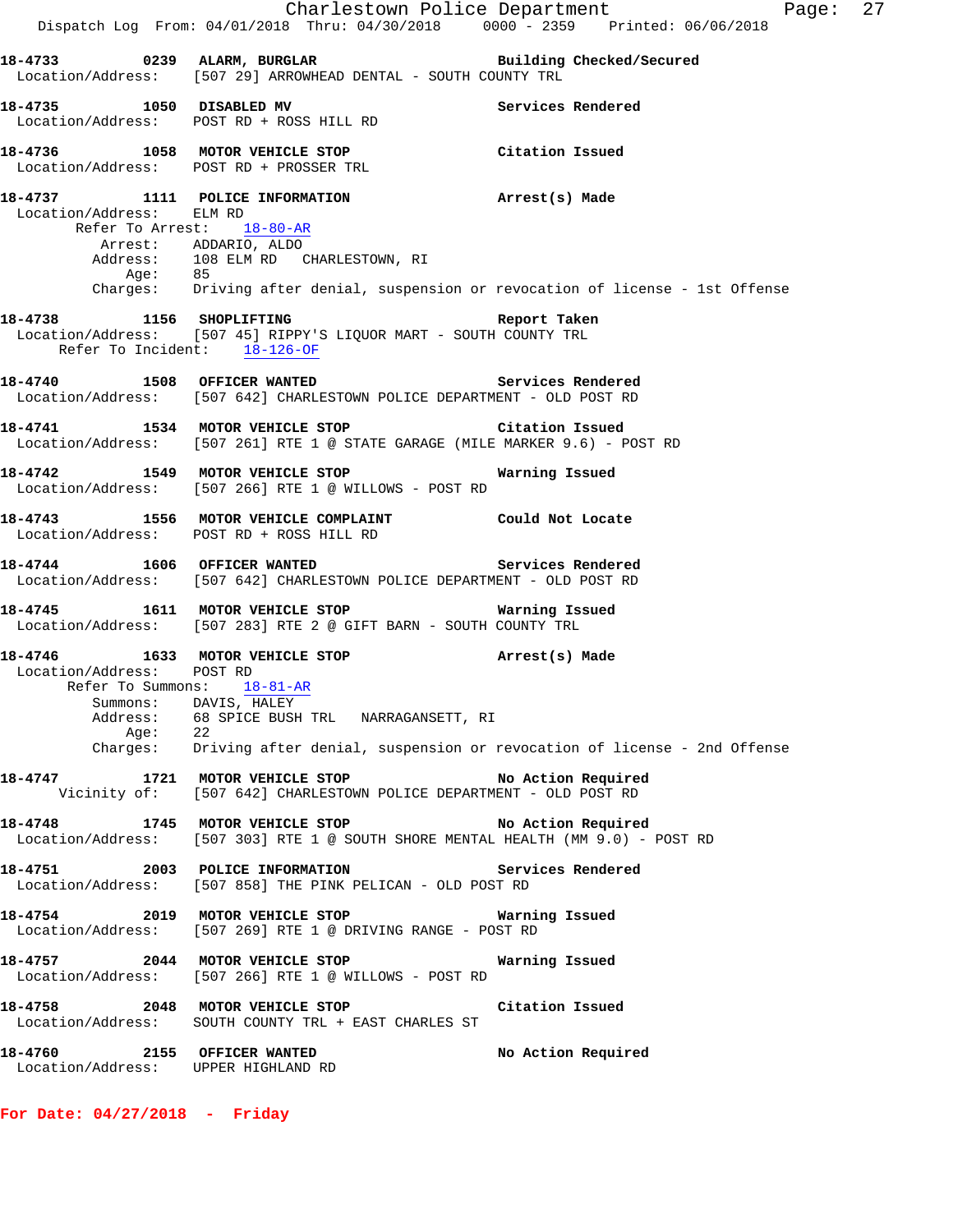Charlestown Police Department Fage: 27 Dispatch Log From: 04/01/2018 Thru: 04/30/2018 0000 - 2359 Printed: 06/06/2018 **18-4733 0239 ALARM, BURGLAR Building Checked/Secured**  Location/Address: [507 29] ARROWHEAD DENTAL - SOUTH COUNTY TRL **18-4735 1050 DISABLED MV Services Rendered**  Location/Address: POST RD + ROSS HILL RD **18-4736 1058 MOTOR VEHICLE STOP Citation Issued**  Location/Address: POST RD + PROSSER TRL **18-4737 1111 POLICE INFORMATION Arrest(s) Made**  Location/Address: ELM RD Refer To Arrest: 18-80-AR Arrest: ADDARIO, ALDO Address: 108 ELM RD CHARLESTOWN, RI Age: 85 Charges: Driving after denial, suspension or revocation of license - 1st Offense **18-4738 1156 SHOPLIFTING Report Taken**  Location/Address: [507 45] RIPPY'S LIQUOR MART - SOUTH COUNTY TRL Refer To Incident: 18-126-OF **18-4740 1508 OFFICER WANTED Services Rendered**  Location/Address: [507 642] CHARLESTOWN POLICE DEPARTMENT - OLD POST RD **18-4741 1534 MOTOR VEHICLE STOP Citation Issued**  Location/Address: [507 261] RTE 1 @ STATE GARAGE (MILE MARKER 9.6) - POST RD **18-4742 1549 MOTOR VEHICLE STOP Warning Issued**  Location/Address: [507 266] RTE 1 @ WILLOWS - POST RD **18-4743 1556 MOTOR VEHICLE COMPLAINT Could Not Locate**  Location/Address: POST RD + ROSS HILL RD **18-4744 1606 OFFICER WANTED Services Rendered**  Location/Address: [507 642] CHARLESTOWN POLICE DEPARTMENT - OLD POST RD **18-4745 1611 MOTOR VEHICLE STOP Warning Issued**  Location/Address: [507 283] RTE 2 @ GIFT BARN - SOUTH COUNTY TRL **18-4746 1633 MOTOR VEHICLE STOP Arrest(s) Made**  Location/Address: POST RD Refer To Summons: 18-81-AR Summons: DAVIS, HALEY Address: 68 SPICE BUSH TRL NARRAGANSETT, RI Age: 22 Charges: Driving after denial, suspension or revocation of license - 2nd Offense **18-4747 1721 MOTOR VEHICLE STOP No Action Required**  Vicinity of: [507 642] CHARLESTOWN POLICE DEPARTMENT - OLD POST RD **18-4748 1745 MOTOR VEHICLE STOP No Action Required**  Location/Address: [507 303] RTE 1 @ SOUTH SHORE MENTAL HEALTH (MM 9.0) - POST RD **18-4751 2003 POLICE INFORMATION Services Rendered**  Location/Address: [507 858] THE PINK PELICAN - OLD POST RD **18-4754 2019 MOTOR VEHICLE STOP Warning Issued**  Location/Address: [507 269] RTE 1 @ DRIVING RANGE - POST RD **18-4757 2044 MOTOR VEHICLE STOP Warning Issued**  Location/Address: [507 266] RTE 1 @ WILLOWS - POST RD **18-4758 2048 MOTOR VEHICLE STOP Citation Issued**  Location/Address: SOUTH COUNTY TRL + EAST CHARLES ST **18-4760 2155 OFFICER WANTED No Action Required**  Location/Address: UPPER HIGHLAND RD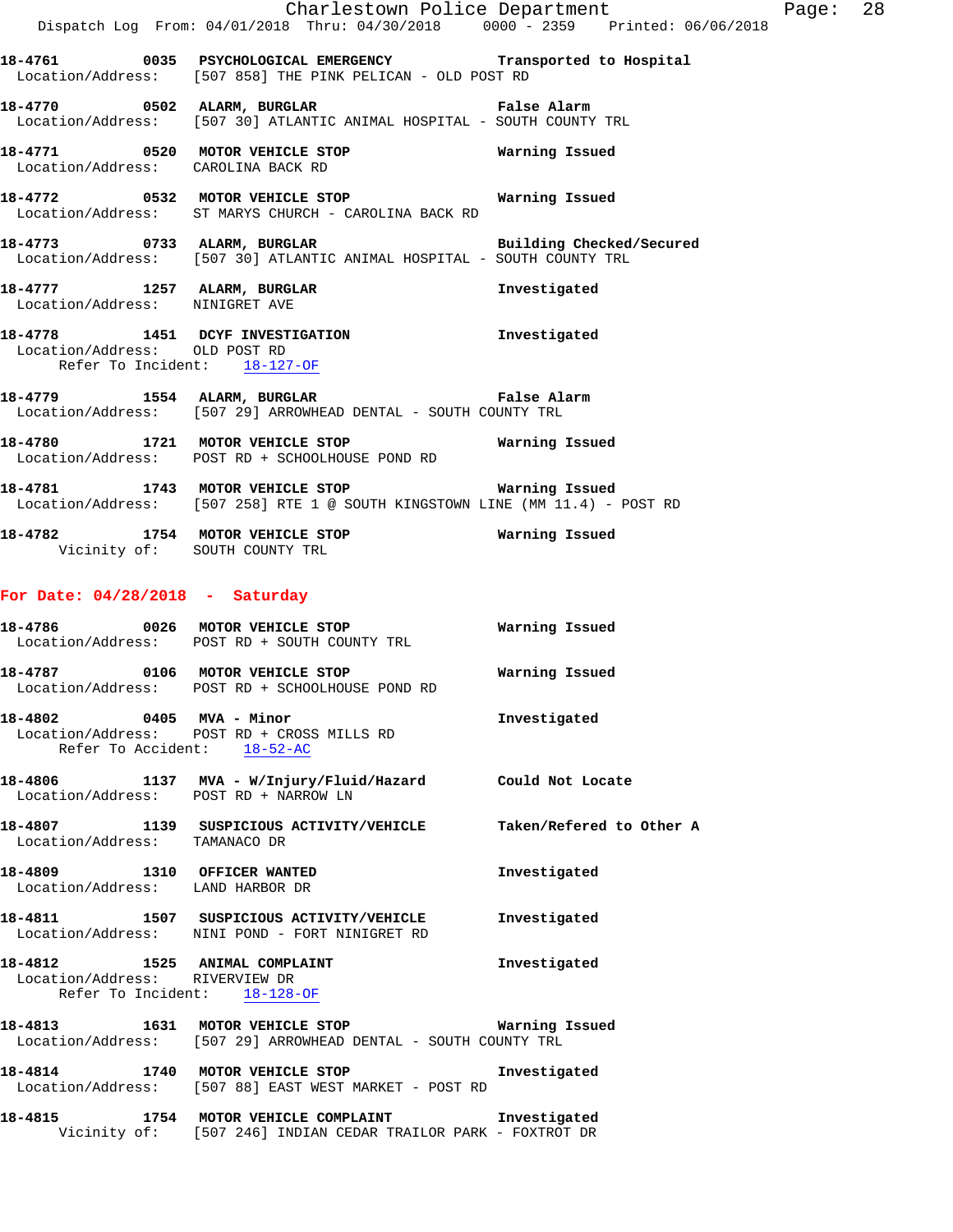|                                                                 | Dispatch Log From: 04/01/2018 Thru: 04/30/2018 0000 - 2359 Printed: 06/06/2018                                                   | Charlestown Police Department Page: 28 |  |
|-----------------------------------------------------------------|----------------------------------------------------------------------------------------------------------------------------------|----------------------------------------|--|
|                                                                 | 18-4761 0035 PSYCHOLOGICAL EMERGENCY Transported to Hospital                                                                     |                                        |  |
|                                                                 | Location/Address: [507 858] THE PINK PELICAN - OLD POST RD                                                                       |                                        |  |
|                                                                 | 18-4770 0502 ALARM, BURGLAR CHARM False Alarm<br>Location/Address: [507 30] ATLANTIC ANIMAL HOSPITAL - SOUTH COUNTY TRL          |                                        |  |
|                                                                 | 18-4771 0520 MOTOR VEHICLE STOP 6 Warning Issued<br>Location/Address: CAROLINA BACK RD                                           |                                        |  |
|                                                                 | 18-4772 0532 MOTOR VEHICLE STOP 6 Warning Issued<br>Location/Address: ST MARYS CHURCH - CAROLINA BACK RD                         |                                        |  |
|                                                                 | 18-4773 0733 ALARM, BURGLAR Building Checked/Secured Location/Address: [507 30] ATLANTIC ANIMAL HOSPITAL - SOUTH COUNTY TRL      |                                        |  |
| Location/Address: NINIGRET AVE                                  | 18-4777 1257 ALARM, BURGLAR                                                                                                      | Investigated                           |  |
| Location/Address: OLD POST RD                                   | 18-4778 1451 DCYF INVESTIGATION 1nvestigated<br>Refer To Incident: 18-127-OF                                                     |                                        |  |
|                                                                 | 18-4779 1554 ALARM, BURGLAR 18 Palse Alarm<br>Location/Address: [507 29] ARROWHEAD DENTAL - SOUTH COUNTY TRL                     |                                        |  |
|                                                                 | 18-4780 1721 MOTOR VEHICLE STOP 6 Warning Issued<br>Location/Address: POST RD + SCHOOLHOUSE POND RD                              |                                        |  |
|                                                                 | 18-4781 1743 MOTOR VEHICLE STOP 6 Warning Issued<br>Location/Address: [507 258] RTE 1 @ SOUTH KINGSTOWN LINE (MM 11.4) - POST RD |                                        |  |
|                                                                 | 18-4782 1754 MOTOR VEHICLE STOP 18-4782<br>Vicinity of: SOUTH COUNTY TRL                                                         |                                        |  |
| For Date: $04/28/2018$ - Saturday                               |                                                                                                                                  |                                        |  |
|                                                                 | 18-4786 0026 MOTOR VEHICLE STOP<br>Location/Address: POST RD + SOUTH COUNTY TRL                                                  | Warning Issued                         |  |
|                                                                 | 18-4787   0106   MOTOR VEHICLE STOP   Warning Issued<br>Location/Address: POST RD + SCHOOLHOUSE POND RD                          |                                        |  |
|                                                                 | 18-4802 0405 MVA - Minor<br>Location/Address: POST RD + CROSS MILLS RD<br>Refer To Accident: 18-52-AC                            | Investigated                           |  |
|                                                                 | 18-4806 1137 MVA - W/Injury/Fluid/Hazard Could Not Locate<br>Location/Address: POST RD + NARROW LN                               |                                        |  |
| Location/Address: TAMANACO DR                                   | 18-4807 1139 SUSPICIOUS ACTIVITY/VEHICLE Taken/Refered to Other A                                                                |                                        |  |
| 18-4809 1310 OFFICER WANTED<br>Location/Address: LAND HARBOR DR |                                                                                                                                  | Investigated                           |  |
|                                                                 | 18-4811 1507 SUSPICIOUS ACTIVITY/VEHICLE<br>Location/Address: NINI POND - FORT NINIGRET RD                                       | Investigated                           |  |
| Location/Address: RIVERVIEW DR                                  | 18-4812 1525 ANIMAL COMPLAINT<br>Refer To Incident: 18-128-OF                                                                    | Investigated                           |  |
|                                                                 | 18-4813 1631 MOTOR VEHICLE STOP 6 Warning Issued<br>Location/Address: [507 29] ARROWHEAD DENTAL - SOUTH COUNTY TRL               |                                        |  |
|                                                                 | 18-4814 1740 MOTOR VEHICLE STOP<br>Location/Address: [507 88] EAST WEST MARKET - POST RD                                         | Investigated                           |  |
| 18-4815                                                         | 1754 MOTOR VEHICLE COMPLAINT                                                                                                     | Investigated                           |  |

Vicinity of: [507 246] INDIAN CEDAR TRAILOR PARK - FOXTROT DR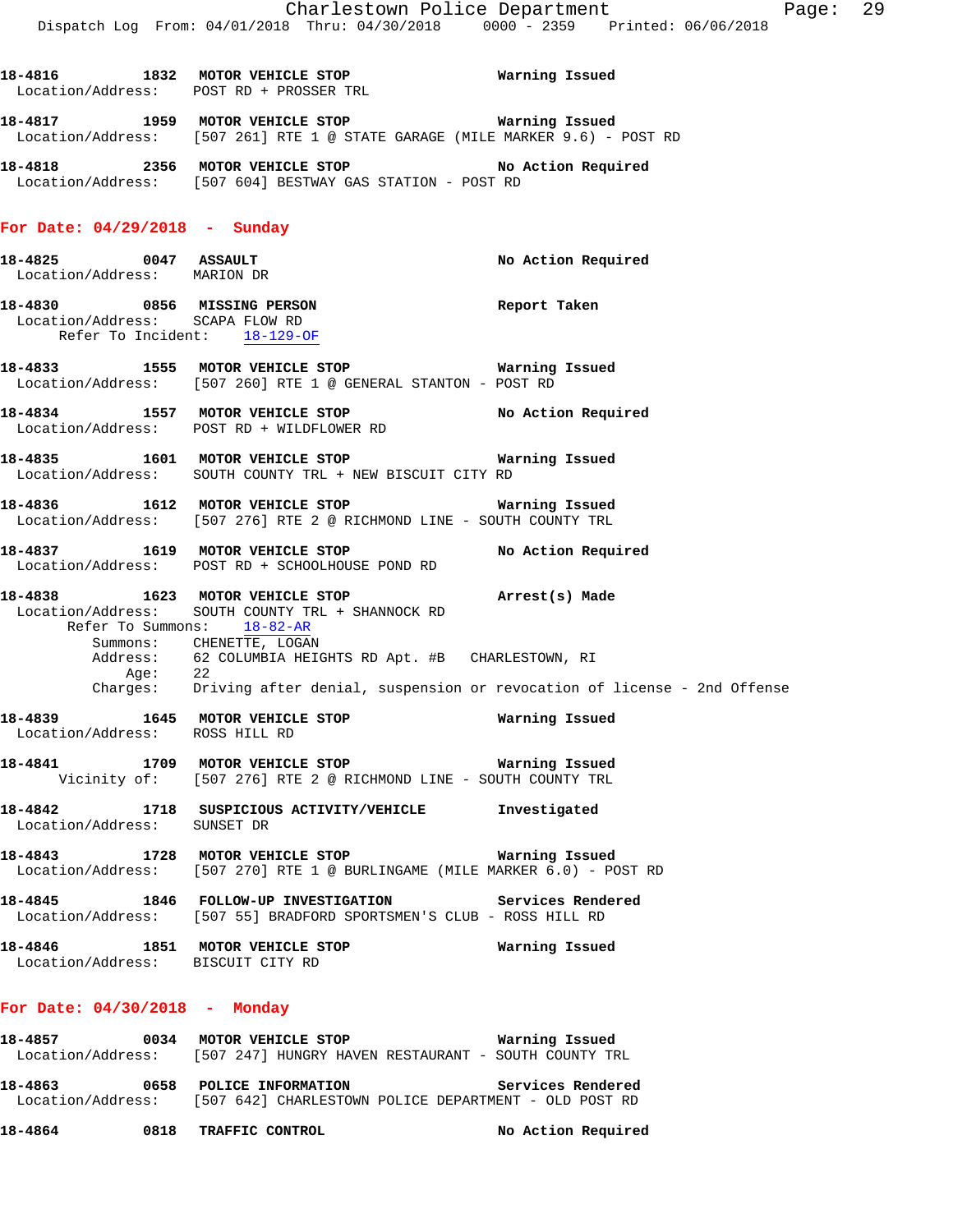**18-4816 1832 MOTOR VEHICLE STOP Warning Issued**  Location/Address: POST RD + PROSSER TRL **18-4817 1959 MOTOR VEHICLE STOP Warning Issued**  Location/Address: [507 261] RTE 1 @ STATE GARAGE (MILE MARKER 9.6) - POST RD **18-4818 2356 MOTOR VEHICLE STOP No Action Required**  Location/Address: [507 604] BESTWAY GAS STATION - POST RD **For Date: 04/29/2018 - Sunday 18-4825 0047 ASSAULT No Action Required**  Location/Address: MARION DR **18-4830 0856 MISSING PERSON Report Taken**  Location/Address: SCAPA FLOW RD Refer To Incident: 18-129-OF

**18-4833 1555 MOTOR VEHICLE STOP Warning Issued**  Location/Address: [507 260] RTE 1 @ GENERAL STANTON - POST RD

**18-4834 1557 MOTOR VEHICLE STOP No Action Required**  Location/Address: POST RD + WILDFLOWER RD

**18-4835 1601 MOTOR VEHICLE STOP Warning Issued**  Location/Address: SOUTH COUNTY TRL + NEW BISCUIT CITY RD

**18-4836 1612 MOTOR VEHICLE STOP Warning Issued**  Location/Address: [507 276] RTE 2 @ RICHMOND LINE - SOUTH COUNTY TRL

**18-4837 1619 MOTOR VEHICLE STOP No Action Required**  Location/Address: POST RD + SCHOOLHOUSE POND RD

**18-4838 1623 MOTOR VEHICLE STOP Arrest(s) Made**  Location/Address: SOUTH COUNTY TRL + SHANNOCK RD Refer To Summons: 18-82-AR Summons: CHENETTE, LOGAN Address: 62 COLUMBIA HEIGHTS RD Apt. #B CHARLESTOWN, RI Age: 22 Charges: Driving after denial, suspension or revocation of license - 2nd Offense

**18-4839 1645 MOTOR VEHICLE STOP Warning Issued**  Location/Address: ROSS HILL RD

**18-4841 1709 MOTOR VEHICLE STOP Warning Issued**  Vicinity of: [507 276] RTE 2 @ RICHMOND LINE - SOUTH COUNTY TRL

**18-4842 1718 SUSPICIOUS ACTIVITY/VEHICLE Investigated**  Location/Address: SUNSET DR

**18-4843 1728 MOTOR VEHICLE STOP Warning Issued**  Location/Address: [507 270] RTE 1 @ BURLINGAME (MILE MARKER 6.0) - POST RD

**18-4845 1846 FOLLOW-UP INVESTIGATION Services Rendered**  Location/Address: [507 55] BRADFORD SPORTSMEN'S CLUB - ROSS HILL RD

**18-4846 1851 MOTOR VEHICLE STOP Warning Issued**  Location/Address: BISCUIT CITY RD

### **For Date: 04/30/2018 - Monday**

**18-4857 0034 MOTOR VEHICLE STOP Warning Issued**  Location/Address: [507 247] HUNGRY HAVEN RESTAURANT - SOUTH COUNTY TRL **18-4863 0658 POLICE INFORMATION Services Rendered**  Location/Address: [507 642] CHARLESTOWN POLICE DEPARTMENT - OLD POST RD

**18-4864 0818 TRAFFIC CONTROL No Action Required**